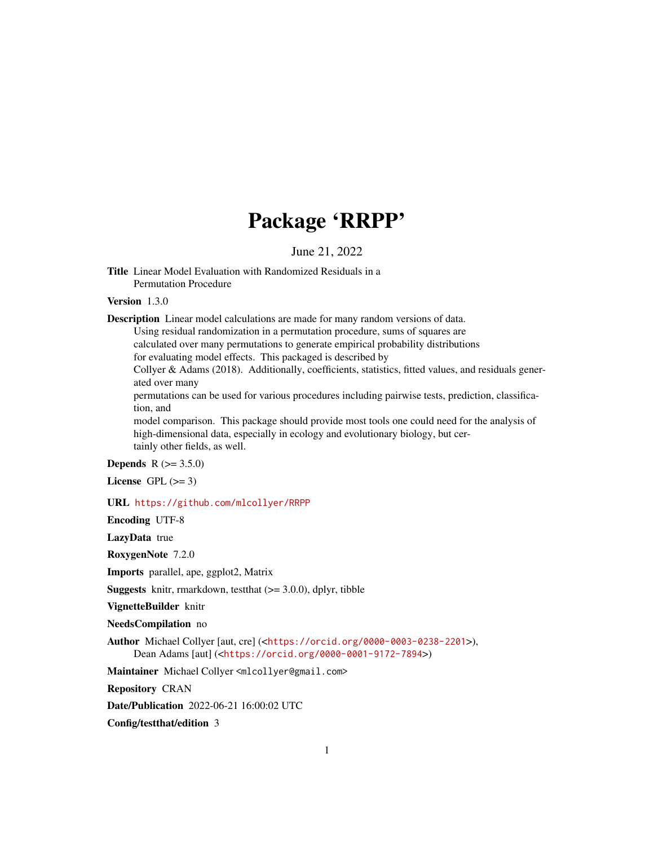# Package 'RRPP'

# June 21, 2022

<span id="page-0-0"></span>Title Linear Model Evaluation with Randomized Residuals in a Permutation Procedure

# Version 1.3.0

Description Linear model calculations are made for many random versions of data.

Using residual randomization in a permutation procedure, sums of squares are calculated over many permutations to generate empirical probability distributions

for evaluating model effects. This packaged is described by

Collyer & Adams (2018). Additionally, coefficients, statistics, fitted values, and residuals generated over many

permutations can be used for various procedures including pairwise tests, prediction, classification, and

model comparison. This package should provide most tools one could need for the analysis of high-dimensional data, especially in ecology and evolutionary biology, but certainly other fields, as well.

# **Depends** R  $(>= 3.5.0)$

License GPL  $(>= 3)$ 

#### URL <https://github.com/mlcollyer/RRPP>

Encoding UTF-8

LazyData true

RoxygenNote 7.2.0

Imports parallel, ape, ggplot2, Matrix

**Suggests** knitr, rmarkdown, test that  $(>= 3.0.0)$ , dplyr, tibble

VignetteBuilder knitr

NeedsCompilation no

Author Michael Collyer [aut, cre] (<<https://orcid.org/0000-0003-0238-2201>>), Dean Adams [aut] (<<https://orcid.org/0000-0001-9172-7894>>)

Maintainer Michael Collyer <mlcollyer@gmail.com>

Repository CRAN

Date/Publication 2022-06-21 16:00:02 UTC

Config/testthat/edition 3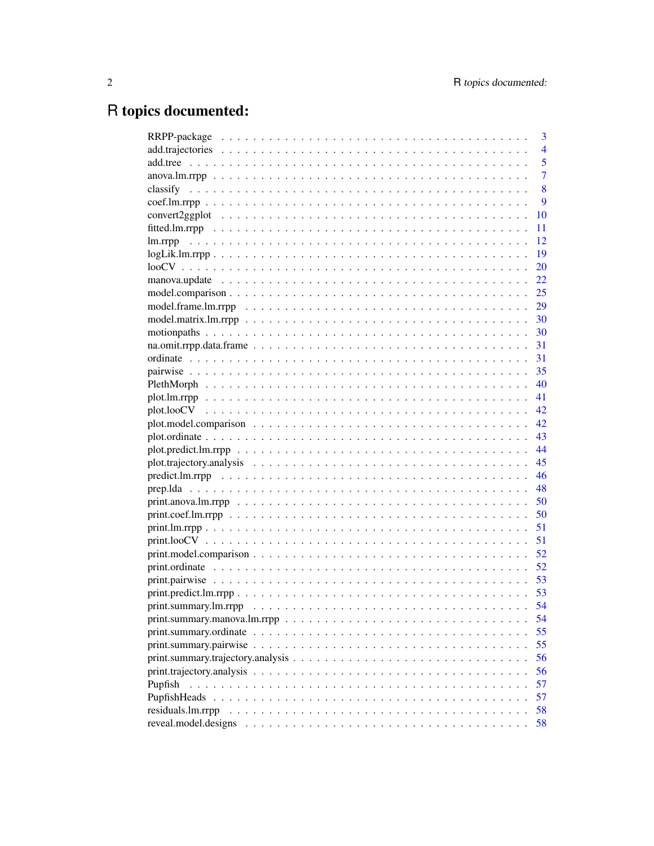# R topics documented:

|                                                                                                                                                       | 3              |
|-------------------------------------------------------------------------------------------------------------------------------------------------------|----------------|
|                                                                                                                                                       | $\overline{4}$ |
|                                                                                                                                                       | 5              |
|                                                                                                                                                       | $\overline{7}$ |
|                                                                                                                                                       | 8              |
|                                                                                                                                                       | 9              |
| 10                                                                                                                                                    |                |
| 11                                                                                                                                                    |                |
| 12                                                                                                                                                    |                |
| 19                                                                                                                                                    |                |
| 20                                                                                                                                                    |                |
| 22                                                                                                                                                    |                |
|                                                                                                                                                       |                |
|                                                                                                                                                       |                |
|                                                                                                                                                       |                |
|                                                                                                                                                       |                |
|                                                                                                                                                       |                |
|                                                                                                                                                       |                |
|                                                                                                                                                       |                |
|                                                                                                                                                       |                |
|                                                                                                                                                       |                |
|                                                                                                                                                       |                |
|                                                                                                                                                       |                |
|                                                                                                                                                       |                |
|                                                                                                                                                       |                |
|                                                                                                                                                       |                |
|                                                                                                                                                       |                |
|                                                                                                                                                       |                |
|                                                                                                                                                       |                |
| 50                                                                                                                                                    |                |
| 51                                                                                                                                                    |                |
| 51                                                                                                                                                    |                |
| $print_model.comparison$<br>52                                                                                                                        |                |
| 52                                                                                                                                                    |                |
|                                                                                                                                                       |                |
|                                                                                                                                                       |                |
|                                                                                                                                                       |                |
| 54                                                                                                                                                    |                |
| 55                                                                                                                                                    |                |
| 55                                                                                                                                                    |                |
| $print. \text{summary.} \text{trajectory.} \text{analysis} \dots \dots \dots \dots \dots \dots \dots \dots \dots \dots \dots \dots \dots \dots$<br>56 |                |
| 56                                                                                                                                                    |                |
| 57<br>Pupfish                                                                                                                                         |                |
| 57<br>PupfishHeads                                                                                                                                    |                |
| 58<br>residuals.lm.rrpp                                                                                                                               |                |
| reveal.model.designs<br>58                                                                                                                            |                |
|                                                                                                                                                       |                |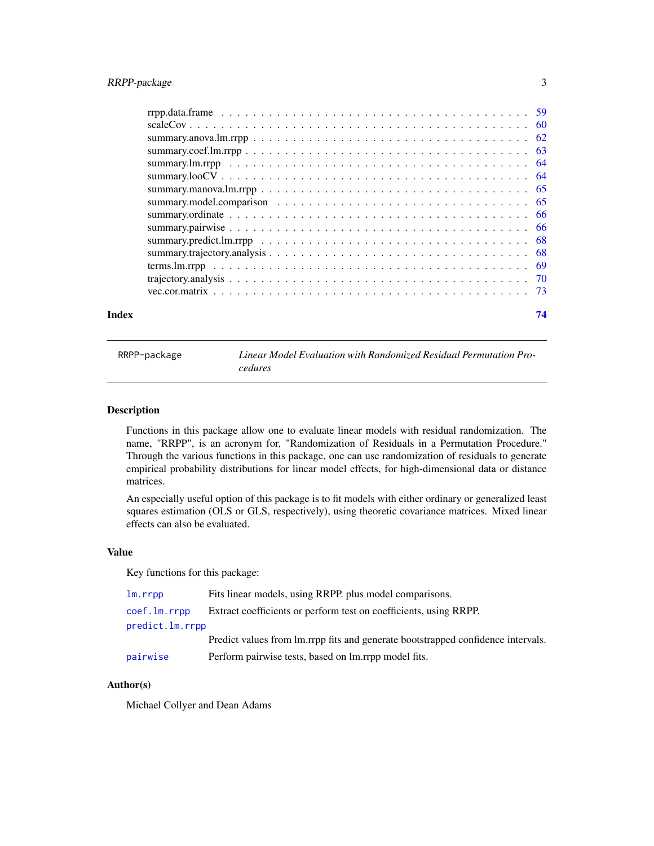<span id="page-2-0"></span>

| Index | 74 |
|-------|----|
|       |    |
|       |    |
|       |    |
|       |    |
|       |    |
|       |    |
|       |    |
|       |    |
|       |    |
|       |    |
|       |    |
|       |    |
|       |    |
|       |    |
|       |    |

RRPP-package *Linear Model Evaluation with Randomized Residual Permutation Procedures*

# Description

Functions in this package allow one to evaluate linear models with residual randomization. The name, "RRPP", is an acronym for, "Randomization of Residuals in a Permutation Procedure." Through the various functions in this package, one can use randomization of residuals to generate empirical probability distributions for linear model effects, for high-dimensional data or distance matrices.

An especially useful option of this package is to fit models with either ordinary or generalized least squares estimation (OLS or GLS, respectively), using theoretic covariance matrices. Mixed linear effects can also be evaluated.

# Value

Key functions for this package:

| lm.rrpp         | Fits linear models, using RRPP. plus model comparisons.                          |
|-----------------|----------------------------------------------------------------------------------|
| coef.lm.rrpp    | Extract coefficients or perform test on coefficients, using RRPP.                |
| predict.lm.rrpp |                                                                                  |
|                 | Predict values from lm.rrpp fits and generate bootstrapped confidence intervals. |
| pairwise        | Perform pairwise tests, based on lm.rrpp model fits.                             |
|                 |                                                                                  |

# Author(s)

Michael Collyer and Dean Adams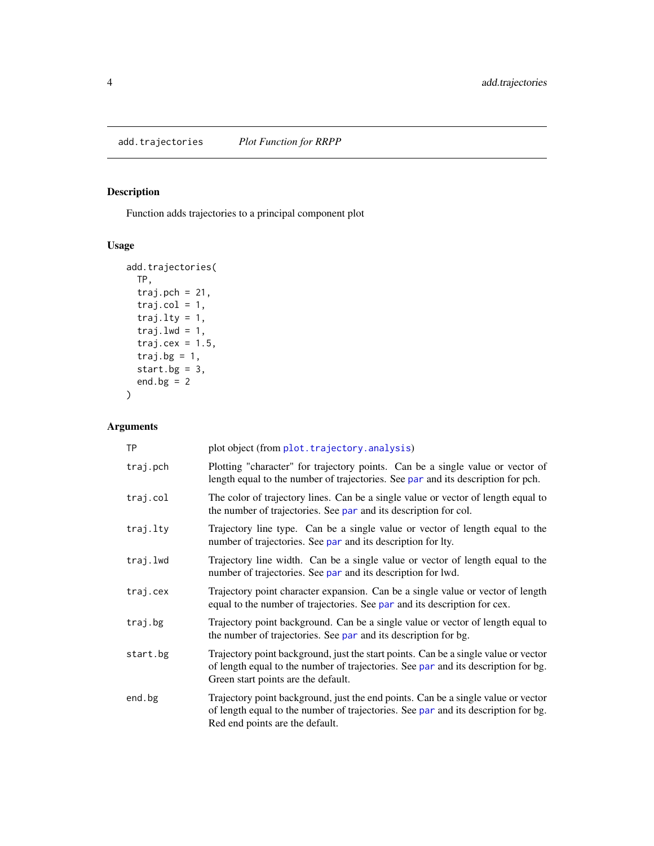# <span id="page-3-0"></span>Description

Function adds trajectories to a principal component plot

# Usage

```
add.trajectories(
 TP,
 traj.pch = 21,
 traj.col = 1,
 traj.lty = 1,
 traj.lwd = 1,traj.cex = 1.5,
 traj.bg = 1,
 start.bg = 3,
 end.bg = 2)
```
# Arguments

| <b>TP</b> | plot object (from plot. trajectory. analysis)                                                                                                                                                                    |
|-----------|------------------------------------------------------------------------------------------------------------------------------------------------------------------------------------------------------------------|
| traj.pch  | Plotting "character" for trajectory points. Can be a single value or vector of<br>length equal to the number of trajectories. See par and its description for pch.                                               |
| traj.col  | The color of trajectory lines. Can be a single value or vector of length equal to<br>the number of trajectories. See par and its description for col.                                                            |
| traj.lty  | Trajectory line type. Can be a single value or vector of length equal to the<br>number of trajectories. See par and its description for lty.                                                                     |
| traj.lwd  | Trajectory line width. Can be a single value or vector of length equal to the<br>number of trajectories. See par and its description for lwd.                                                                    |
| traj.cex  | Trajectory point character expansion. Can be a single value or vector of length<br>equal to the number of trajectories. See par and its description for cex.                                                     |
| traj.bg   | Trajectory point background. Can be a single value or vector of length equal to<br>the number of trajectories. See par and its description for bg.                                                               |
| start.bg  | Trajectory point background, just the start points. Can be a single value or vector<br>of length equal to the number of trajectories. See par and its description for bg.<br>Green start points are the default. |
| end.bg    | Trajectory point background, just the end points. Can be a single value or vector<br>of length equal to the number of trajectories. See par and its description for bg.<br>Red end points are the default.       |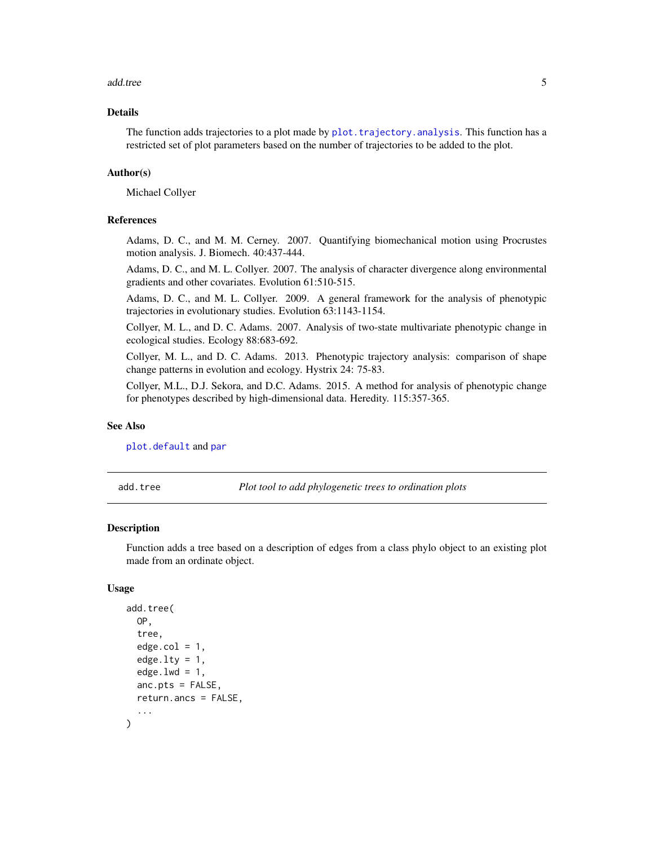#### <span id="page-4-0"></span>add.tree 5

# Details

The function adds trajectories to a plot made by plot. trajectory. analysis. This function has a restricted set of plot parameters based on the number of trajectories to be added to the plot.

# Author(s)

Michael Collyer

# References

Adams, D. C., and M. M. Cerney. 2007. Quantifying biomechanical motion using Procrustes motion analysis. J. Biomech. 40:437-444.

Adams, D. C., and M. L. Collyer. 2007. The analysis of character divergence along environmental gradients and other covariates. Evolution 61:510-515.

Adams, D. C., and M. L. Collyer. 2009. A general framework for the analysis of phenotypic trajectories in evolutionary studies. Evolution 63:1143-1154.

Collyer, M. L., and D. C. Adams. 2007. Analysis of two-state multivariate phenotypic change in ecological studies. Ecology 88:683-692.

Collyer, M. L., and D. C. Adams. 2013. Phenotypic trajectory analysis: comparison of shape change patterns in evolution and ecology. Hystrix 24: 75-83.

Collyer, M.L., D.J. Sekora, and D.C. Adams. 2015. A method for analysis of phenotypic change for phenotypes described by high-dimensional data. Heredity. 115:357-365.

#### See Also

[plot.default](#page-0-0) and [par](#page-0-0)

add.tree *Plot tool to add phylogenetic trees to ordination plots*

# **Description**

Function adds a tree based on a description of edges from a class phylo object to an existing plot made from an ordinate object.

# Usage

```
add.tree(
  OP,
  tree,
  edge.col = 1,
  edge.ltv = 1,
  edge.lwd = 1,anc.pts = FALSE,return.ancs = FALSE,
  ...
)
```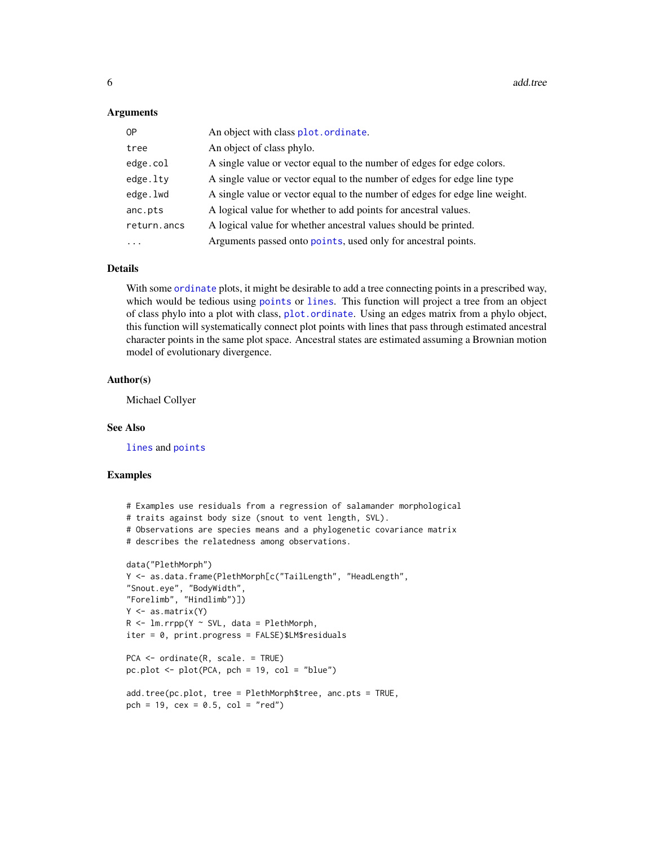#### **Arguments**

| 0P          | An object with class plot.ordinate.                                         |
|-------------|-----------------------------------------------------------------------------|
| tree        | An object of class phylo.                                                   |
| edge.col    | A single value or vector equal to the number of edges for edge colors.      |
| edge.lty    | A single value or vector equal to the number of edges for edge line type    |
| edge.lwd    | A single value or vector equal to the number of edges for edge line weight. |
| anc.pts     | A logical value for whether to add points for ancestral values.             |
| return.ancs | A logical value for whether ancestral values should be printed.             |
| $\cdots$    | Arguments passed onto points, used only for ancestral points.               |

#### Details

With some [ordinate](#page-30-1) plots, it might be desirable to add a tree connecting points in a prescribed way, which would be tedious using [points](#page-0-0) or [lines](#page-0-0). This function will project a tree from an object of class phylo into a plot with class, [plot.ordinate](#page-42-1). Using an edges matrix from a phylo object, this function will systematically connect plot points with lines that pass through estimated ancestral character points in the same plot space. Ancestral states are estimated assuming a Brownian motion model of evolutionary divergence.

#### Author(s)

Michael Collyer

#### See Also

[lines](#page-0-0) and [points](#page-0-0)

# Examples

```
# Examples use residuals from a regression of salamander morphological
# traits against body size (snout to vent length, SVL).
# Observations are species means and a phylogenetic covariance matrix
# describes the relatedness among observations.
data("PlethMorph")
Y <- as.data.frame(PlethMorph[c("TailLength", "HeadLength",
"Snout.eye", "BodyWidth",
"Forelimb", "Hindlimb")])
Y \leftarrow as_matrix(Y)R \leq -\text{lm.rrpp}(Y \sim SVL, data = PlethMorph,iter = 0, print.progress = FALSE)$LM$residuals
PCA <- ordinate(R, scale. = TRUE)
pc.plot <- plot(PCA, pch = 19, col = "blue")
add.tree(pc.plot, tree = PlethMorph$tree, anc.pts = TRUE,
pch = 19, cex = 0.5, col = "red")
```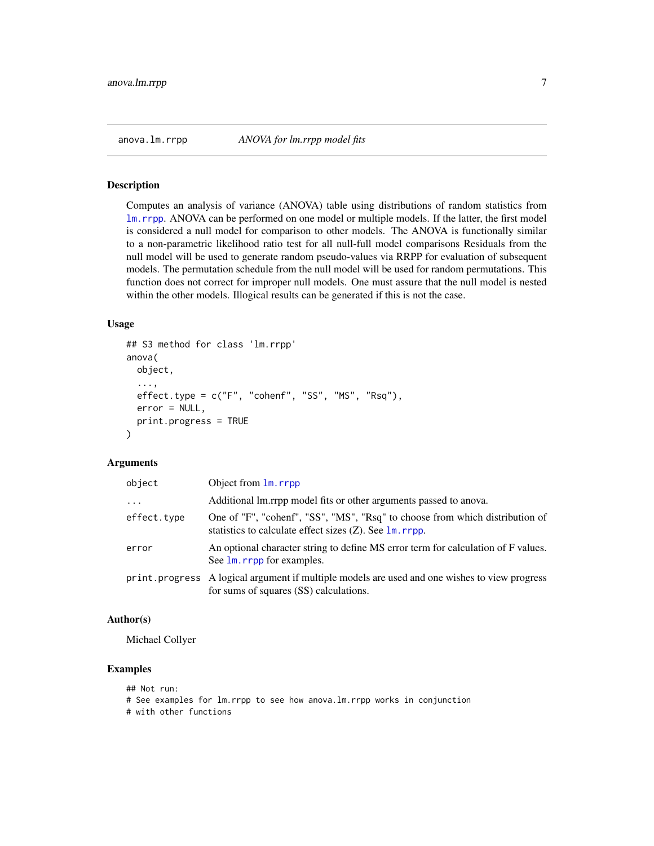<span id="page-6-1"></span><span id="page-6-0"></span>

#### Description

Computes an analysis of variance (ANOVA) table using distributions of random statistics from [lm.rrpp](#page-11-1). ANOVA can be performed on one model or multiple models. If the latter, the first model is considered a null model for comparison to other models. The ANOVA is functionally similar to a non-parametric likelihood ratio test for all null-full model comparisons Residuals from the null model will be used to generate random pseudo-values via RRPP for evaluation of subsequent models. The permutation schedule from the null model will be used for random permutations. This function does not correct for improper null models. One must assure that the null model is nested within the other models. Illogical results can be generated if this is not the case.

#### Usage

```
## S3 method for class 'lm.rrpp'
anova(
 object,
  ...,
  effect.\text{type} = c("F", "cohenf", "SS", "MS", "Rsq"),error = NULL,
 print.progress = TRUE
)
```
# Arguments

| object      | Object from 1m. rrpp                                                                                                                                 |
|-------------|------------------------------------------------------------------------------------------------------------------------------------------------------|
| $\ddots$    | Additional lm.rrpp model fits or other arguments passed to anova.                                                                                    |
| effect.type | One of "F", "cohenf", "SS", "MS", "Rsq" to choose from which distribution of<br>statistics to calculate effect sizes $(Z)$ . See $\text{lm}$ . rrpp. |
| error       | An optional character string to define MS error term for calculation of F values.<br>See 1m. rrpp for examples.                                      |
|             | print. progress A logical argument if multiple models are used and one wishes to view progress<br>for sums of squares (SS) calculations.             |

#### Author(s)

Michael Collyer

# Examples

```
## Not run:
# See examples for lm.rrpp to see how anova.lm.rrpp works in conjunction
# with other functions
```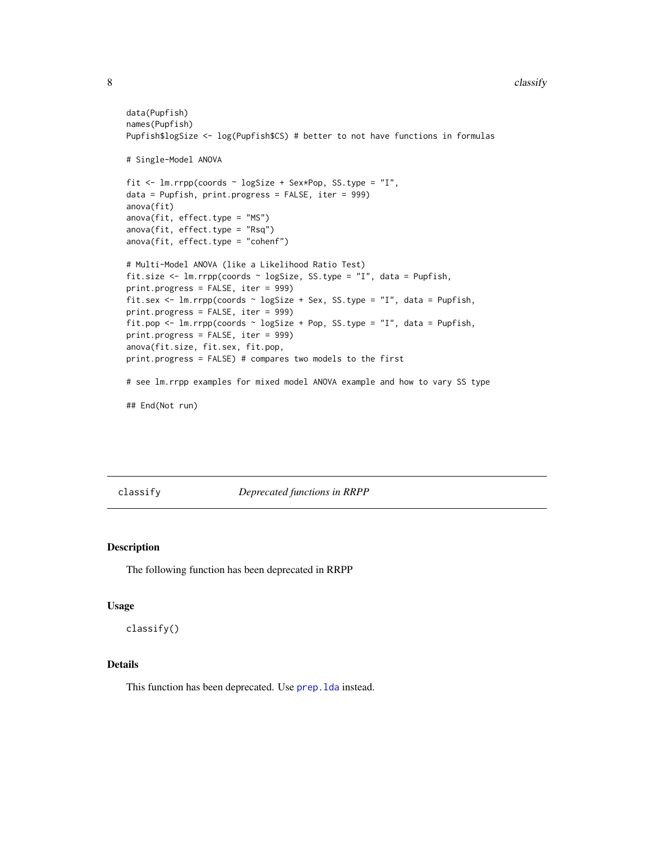#### <span id="page-7-0"></span>8 classify and the contract of the contract of the contract of the classify classify classify

```
data(Pupfish)
names(Pupfish)
Pupfish$logSize <- log(Pupfish$CS) # better to not have functions in formulas
# Single-Model ANOVA
fit <- lm.rrpp(coords ~ logSize + Sex*Pop, SS.type = "I",
data = Pupfish, print.progress = FALSE, iter = 999)
anova(fit)
anova(fit, effect.type = "MS")
anova(fit, effect.type = "Rsq")
anova(fit, effect.type = "cohenf")
# Multi-Model ANOVA (like a Likelihood Ratio Test)
fit.size <- lm.rrpp(coords ~ logSize, SS.type = "I", data = Pupfish,
print.progress = FALSE, iter = 999)
fit.sex <- lm.rrpp(coords ~ logSize + Sex, SS.type = "I", data = Pupfish,
print.progress = FALSE, iter = 999)
fit.pop <- lm.rrpp(coords \sim logSize + Pop, SS.type = "I", data = Pupfish,
print.progress = FALSE, iter = 999)
anova(fit.size, fit.sex, fit.pop,
print.progress = FALSE) # compares two models to the first
# see lm.rrpp examples for mixed model ANOVA example and how to vary SS type
## End(Not run)
```
classify *Deprecated functions in RRPP*

# Description

The following function has been deprecated in RRPP

#### Usage

classify()

# Details

This function has been deprecated. Use prep. 1da instead.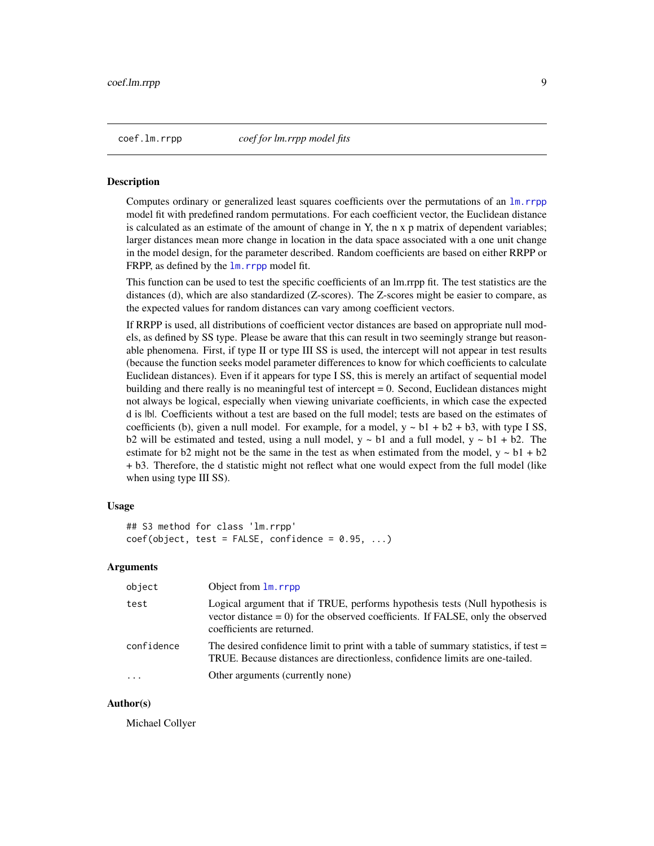<span id="page-8-1"></span>

<span id="page-8-0"></span>coef.lm.rrpp *coef for lm.rrpp model fits*

#### Description

Computes ordinary or generalized least squares coefficients over the permutations of an [lm.rrpp](#page-11-1) model fit with predefined random permutations. For each coefficient vector, the Euclidean distance is calculated as an estimate of the amount of change in Y, the n x p matrix of dependent variables; larger distances mean more change in location in the data space associated with a one unit change in the model design, for the parameter described. Random coefficients are based on either RRPP or FRPP, as defined by the  $\text{lm}$ . rrpp model fit.

This function can be used to test the specific coefficients of an lm.rrpp fit. The test statistics are the distances (d), which are also standardized (Z-scores). The Z-scores might be easier to compare, as the expected values for random distances can vary among coefficient vectors.

If RRPP is used, all distributions of coefficient vector distances are based on appropriate null models, as defined by SS type. Please be aware that this can result in two seemingly strange but reasonable phenomena. First, if type II or type III SS is used, the intercept will not appear in test results (because the function seeks model parameter differences to know for which coefficients to calculate Euclidean distances). Even if it appears for type I SS, this is merely an artifact of sequential model building and there really is no meaningful test of intercept  $= 0$ . Second, Euclidean distances might not always be logical, especially when viewing univariate coefficients, in which case the expected d is |b|. Coefficients without a test are based on the full model; tests are based on the estimates of coefficients (b), given a null model. For example, for a model,  $y \sim b1 + b2 + b3$ , with type I SS, b2 will be estimated and tested, using a null model,  $y \sim b1$  and a full model,  $y \sim b1 + b2$ . The estimate for b2 might not be the same in the test as when estimated from the model,  $y \sim b1 + b2$ + b3. Therefore, the d statistic might not reflect what one would expect from the full model (like when using type III SS).

# Usage

```
## S3 method for class 'lm.rrpp'
coef(object, test = FALSE, confidence = 0.95, ...)
```
# Arguments

| object     | Object from 1m. rrpp                                                                                                                                                                             |
|------------|--------------------------------------------------------------------------------------------------------------------------------------------------------------------------------------------------|
| test       | Logical argument that if TRUE, performs hypothesis tests (Null hypothesis is<br>vector distance $= 0$ ) for the observed coefficients. If FALSE, only the observed<br>coefficients are returned. |
| confidence | The desired confidence limit to print with a table of summary statistics, if test $=$<br>TRUE. Because distances are directionless, confidence limits are one-tailed.                            |
| $\cdot$    | Other arguments (currently none)                                                                                                                                                                 |

# Author(s)

Michael Collyer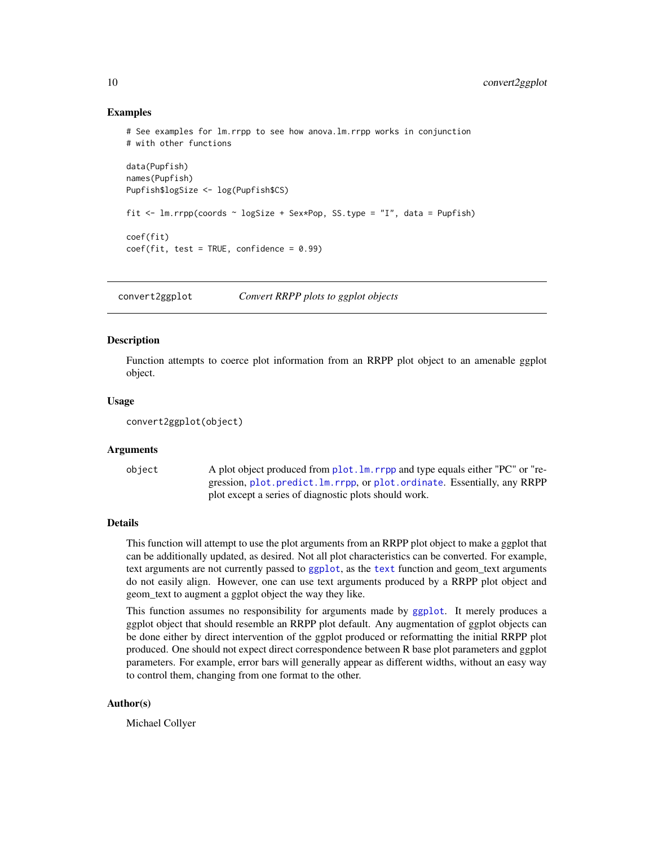# Examples

```
# See examples for lm.rrpp to see how anova.lm.rrpp works in conjunction
# with other functions
data(Pupfish)
names(Pupfish)
Pupfish$logSize <- log(Pupfish$CS)
fit \le - lm.rrpp(coords \sim logSize + Sex*Pop, SS.type = "I", data = Pupfish)
coef(fit)
coef(fit, test = TRUE, confidence = 0.99)
```
convert2ggplot *Convert RRPP plots to ggplot objects*

# Description

Function attempts to coerce plot information from an RRPP plot object to an amenable ggplot object.

#### Usage

```
convert2ggplot(object)
```
#### Arguments

object A plot object produced from [plot.lm.rrpp](#page-40-1) and type equals either "PC" or "regression, [plot.predict.lm.rrpp](#page-43-1), or [plot.ordinate](#page-42-1). Essentially, any RRPP plot except a series of diagnostic plots should work.

# Details

This function will attempt to use the plot arguments from an RRPP plot object to make a ggplot that can be additionally updated, as desired. Not all plot characteristics can be converted. For example, text arguments are not currently passed to [ggplot](#page-0-0), as the [text](#page-0-0) function and geom\_text arguments do not easily align. However, one can use text arguments produced by a RRPP plot object and geom\_text to augment a ggplot object the way they like.

This function assumes no responsibility for arguments made by [ggplot](#page-0-0). It merely produces a ggplot object that should resemble an RRPP plot default. Any augmentation of ggplot objects can be done either by direct intervention of the ggplot produced or reformatting the initial RRPP plot produced. One should not expect direct correspondence between R base plot parameters and ggplot parameters. For example, error bars will generally appear as different widths, without an easy way to control them, changing from one format to the other.

# Author(s)

Michael Collyer

<span id="page-9-0"></span>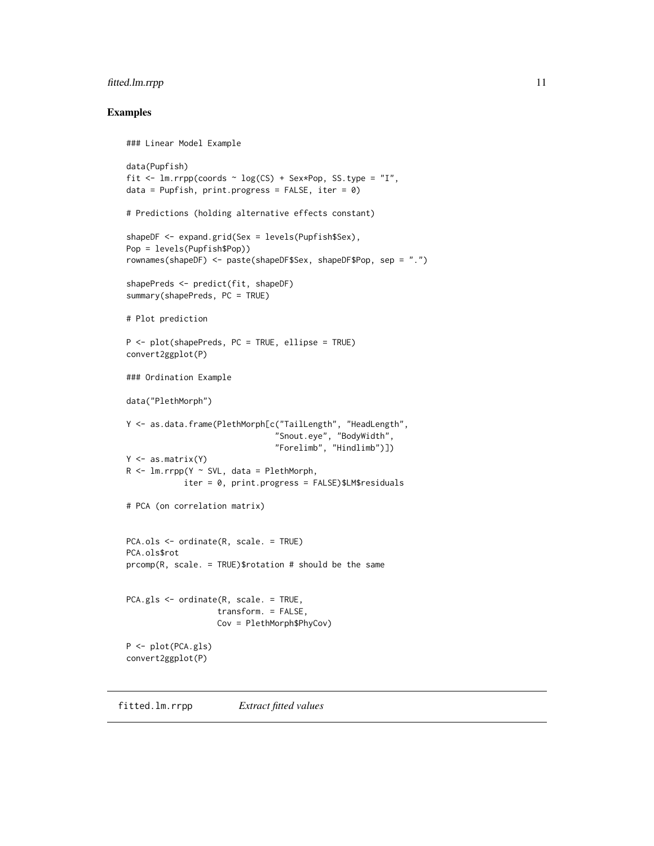# <span id="page-10-0"></span>fitted.lm.rrpp 11

# Examples

```
### Linear Model Example
data(Pupfish)
fit \le lm.rrpp(coords \sim log(CS) + Sex*Pop, SS.type = "I",
data = Pupfish, print.progress = FALSE, iter = \theta)
# Predictions (holding alternative effects constant)
shapeDF <- expand.grid(Sex = levels(Pupfish$Sex),
Pop = levels(Pupfish$Pop))
rownames(shapeDF) <- paste(shapeDF$Sex, shapeDF$Pop, sep = ".")
shapePreds <- predict(fit, shapeDF)
summary(shapePreds, PC = TRUE)
# Plot prediction
P <- plot(shapePreds, PC = TRUE, ellipse = TRUE)
convert2ggplot(P)
### Ordination Example
data("PlethMorph")
Y <- as.data.frame(PlethMorph[c("TailLength", "HeadLength",
                                "Snout.eye", "BodyWidth",
                                "Forelimb", "Hindlimb")])
Y \leftarrow as_matrix(Y)R <- lm.rrpp(Y \sim SVL, data = PlethMorph,iter = 0, print.progress = FALSE)$LM$residuals
# PCA (on correlation matrix)
PCA.ols <- ordinate(R, scale. = TRUE)
PCA.ols$rot
prcomp(R, scale. = TRUE)$rotation # should be the same
PCA.gls <- ordinate(R, scale. = TRUE,
                   transform. = FALSE,
                   Cov = PlethMorph$PhyCov)
P <- plot(PCA.gls)
convert2ggplot(P)
```
fitted.lm.rrpp *Extract fitted values*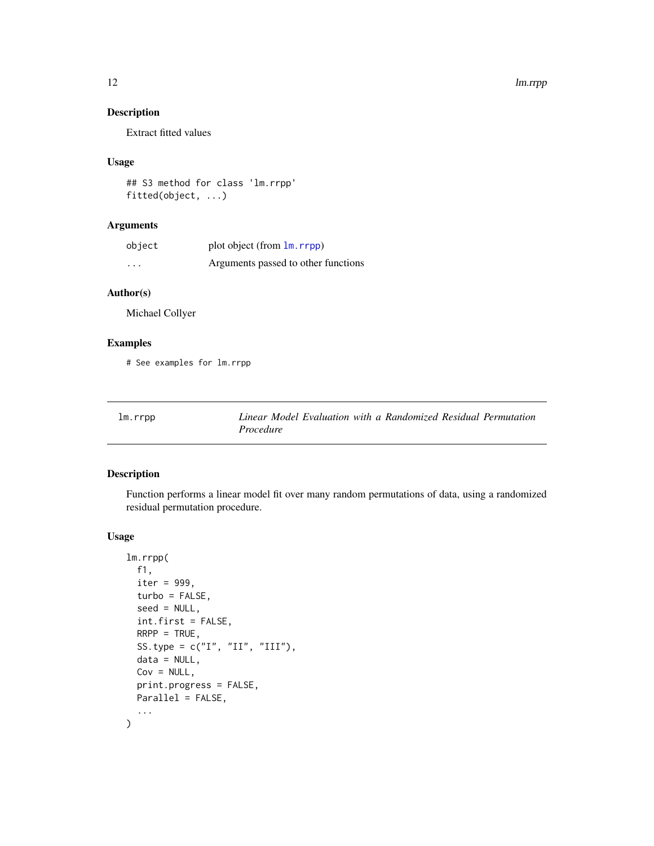# <span id="page-11-0"></span>Description

Extract fitted values

# Usage

```
## S3 method for class 'lm.rrpp'
fitted(object, ...)
```
# Arguments

| object   | plot object (from $\text{lm}$ , rrpp) |
|----------|---------------------------------------|
| $\cdots$ | Arguments passed to other functions   |

# Author(s)

Michael Collyer

# Examples

# See examples for lm.rrpp

|  | lm.rrpp |
|--|---------|
|--|---------|

<span id="page-11-1"></span>lm.rrpp *Linear Model Evaluation with a Randomized Residual Permutation Procedure*

# Description

Function performs a linear model fit over many random permutations of data, using a randomized residual permutation procedure.

# Usage

```
lm.rrpp(
 f1,
  iter = 999,
  turbo = FALSE,
  seed = NULL,
  int.first = FALSE,
 RRP = TRUE,
 SS.type = c("I", "II", "III"),
 data = NULL,Cov = NULL,print.progress = FALSE,
 Parallel = FALSE,
  ...
\mathcal{L}
```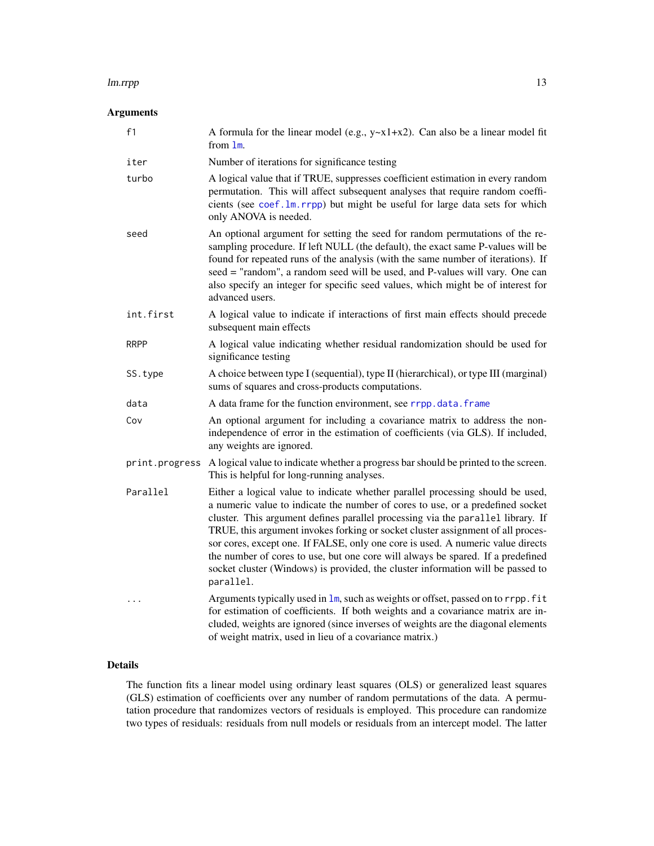#### lm.rrpp 23 and 23 and 23 and 23 and 23 and 23 and 23 and 23 and 23 and 23 and 23 and 23 and 23 and 23 and 24 and 25 and 26 and 26 and 26 and 26 and 26 and 26 and 26 and 26 and 26 and 26 and 26 and 26 and 26 and 26 and 26 a

# Arguments

| f1             | A formula for the linear model (e.g., $y-x1+x2$ ). Can also be a linear model fit<br>from 1m.                                                                                                                                                                                                                                                                                                                                                                                                                                                                                                                |
|----------------|--------------------------------------------------------------------------------------------------------------------------------------------------------------------------------------------------------------------------------------------------------------------------------------------------------------------------------------------------------------------------------------------------------------------------------------------------------------------------------------------------------------------------------------------------------------------------------------------------------------|
| iter           | Number of iterations for significance testing                                                                                                                                                                                                                                                                                                                                                                                                                                                                                                                                                                |
| turbo          | A logical value that if TRUE, suppresses coefficient estimation in every random<br>permutation. This will affect subsequent analyses that require random coeffi-<br>cients (see coef.1m.rrpp) but might be useful for large data sets for which<br>only ANOVA is needed.                                                                                                                                                                                                                                                                                                                                     |
| seed           | An optional argument for setting the seed for random permutations of the re-<br>sampling procedure. If left NULL (the default), the exact same P-values will be<br>found for repeated runs of the analysis (with the same number of iterations). If<br>seed = "random", a random seed will be used, and P-values will vary. One can<br>also specify an integer for specific seed values, which might be of interest for<br>advanced users.                                                                                                                                                                   |
| int.first      | A logical value to indicate if interactions of first main effects should precede<br>subsequent main effects                                                                                                                                                                                                                                                                                                                                                                                                                                                                                                  |
| <b>RRPP</b>    | A logical value indicating whether residual randomization should be used for<br>significance testing                                                                                                                                                                                                                                                                                                                                                                                                                                                                                                         |
| SS.type        | A choice between type I (sequential), type II (hierarchical), or type III (marginal)<br>sums of squares and cross-products computations.                                                                                                                                                                                                                                                                                                                                                                                                                                                                     |
| data           | A data frame for the function environment, see rrpp.data.frame                                                                                                                                                                                                                                                                                                                                                                                                                                                                                                                                               |
| Cov            | An optional argument for including a covariance matrix to address the non-<br>independence of error in the estimation of coefficients (via GLS). If included,<br>any weights are ignored.                                                                                                                                                                                                                                                                                                                                                                                                                    |
| print.progress | A logical value to indicate whether a progress bar should be printed to the screen.<br>This is helpful for long-running analyses.                                                                                                                                                                                                                                                                                                                                                                                                                                                                            |
| Parallel       | Either a logical value to indicate whether parallel processing should be used,<br>a numeric value to indicate the number of cores to use, or a predefined socket<br>cluster. This argument defines parallel processing via the parallel library. If<br>TRUE, this argument invokes forking or socket cluster assignment of all proces-<br>sor cores, except one. If FALSE, only one core is used. A numeric value directs<br>the number of cores to use, but one core will always be spared. If a predefined<br>socket cluster (Windows) is provided, the cluster information will be passed to<br>parallel. |
|                | Arguments typically used in lm, such as weights or offset, passed on to rrpp. fit<br>for estimation of coefficients. If both weights and a covariance matrix are in-<br>cluded, weights are ignored (since inverses of weights are the diagonal elements<br>of weight matrix, used in lieu of a covariance matrix.)                                                                                                                                                                                                                                                                                          |

# Details

The function fits a linear model using ordinary least squares (OLS) or generalized least squares (GLS) estimation of coefficients over any number of random permutations of the data. A permutation procedure that randomizes vectors of residuals is employed. This procedure can randomize two types of residuals: residuals from null models or residuals from an intercept model. The latter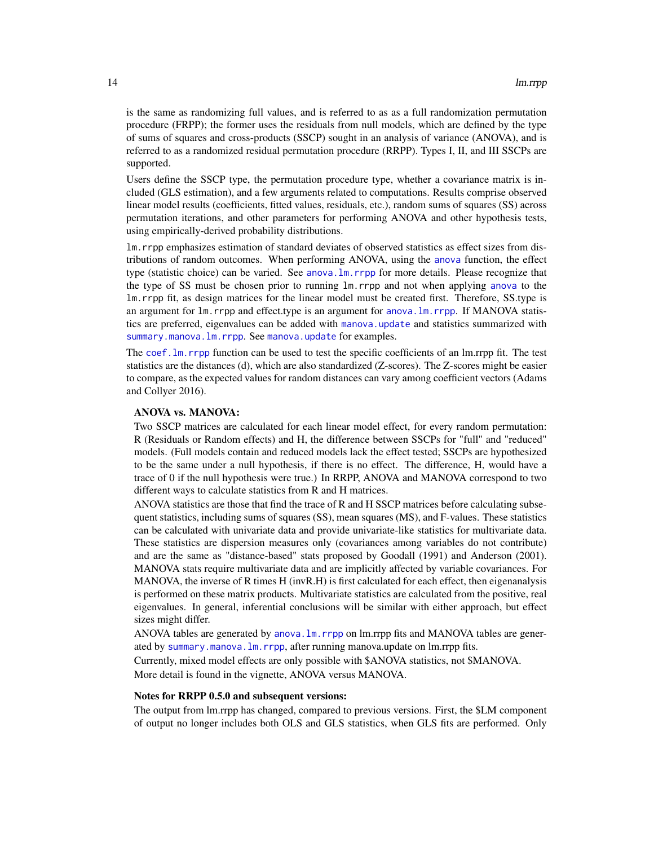is the same as randomizing full values, and is referred to as as a full randomization permutation procedure (FRPP); the former uses the residuals from null models, which are defined by the type of sums of squares and cross-products (SSCP) sought in an analysis of variance (ANOVA), and is referred to as a randomized residual permutation procedure (RRPP). Types I, II, and III SSCPs are supported.

Users define the SSCP type, the permutation procedure type, whether a covariance matrix is included (GLS estimation), and a few arguments related to computations. Results comprise observed linear model results (coefficients, fitted values, residuals, etc.), random sums of squares (SS) across permutation iterations, and other parameters for performing ANOVA and other hypothesis tests, using empirically-derived probability distributions.

lm.rrpp emphasizes estimation of standard deviates of observed statistics as effect sizes from distributions of random outcomes. When performing ANOVA, using the [anova](#page-0-0) function, the effect type (statistic choice) can be varied. See [anova.lm.rrpp](#page-6-1) for more details. Please recognize that the type of SS must be chosen prior to running lm.rrpp and not when applying [anova](#page-0-0) to the lm.rrpp fit, as design matrices for the linear model must be created first. Therefore, SS.type is an argument for lm.rrpp and effect.type is an argument for [anova.lm.rrpp](#page-6-1). If MANOVA statistics are preferred, eigenvalues can be added with [manova.update](#page-21-1) and statistics summarized with [summary.manova.lm.rrpp](#page-64-1). See [manova.update](#page-21-1) for examples.

The [coef.lm.rrpp](#page-8-1) function can be used to test the specific coefficients of an lm.rrpp fit. The test statistics are the distances (d), which are also standardized (Z-scores). The Z-scores might be easier to compare, as the expected values for random distances can vary among coefficient vectors (Adams and Collyer 2016).

#### ANOVA vs. MANOVA:

Two SSCP matrices are calculated for each linear model effect, for every random permutation: R (Residuals or Random effects) and H, the difference between SSCPs for "full" and "reduced" models. (Full models contain and reduced models lack the effect tested; SSCPs are hypothesized to be the same under a null hypothesis, if there is no effect. The difference, H, would have a trace of 0 if the null hypothesis were true.) In RRPP, ANOVA and MANOVA correspond to two different ways to calculate statistics from R and H matrices.

ANOVA statistics are those that find the trace of R and H SSCP matrices before calculating subsequent statistics, including sums of squares (SS), mean squares (MS), and F-values. These statistics can be calculated with univariate data and provide univariate-like statistics for multivariate data. These statistics are dispersion measures only (covariances among variables do not contribute) and are the same as "distance-based" stats proposed by Goodall (1991) and Anderson (2001). MANOVA stats require multivariate data and are implicitly affected by variable covariances. For MANOVA, the inverse of R times H (invR.H) is first calculated for each effect, then eigenanalysis is performed on these matrix products. Multivariate statistics are calculated from the positive, real eigenvalues. In general, inferential conclusions will be similar with either approach, but effect sizes might differ.

ANOVA tables are generated by [anova.lm.rrpp](#page-6-1) on lm.rrpp fits and MANOVA tables are generated by [summary.manova.lm.rrpp](#page-64-1), after running manova.update on lm.rrpp fits.

Currently, mixed model effects are only possible with \$ANOVA statistics, not \$MANOVA. More detail is found in the vignette, ANOVA versus MANOVA.

#### Notes for RRPP 0.5.0 and subsequent versions:

The output from lm.rrpp has changed, compared to previous versions. First, the \$LM component of output no longer includes both OLS and GLS statistics, when GLS fits are performed. Only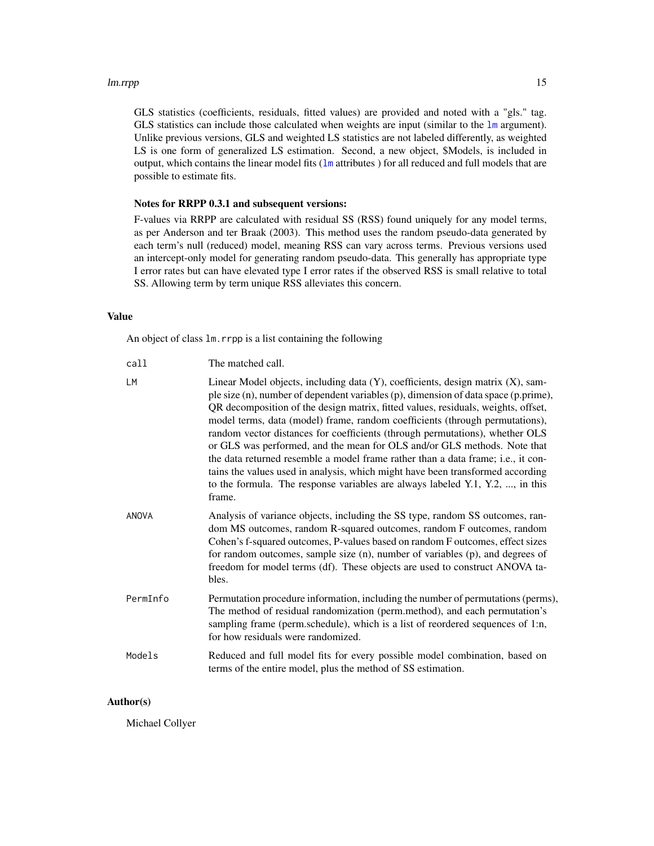#### lm.rrpp 15

GLS statistics (coefficients, residuals, fitted values) are provided and noted with a "gls." tag. GLS statistics can include those calculated when weights are input (similar to the  $\text{lm}$  $\text{lm}$  $\text{lm}$  argument). Unlike previous versions, GLS and weighted LS statistics are not labeled differently, as weighted LS is one form of generalized LS estimation. Second, a new object, \$Models, is included in output, which contains the linear model fits ([lm](#page-0-0) attributes ) for all reduced and full models that are possible to estimate fits.

# Notes for RRPP 0.3.1 and subsequent versions:

F-values via RRPP are calculated with residual SS (RSS) found uniquely for any model terms, as per Anderson and ter Braak (2003). This method uses the random pseudo-data generated by each term's null (reduced) model, meaning RSS can vary across terms. Previous versions used an intercept-only model for generating random pseudo-data. This generally has appropriate type I error rates but can have elevated type I error rates if the observed RSS is small relative to total SS. Allowing term by term unique RSS alleviates this concern.

# Value

An object of class lm.rrpp is a list containing the following

| call     | The matched call.                                                                                                                                                                                                                                                                                                                                                                                                                                                                                                                                                                                                                                                                                                                                                        |
|----------|--------------------------------------------------------------------------------------------------------------------------------------------------------------------------------------------------------------------------------------------------------------------------------------------------------------------------------------------------------------------------------------------------------------------------------------------------------------------------------------------------------------------------------------------------------------------------------------------------------------------------------------------------------------------------------------------------------------------------------------------------------------------------|
| LM       | Linear Model objects, including data (Y), coefficients, design matrix (X), sam-<br>ple size (n), number of dependent variables (p), dimension of data space (p.prime),<br>QR decomposition of the design matrix, fitted values, residuals, weights, offset,<br>model terms, data (model) frame, random coefficients (through permutations),<br>random vector distances for coefficients (through permutations), whether OLS<br>or GLS was performed, and the mean for OLS and/or GLS methods. Note that<br>the data returned resemble a model frame rather than a data frame; i.e., it con-<br>tains the values used in analysis, which might have been transformed according<br>to the formula. The response variables are always labeled Y.1, Y.2, , in this<br>frame. |
| ANOVA    | Analysis of variance objects, including the SS type, random SS outcomes, ran-<br>dom MS outcomes, random R-squared outcomes, random F outcomes, random<br>Cohen's f-squared outcomes, P-values based on random F outcomes, effect sizes<br>for random outcomes, sample size (n), number of variables (p), and degrees of<br>freedom for model terms (df). These objects are used to construct ANOVA ta-<br>bles.                                                                                                                                                                                                                                                                                                                                                         |
| PermInfo | Permutation procedure information, including the number of permutations (perms),<br>The method of residual randomization (perm.method), and each permutation's<br>sampling frame (perm.schedule), which is a list of reordered sequences of 1:n,<br>for how residuals were randomized.                                                                                                                                                                                                                                                                                                                                                                                                                                                                                   |
| Models   | Reduced and full model fits for every possible model combination, based on<br>terms of the entire model, plus the method of SS estimation.                                                                                                                                                                                                                                                                                                                                                                                                                                                                                                                                                                                                                               |

# Author(s)

Michael Collyer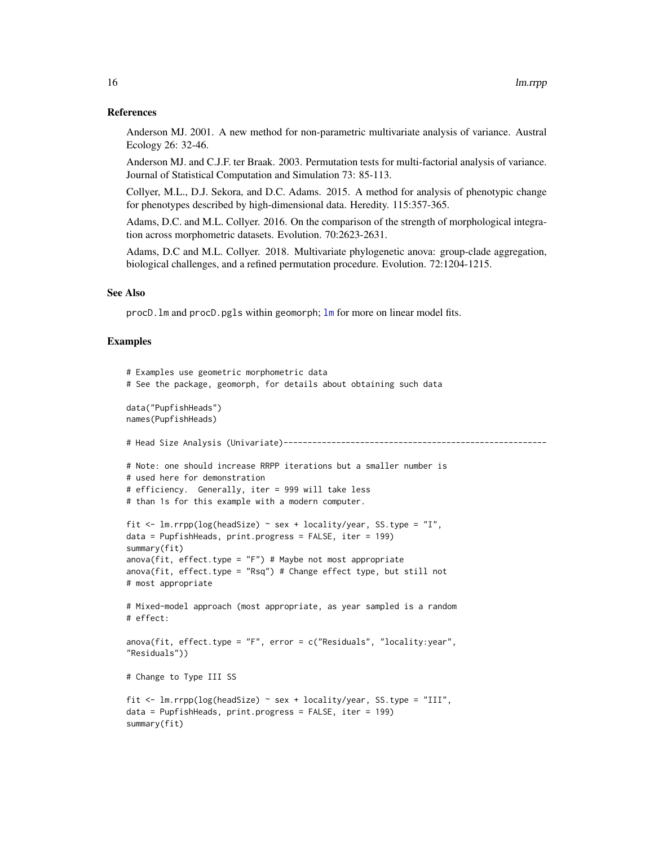#### References

Anderson MJ. 2001. A new method for non-parametric multivariate analysis of variance. Austral Ecology 26: 32-46.

Anderson MJ. and C.J.F. ter Braak. 2003. Permutation tests for multi-factorial analysis of variance. Journal of Statistical Computation and Simulation 73: 85-113.

Collyer, M.L., D.J. Sekora, and D.C. Adams. 2015. A method for analysis of phenotypic change for phenotypes described by high-dimensional data. Heredity. 115:357-365.

Adams, D.C. and M.L. Collyer. 2016. On the comparison of the strength of morphological integration across morphometric datasets. Evolution. 70:2623-2631.

Adams, D.C and M.L. Collyer. 2018. Multivariate phylogenetic anova: group-clade aggregation, biological challenges, and a refined permutation procedure. Evolution. 72:1204-1215.

#### See Also

procD.lm and procD.pgls within geomorph; [lm](#page-0-0) for more on linear model fits.

# Examples

```
# Examples use geometric morphometric data
# See the package, geomorph, for details about obtaining such data
data("PupfishHeads")
names(PupfishHeads)
# Head Size Analysis (Univariate)-------------------------------------------------------
# Note: one should increase RRPP iterations but a smaller number is
# used here for demonstration
# efficiency. Generally, iter = 999 will take less
# than 1s for this example with a modern computer.
fit \le 1m.rrpp(log(headSize) \sim sex + locality/year, SS.type = "I",
data = PupfishHeads, print.progress = FALSE, iter = 199)
summary(fit)
anova(fit, effect.type = "F") # Maybe not most appropriate
anova(fit, effect.type = "Rsq") # Change effect type, but still not
# most appropriate
# Mixed-model approach (most appropriate, as year sampled is a random
# effect:
anova(fit, effect.type = "F", error = c("Residuals", "locality:year",
"Residuals"))
# Change to Type III SS
fit <- lm.rrpp(log(headSize) ~ sex + locality/year, SS.type = "III",
data = PupfishHeads, print.progress = FALSE, iter = 199)
summary(fit)
```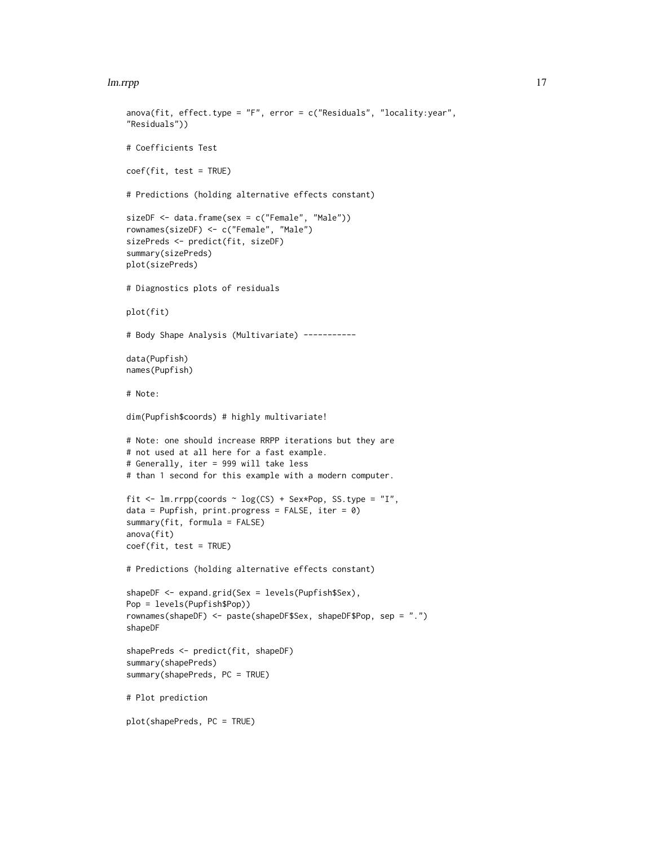#### lm.rrpp and the contract of the contract of the contract of the contract of the contract of the contract of the contract of the contract of the contract of the contract of the contract of the contract of the contract of th

```
anova(fit, effect.type = "F", error = c("Residuals", "locality:year",
"Residuals"))
# Coefficients Test
coef(fit, test = TRUE)
# Predictions (holding alternative effects constant)
sizeDF <- data.frame(sex = c("Female", "Male"))
rownames(sizeDF) <- c("Female", "Male")
sizePreds <- predict(fit, sizeDF)
summary(sizePreds)
plot(sizePreds)
# Diagnostics plots of residuals
plot(fit)
# Body Shape Analysis (Multivariate) -----------
data(Pupfish)
names(Pupfish)
# Note:
dim(Pupfish$coords) # highly multivariate!
# Note: one should increase RRPP iterations but they are
# not used at all here for a fast example.
# Generally, iter = 999 will take less
# than 1 second for this example with a modern computer.
fit <- lm.rrpp(coords \sim log(CS) + Sex*Pop, SS.type = "I",
data = Pupfish, print.progress = FALSE, iter = \theta)
summary(fit, formula = FALSE)
anova(fit)
coef(fit, test = TRUE)
# Predictions (holding alternative effects constant)
shapeDF <- expand.grid(Sex = levels(Pupfish$Sex),
Pop = levels(Pupfish$Pop))
rownames(shapeDF) <- paste(shapeDF$Sex, shapeDF$Pop, sep = ".")
shapeDF
shapePreds <- predict(fit, shapeDF)
summary(shapePreds)
summary(shapePreds, PC = TRUE)
# Plot prediction
plot(shapePreds, PC = TRUE)
```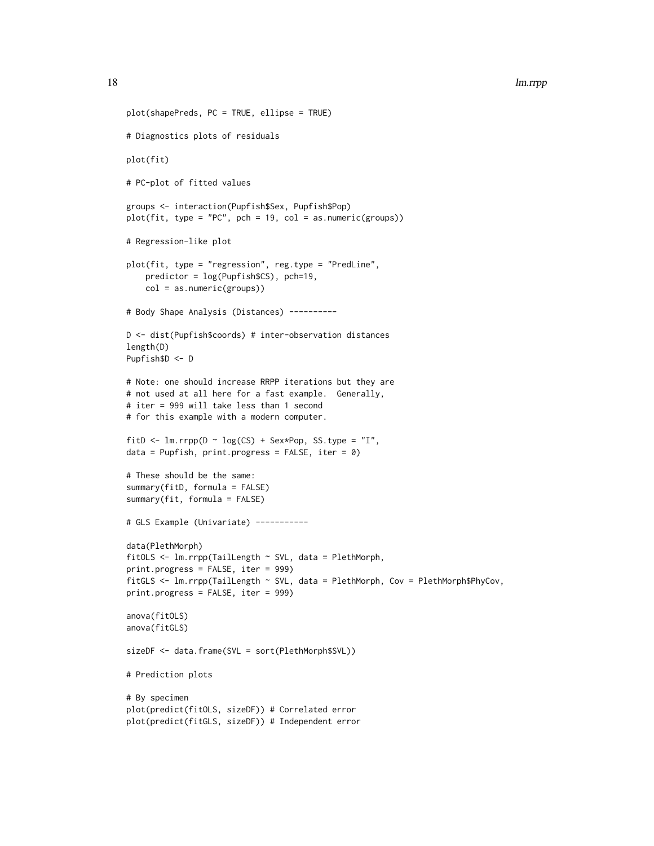```
plot(shapePreds, PC = TRUE, ellipse = TRUE)
# Diagnostics plots of residuals
plot(fit)
# PC-plot of fitted values
groups <- interaction(Pupfish$Sex, Pupfish$Pop)
plot(fit, type = "PC", pch = 19, col = as.numeric(grough))# Regression-like plot
plot(fit, type = "regression", reg.type = "PredLine",
    predictor = log(Pupfish$CS), pch=19,
    col = as.numeric(groups))
# Body Shape Analysis (Distances) ----------
D <- dist(Pupfish$coords) # inter-observation distances
length(D)
Pupfish$D <- D
# Note: one should increase RRPP iterations but they are
# not used at all here for a fast example. Generally,
# iter = 999 will take less than 1 second
# for this example with a modern computer.
fitD <- lm.rrpp(D \sim log(CS) + Sex*Pop, SS.type = "I",data = Pupfish, print.progress = FALSE, iter = \theta)
# These should be the same:
summary(fitD, formula = FALSE)
summary(fit, formula = FALSE)
# GLS Example (Univariate) -----------
data(PlethMorph)
fitOLS <- lm.rrpp(TailLength ~ SVL, data = PlethMorph,
print.progress = FALSE, iter = 999)
fitGLS <- lm.rrpp(TailLength ~ SVL, data = PlethMorph, Cov = PlethMorph$PhyCov,
print.progress = FALSE, iter = 999)
anova(fitOLS)
anova(fitGLS)
sizeDF <- data.frame(SVL = sort(PlethMorph$SVL))
# Prediction plots
# By specimen
plot(predict(fitOLS, sizeDF)) # Correlated error
plot(predict(fitGLS, sizeDF)) # Independent error
```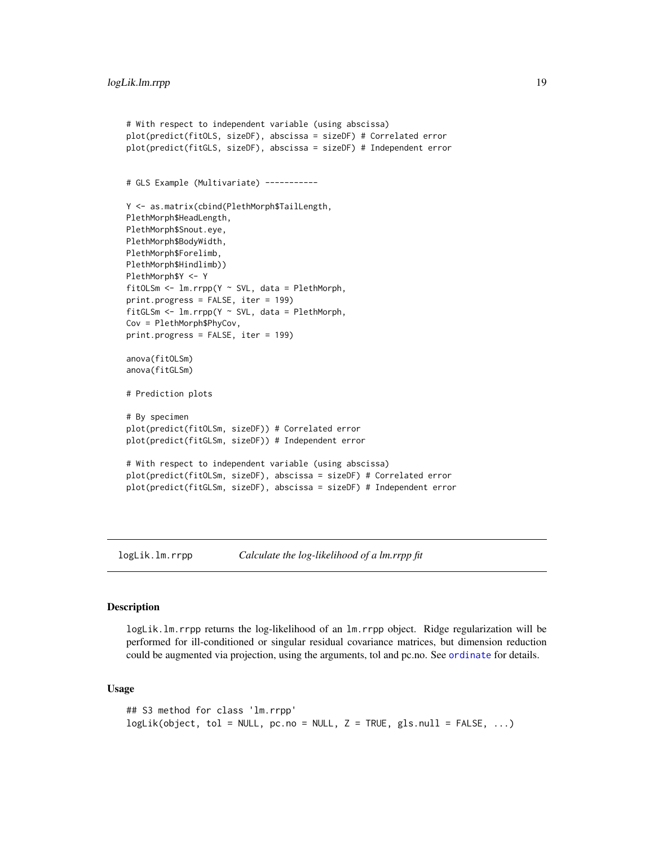```
# With respect to independent variable (using abscissa)
plot(predict(fitOLS, sizeDF), abscissa = sizeDF) # Correlated error
plot(predict(fitGLS, sizeDF), abscissa = sizeDF) # Independent error
# GLS Example (Multivariate) -----------
Y <- as.matrix(cbind(PlethMorph$TailLength,
PlethMorph$HeadLength,
PlethMorph$Snout.eye,
PlethMorph$BodyWidth,
PlethMorph$Forelimb,
PlethMorph$Hindlimb))
PlethMorph$Y <- Y
fitOLSm <- lm.rrpp(Y ~ SVL, data = PlethMorph,
print.progress = FALSE, iter = 199)
fitGLSm \leq 1m.rrpp(Y \sim SVL, data = PlethMorph,
Cov = PlethMorph$PhyCov,
print.progress = FALSE, iter = 199)
anova(fitOLSm)
anova(fitGLSm)
# Prediction plots
# By specimen
plot(predict(fitOLSm, sizeDF)) # Correlated error
plot(predict(fitGLSm, sizeDF)) # Independent error
# With respect to independent variable (using abscissa)
plot(predict(fitOLSm, sizeDF), abscissa = sizeDF) # Correlated error
plot(predict(fitGLSm, sizeDF), abscissa = sizeDF) # Independent error
```
logLik.lm.rrpp *Calculate the log-likelihood of a lm.rrpp fit*

#### **Description**

logLik.lm.rrpp returns the log-likelihood of an lm.rrpp object. Ridge regularization will be performed for ill-conditioned or singular residual covariance matrices, but dimension reduction could be augmented via projection, using the arguments, tol and pc.no. See [ordinate](#page-30-1) for details.

## Usage

```
## S3 method for class 'lm.rrpp'
logLik(object, tol = NULL, pc.no = NULL, Z = TRUE, gls.null = FALSE, ...)
```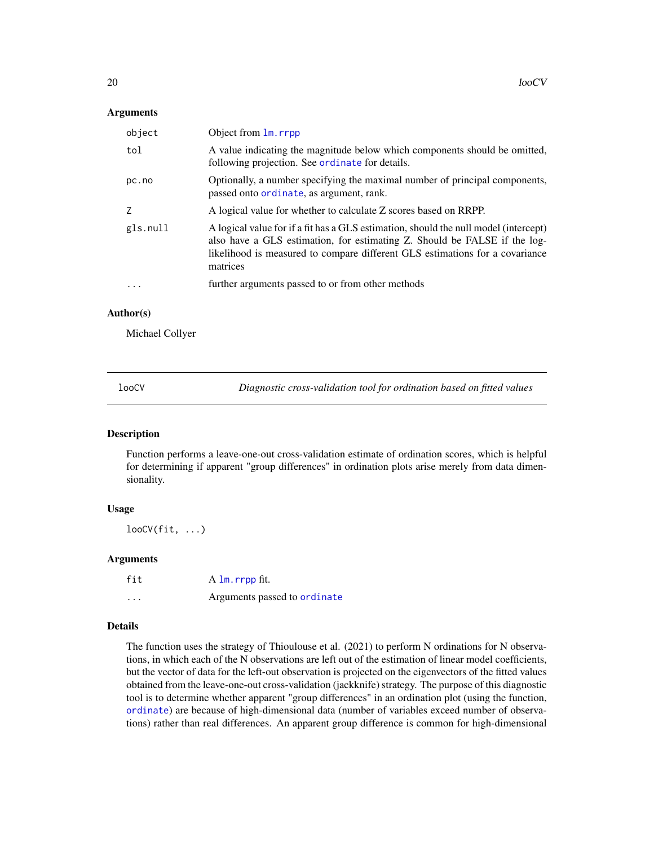# <span id="page-19-0"></span>Arguments

| object   | Object from 1m. rrpp                                                                                                                                                                                                                                          |
|----------|---------------------------------------------------------------------------------------------------------------------------------------------------------------------------------------------------------------------------------------------------------------|
| tol      | A value indicating the magnitude below which components should be omitted,<br>following projection. See ordinate for details.                                                                                                                                 |
| pc.no    | Optionally, a number specifying the maximal number of principal components,<br>passed onto ordinate, as argument, rank.                                                                                                                                       |
| Z        | A logical value for whether to calculate Z scores based on RRPP.                                                                                                                                                                                              |
| gls.null | A logical value for if a fit has a GLS estimation, should the null model (intercept)<br>also have a GLS estimation, for estimating Z. Should be FALSE if the log-<br>likelihood is measured to compare different GLS estimations for a covariance<br>matrices |
|          | further arguments passed to or from other methods                                                                                                                                                                                                             |

# Author(s)

Michael Collyer

looCV *Diagnostic cross-validation tool for ordination based on fitted values*

# Description

Function performs a leave-one-out cross-validation estimate of ordination scores, which is helpful for determining if apparent "group differences" in ordination plots arise merely from data dimensionality.

#### Usage

 $loocV(fit, ...)$ 

# Arguments

| fit      | A lm.rrpp fit.               |
|----------|------------------------------|
| $\cdots$ | Arguments passed to ordinate |

# Details

The function uses the strategy of Thioulouse et al. (2021) to perform N ordinations for N observations, in which each of the N observations are left out of the estimation of linear model coefficients, but the vector of data for the left-out observation is projected on the eigenvectors of the fitted values obtained from the leave-one-out cross-validation (jackknife) strategy. The purpose of this diagnostic tool is to determine whether apparent "group differences" in an ordination plot (using the function, [ordinate](#page-30-1)) are because of high-dimensional data (number of variables exceed number of observations) rather than real differences. An apparent group difference is common for high-dimensional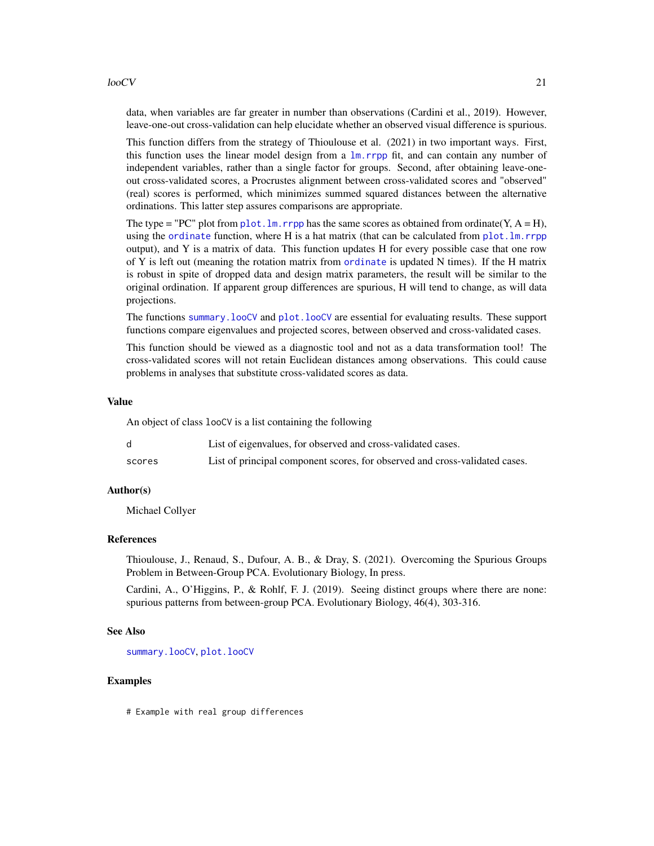#### $l$ oo $CV$  21

data, when variables are far greater in number than observations (Cardini et al., 2019). However, leave-one-out cross-validation can help elucidate whether an observed visual difference is spurious.

This function differs from the strategy of Thioulouse et al. (2021) in two important ways. First, this function uses the linear model design from a  $lm$ . rrpp fit, and can contain any number of independent variables, rather than a single factor for groups. Second, after obtaining leave-oneout cross-validated scores, a Procrustes alignment between cross-validated scores and "observed" (real) scores is performed, which minimizes summed squared distances between the alternative ordinations. This latter step assures comparisons are appropriate.

The type = "PC" plot from plot. lm. rrpp has the same scores as obtained from ordinate(Y,  $A = H$ ), using the [ordinate](#page-30-1) function, where H is a hat matrix (that can be calculated from  $plot.lm$ .rrpp output), and Y is a matrix of data. This function updates H for every possible case that one row of Y is left out (meaning the rotation matrix from [ordinate](#page-30-1) is updated N times). If the H matrix is robust in spite of dropped data and design matrix parameters, the result will be similar to the original ordination. If apparent group differences are spurious, H will tend to change, as will data projections.

The functions summary. looCV and plot. looCV are essential for evaluating results. These support functions compare eigenvalues and projected scores, between observed and cross-validated cases.

This function should be viewed as a diagnostic tool and not as a data transformation tool! The cross-validated scores will not retain Euclidean distances among observations. This could cause problems in analyses that substitute cross-validated scores as data.

#### Value

An object of class looCV is a list containing the following

|        | List of eigenvalues, for observed and cross-validated cases.                |
|--------|-----------------------------------------------------------------------------|
| scores | List of principal component scores, for observed and cross-validated cases. |

#### Author(s)

Michael Collyer

# References

Thioulouse, J., Renaud, S., Dufour, A. B., & Dray, S. (2021). Overcoming the Spurious Groups Problem in Between-Group PCA. Evolutionary Biology, In press.

Cardini, A., O'Higgins, P., & Rohlf, F. J. (2019). Seeing distinct groups where there are none: spurious patterns from between-group PCA. Evolutionary Biology, 46(4), 303-316.

# See Also

[summary.looCV](#page-63-1), [plot.looCV](#page-41-1)

# Examples

# Example with real group differences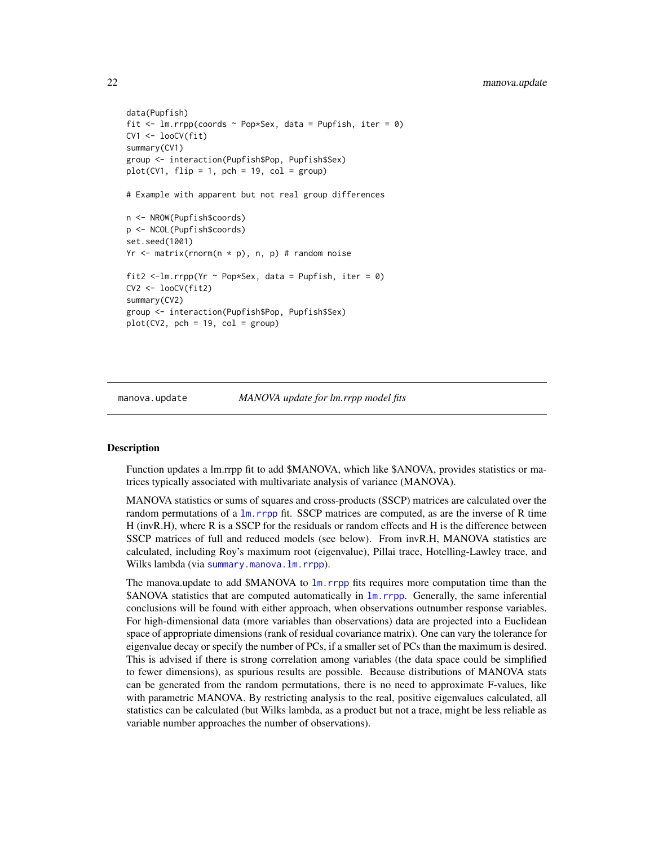```
data(Pupfish)
fit \leq 1m.rrpp(coords \sim Pop*Sex, data = Pupfish, iter = 0)
CV1 < - looCV(fit)
summary(CV1)
group <- interaction(Pupfish$Pop, Pupfish$Sex)
plot(CV1, flip = 1, pch = 19, col = group)# Example with apparent but not real group differences
n <- NROW(Pupfish$coords)
p <- NCOL(Pupfish$coords)
set.seed(1001)
Yr \leq matrix(rnorm(n * p), n, p) # random noise
fit2 <-1m.rrpp(Yr ~ Pop*Sex, data = Pupfish, iter = 0)
CV2 < - looCV(fit2)
summary(CV2)
group <- interaction(Pupfish$Pop, Pupfish$Sex)
plot(CV2, pch = 19, col = group)
```
<span id="page-21-1"></span>

manova.update *MANOVA update for lm.rrpp model fits*

#### **Description**

Function updates a lm.rrpp fit to add \$MANOVA, which like \$ANOVA, provides statistics or matrices typically associated with multivariate analysis of variance (MANOVA).

MANOVA statistics or sums of squares and cross-products (SSCP) matrices are calculated over the random permutations of a  $\text{lm}$ . rrpp fit. SSCP matrices are computed, as are the inverse of R time H (invR.H), where R is a SSCP for the residuals or random effects and H is the difference between SSCP matrices of full and reduced models (see below). From invR.H, MANOVA statistics are calculated, including Roy's maximum root (eigenvalue), Pillai trace, Hotelling-Lawley trace, and Wilks lambda (via [summary.manova.lm.rrpp](#page-64-1)).

The manova.update to add \$MANOVA to [lm.rrpp](#page-11-1) fits requires more computation time than the \$ANOVA statistics that are computed automatically in  $\text{lm}$ . rrpp. Generally, the same inferential conclusions will be found with either approach, when observations outnumber response variables. For high-dimensional data (more variables than observations) data are projected into a Euclidean space of appropriate dimensions (rank of residual covariance matrix). One can vary the tolerance for eigenvalue decay or specify the number of PCs, if a smaller set of PCs than the maximum is desired. This is advised if there is strong correlation among variables (the data space could be simplified to fewer dimensions), as spurious results are possible. Because distributions of MANOVA stats can be generated from the random permutations, there is no need to approximate F-values, like with parametric MANOVA. By restricting analysis to the real, positive eigenvalues calculated, all statistics can be calculated (but Wilks lambda, as a product but not a trace, might be less reliable as variable number approaches the number of observations).

<span id="page-21-0"></span>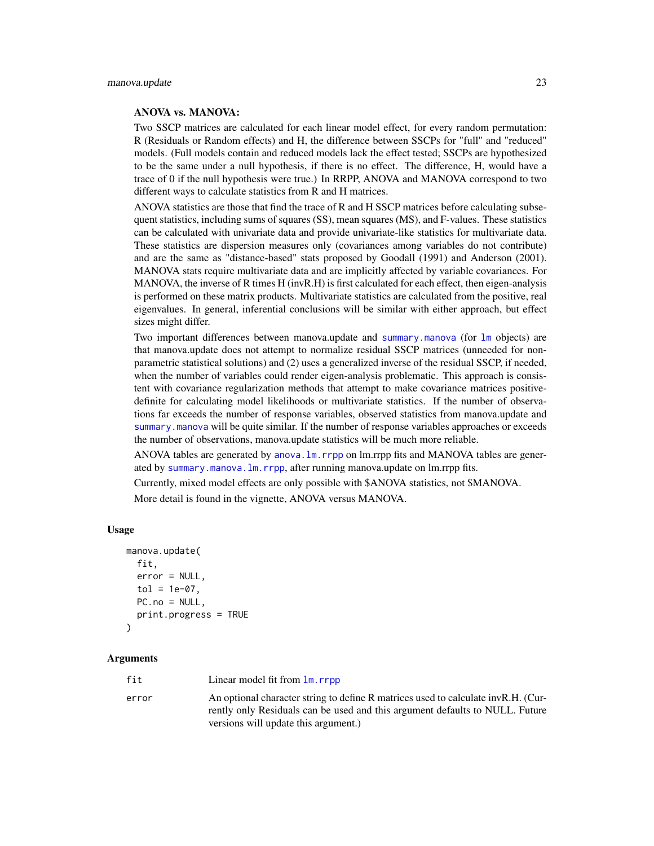# ANOVA vs. MANOVA:

Two SSCP matrices are calculated for each linear model effect, for every random permutation: R (Residuals or Random effects) and H, the difference between SSCPs for "full" and "reduced" models. (Full models contain and reduced models lack the effect tested; SSCPs are hypothesized to be the same under a null hypothesis, if there is no effect. The difference, H, would have a trace of 0 if the null hypothesis were true.) In RRPP, ANOVA and MANOVA correspond to two different ways to calculate statistics from R and H matrices.

ANOVA statistics are those that find the trace of R and H SSCP matrices before calculating subsequent statistics, including sums of squares (SS), mean squares (MS), and F-values. These statistics can be calculated with univariate data and provide univariate-like statistics for multivariate data. These statistics are dispersion measures only (covariances among variables do not contribute) and are the same as "distance-based" stats proposed by Goodall (1991) and Anderson (2001). MANOVA stats require multivariate data and are implicitly affected by variable covariances. For MANOVA, the inverse of R times H (invR.H) is first calculated for each effect, then eigen-analysis is performed on these matrix products. Multivariate statistics are calculated from the positive, real eigenvalues. In general, inferential conclusions will be similar with either approach, but effect sizes might differ.

Two important differences between manova.update and [summary.manova](#page-0-0) (for [lm](#page-0-0) objects) are that manova.update does not attempt to normalize residual SSCP matrices (unneeded for nonparametric statistical solutions) and (2) uses a generalized inverse of the residual SSCP, if needed, when the number of variables could render eigen-analysis problematic. This approach is consistent with covariance regularization methods that attempt to make covariance matrices positivedefinite for calculating model likelihoods or multivariate statistics. If the number of observations far exceeds the number of response variables, observed statistics from manova.update and [summary.manova](#page-0-0) will be quite similar. If the number of response variables approaches or exceeds the number of observations, manova.update statistics will be much more reliable.

ANOVA tables are generated by anova. Im. rrpp on lm.rrpp fits and MANOVA tables are generated by [summary.manova.lm.rrpp](#page-64-1), after running manova.update on lm.rrpp fits.

Currently, mixed model effects are only possible with \$ANOVA statistics, not \$MANOVA.

More detail is found in the vignette, ANOVA versus MANOVA.

## Usage

```
manova.update(
  fit,
  error = NULL,
  tol = 1e-07,
  PC.no = NULL,
  print.progress = TRUE
\mathcal{L}
```
#### **Arguments**

| fit   | Linear model fit from $\text{Im} \cdot \text{rpp}$                                                                                                                |
|-------|-------------------------------------------------------------------------------------------------------------------------------------------------------------------|
| error | An optional character string to define R matrices used to calculate invR.H. (Cur-<br>rently only Residuals can be used and this argument defaults to NULL. Future |
|       | versions will update this argument.)                                                                                                                              |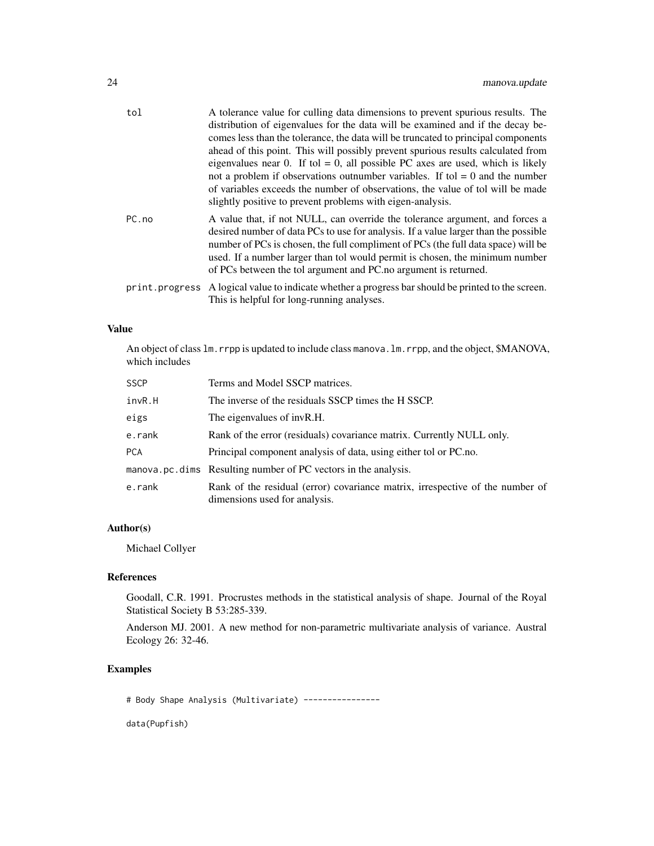| tol   | A tolerance value for culling data dimensions to prevent spurious results. The<br>distribution of eigenvalues for the data will be examined and if the decay be-<br>comes less than the tolerance, the data will be truncated to principal components<br>ahead of this point. This will possibly prevent spurious results calculated from<br>eigenvalues near 0. If tol = 0, all possible PC axes are used, which is likely<br>not a problem if observations outnumber variables. If tol $= 0$ and the number<br>of variables exceeds the number of observations, the value of tol will be made<br>slightly positive to prevent problems with eigen-analysis. |
|-------|---------------------------------------------------------------------------------------------------------------------------------------------------------------------------------------------------------------------------------------------------------------------------------------------------------------------------------------------------------------------------------------------------------------------------------------------------------------------------------------------------------------------------------------------------------------------------------------------------------------------------------------------------------------|
| PC.no | A value that, if not NULL, can override the tolerance argument, and forces a<br>desired number of data PCs to use for analysis. If a value larger than the possible<br>number of PCs is chosen, the full compliment of PCs (the full data space) will be<br>used. If a number larger than tol would permit is chosen, the minimum number<br>of PCs between the tol argument and PC.no argument is returned.                                                                                                                                                                                                                                                   |
|       | print. progress A logical value to indicate whether a progress bar should be printed to the screen.<br>This is helpful for long-running analyses.                                                                                                                                                                                                                                                                                                                                                                                                                                                                                                             |

# Value

An object of class  $lm$ . rrpp is updated to include class manova.  $lm$ . rrpp, and the object, \$MANOVA, which includes

| <b>SSCP</b> | Terms and Model SSCP matrices.                                                                                 |
|-------------|----------------------------------------------------------------------------------------------------------------|
| invR.H      | The inverse of the residuals SSCP times the H SSCP.                                                            |
| eigs        | The eigenvalues of invR.H.                                                                                     |
| e.rank      | Rank of the error (residuals) covariance matrix. Currently NULL only.                                          |
| <b>PCA</b>  | Principal component analysis of data, using either tol or PC.no.                                               |
|             | manova.pc.dims Resulting number of PC vectors in the analysis.                                                 |
| e.rank      | Rank of the residual (error) covariance matrix, irrespective of the number of<br>dimensions used for analysis. |

# Author(s)

Michael Collyer

# References

Goodall, C.R. 1991. Procrustes methods in the statistical analysis of shape. Journal of the Royal Statistical Society B 53:285-339.

Anderson MJ. 2001. A new method for non-parametric multivariate analysis of variance. Austral Ecology 26: 32-46.

# Examples

# Body Shape Analysis (Multivariate) ----------------

data(Pupfish)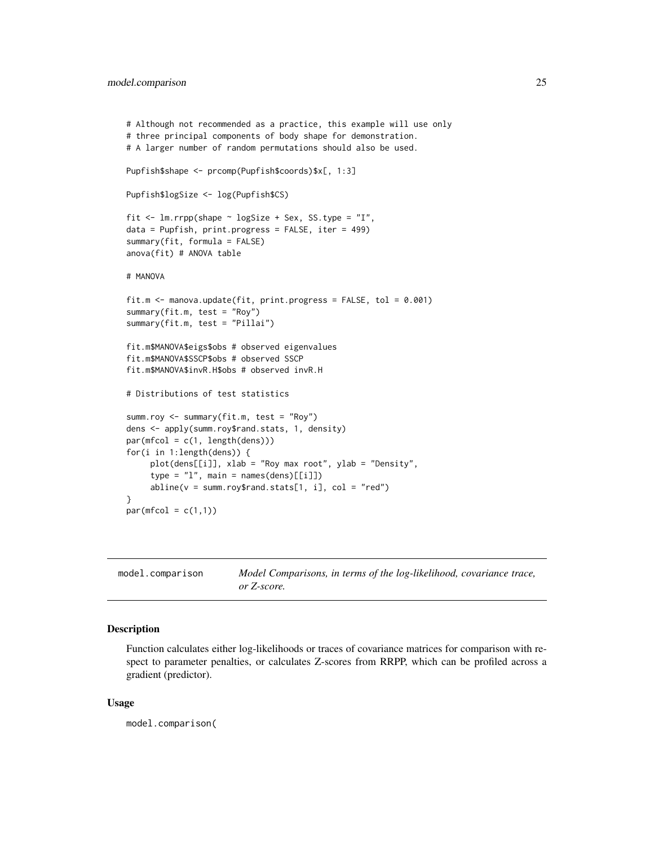```
# Although not recommended as a practice, this example will use only
# three principal components of body shape for demonstration.
# A larger number of random permutations should also be used.
Pupfish$shape <- prcomp(Pupfish$coords)$x[, 1:3]
Pupfish$logSize <- log(Pupfish$CS)
fit \le 1m.rrpp(shape \sim logSize + Sex, SS.type = "I",
data = Pupfish, print.progress = FALSE, iter = 499)
summary(fit, formula = FALSE)
anova(fit) # ANOVA table
# MANOVA
fit.m <- manova.update(fit, print.progress = FALSE, tol = 0.001)
summary(fit.m, test = "Roy")
summary(fit.m, test = "Pillai")
fit.m$MANOVA$eigs$obs # observed eigenvalues
fit.m$MANOVA$SSCP$obs # observed SSCP
fit.m$MANOVA$invR.H$obs # observed invR.H
# Distributions of test statistics
summ.roy <- summary(fit.m, test = "Roy")
dens <- apply(summ.roy$rand.stats, 1, density)
par(mfcol = c(1, length(dens)))for(i in 1:length(dens)) {
    plot(dens[[i]], xlab = "Roy max root", ylab = "Density",
     type = "1", main = names(dens)[[i]])
     abline(v = summroy$rand.stats[1, i], col = "red")}
par(mfcol = c(1,1))
```

| model.comparison | Model Comparisons, in terms of the log-likelihood, covariance trace, |
|------------------|----------------------------------------------------------------------|
|                  | or Z-score.                                                          |

# Description

Function calculates either log-likelihoods or traces of covariance matrices for comparison with respect to parameter penalties, or calculates Z-scores from RRPP, which can be profiled across a gradient (predictor).

#### Usage

model.comparison(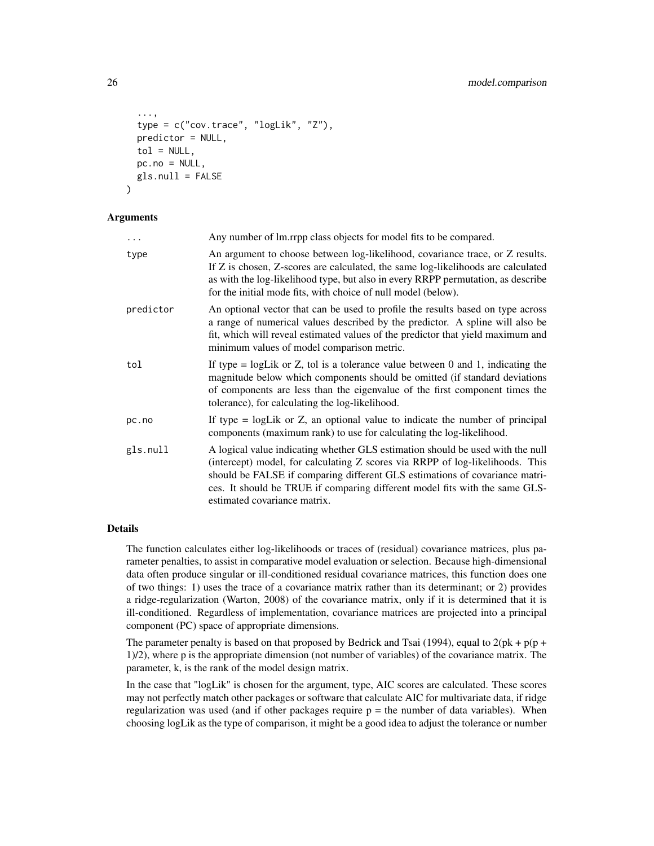```
...,
  type = c("cov.trace", "logLik", "Z"),
 predictor = NULL,
 tol = NULL,pc.no = NULL,gls.null = FALSE
)
```
#### Arguments

| $\ddots$  | Any number of lm.rrpp class objects for model fits to be compared.                                                                                                                                                                                                                                                                                            |
|-----------|---------------------------------------------------------------------------------------------------------------------------------------------------------------------------------------------------------------------------------------------------------------------------------------------------------------------------------------------------------------|
| type      | An argument to choose between log-likelihood, covariance trace, or Z results.<br>If Z is chosen, Z-scores are calculated, the same log-likelihoods are calculated<br>as with the log-likelihood type, but also in every RRPP permutation, as describe<br>for the initial mode fits, with choice of null model (below).                                        |
| predictor | An optional vector that can be used to profile the results based on type across<br>a range of numerical values described by the predictor. A spline will also be<br>fit, which will reveal estimated values of the predictor that yield maximum and<br>minimum values of model comparison metric.                                                             |
| tol       | If type $=$ logLik or Z, tol is a tolerance value between 0 and 1, indicating the<br>magnitude below which components should be omitted (if standard deviations<br>of components are less than the eigenvalue of the first component times the<br>tolerance), for calculating the log-likelihood.                                                             |
| pc.no     | If type $=$ logLik or $Z$ , an optional value to indicate the number of principal<br>components (maximum rank) to use for calculating the log-likelihood.                                                                                                                                                                                                     |
| gls.null  | A logical value indicating whether GLS estimation should be used with the null<br>(intercept) model, for calculating Z scores via RRPP of log-likelihoods. This<br>should be FALSE if comparing different GLS estimations of covariance matri-<br>ces. It should be TRUE if comparing different model fits with the same GLS-<br>estimated covariance matrix. |

# Details

The function calculates either log-likelihoods or traces of (residual) covariance matrices, plus parameter penalties, to assist in comparative model evaluation or selection. Because high-dimensional data often produce singular or ill-conditioned residual covariance matrices, this function does one of two things: 1) uses the trace of a covariance matrix rather than its determinant; or 2) provides a ridge-regularization (Warton, 2008) of the covariance matrix, only if it is determined that it is ill-conditioned. Regardless of implementation, covariance matrices are projected into a principal component (PC) space of appropriate dimensions.

The parameter penalty is based on that proposed by Bedrick and Tsai (1994), equal to  $2(\text{pk} + \text{p}(\text{p} +$ 1)/2), where p is the appropriate dimension (not number of variables) of the covariance matrix. The parameter, k, is the rank of the model design matrix.

In the case that "logLik" is chosen for the argument, type, AIC scores are calculated. These scores may not perfectly match other packages or software that calculate AIC for multivariate data, if ridge regularization was used (and if other packages require  $p =$  the number of data variables). When choosing logLik as the type of comparison, it might be a good idea to adjust the tolerance or number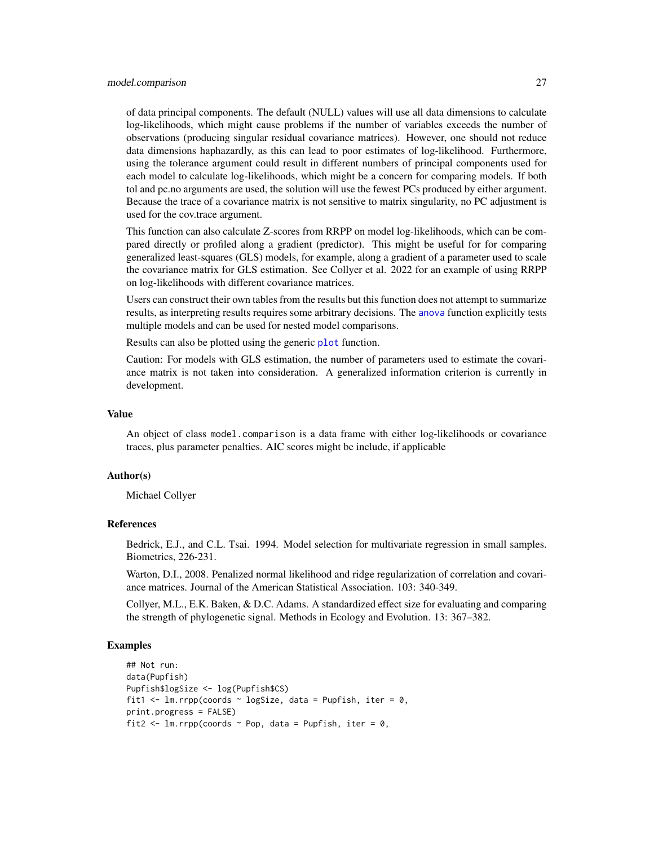#### model.comparison 27

of data principal components. The default (NULL) values will use all data dimensions to calculate log-likelihoods, which might cause problems if the number of variables exceeds the number of observations (producing singular residual covariance matrices). However, one should not reduce data dimensions haphazardly, as this can lead to poor estimates of log-likelihood. Furthermore, using the tolerance argument could result in different numbers of principal components used for each model to calculate log-likelihoods, which might be a concern for comparing models. If both tol and pc.no arguments are used, the solution will use the fewest PCs produced by either argument. Because the trace of a covariance matrix is not sensitive to matrix singularity, no PC adjustment is used for the cov.trace argument.

This function can also calculate Z-scores from RRPP on model log-likelihoods, which can be compared directly or profiled along a gradient (predictor). This might be useful for for comparing generalized least-squares (GLS) models, for example, along a gradient of a parameter used to scale the covariance matrix for GLS estimation. See Collyer et al. 2022 for an example of using RRPP on log-likelihoods with different covariance matrices.

Users can construct their own tables from the results but this function does not attempt to summarize results, as interpreting results requires some arbitrary decisions. The [anova](#page-0-0) function explicitly tests multiple models and can be used for nested model comparisons.

Results can also be plotted using the generic [plot](#page-0-0) function.

Caution: For models with GLS estimation, the number of parameters used to estimate the covariance matrix is not taken into consideration. A generalized information criterion is currently in development.

#### Value

An object of class model.comparison is a data frame with either log-likelihoods or covariance traces, plus parameter penalties. AIC scores might be include, if applicable

#### Author(s)

Michael Collyer

#### References

Bedrick, E.J., and C.L. Tsai. 1994. Model selection for multivariate regression in small samples. Biometrics, 226-231.

Warton, D.I., 2008. Penalized normal likelihood and ridge regularization of correlation and covariance matrices. Journal of the American Statistical Association. 103: 340-349.

Collyer, M.L., E.K. Baken, & D.C. Adams. A standardized effect size for evaluating and comparing the strength of phylogenetic signal. Methods in Ecology and Evolution. 13: 367–382.

#### Examples

```
## Not run:
data(Pupfish)
Pupfish$logSize <- log(Pupfish$CS)
fit1 <- lm.rrpp(coords ~ logSize, data = Pupfish, iter = 0,
print.progress = FALSE)
fit2 <- lm.rrpp(coords ~ Pop, data = Pupfish, iter = 0,
```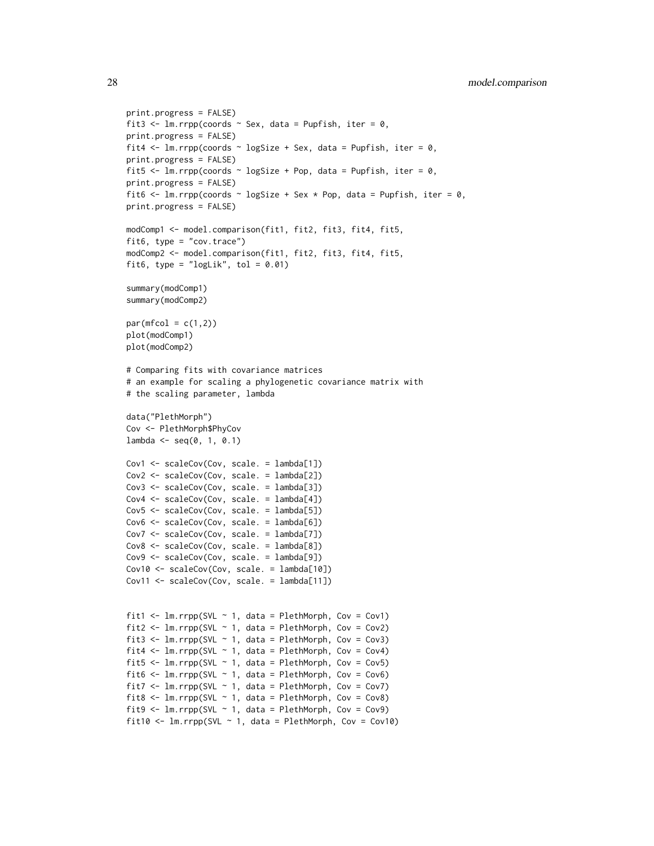```
print.progress = FALSE)
fit3 <- lm.rrpp(coords \sim Sex, data = Pupfish, iter = 0,
print.progress = FALSE)
fit4 \leq lm.rrpp(coords \sim logSize + Sex, data = Pupfish, iter = 0,
print.progress = FALSE)
fit5 <- lm.rrpp(coords \sim logSize + Pop, data = Pupfish, iter = 0,
print.progress = FALSE)
fit6 <- lm.rrpp(coords \sim logSize + Sex * Pop, data = Pupfish, iter = 0,
print.progress = FALSE)
modComp1 <- model.comparison(fit1, fit2, fit3, fit4, fit5,
fit6, type = "cov.trace")
modComp2 <- model.comparison(fit1, fit2, fit3, fit4, fit5,
fit6, type = "logLik", tol = 0.01)
summary(modComp1)
summary(modComp2)
par(mfcol = c(1,2))plot(modComp1)
plot(modComp2)
# Comparing fits with covariance matrices
# an example for scaling a phylogenetic covariance matrix with
# the scaling parameter, lambda
data("PlethMorph")
Cov <- PlethMorph$PhyCov
lambda < - seq(0, 1, 0.1)Cov1 <- scaleCov(Cov, scale. = lambda[1])
Cov2 <- scaleCov(Cov, scale. = lambda[2])
Cov3 <- scaleCov(Cov, scale. = lambda[3])
Cov4 <- scaleCov(Cov, scale. = lambda[4])
Cov5 <- scaleCov(Cov, scale. = lambda[5])
Cov6 <- scaleCov(Cov, scale. = lambda[6])
Cov7 <- scaleCov(Cov, scale. = lambda[7])
Cov8 <- scaleCov(Cov, scale. = lambda[8])
Cov9 <- scaleCov(Cov, scale. = lambda[9])
Cov10 <- scaleCov(Cov, scale. = lambda[10])
Cov11 <- scaleCov(Cov, scale. = lambda[11])
fit1 <- lm.rrpp(SVL \sim 1, data = PlethMorph, Cov = Cov1)fit2 <- lm.rrpp(SVL \sim 1, data = PlethMorph, Cov = Cov2)fit3 <- lm.rrpp(SVL \sim 1, data = PlethMorph, Cov = Cov3)fit4 \leftarrow lm.rrpp(SVL \sim 1, data = PlethMorph, Cov = Cov4)
fit5 \leftarrow lm.rrpp(SVL \sim 1, data = PlethMorph, Cov = Cov5)
fit6 <- lm.rrpp(SVL \sim 1, data = PlethMorph, Cov = Cov6)fit7 <- lm.rrpp(SVL \sim 1, data = PlethMorph, Cov = Cov7)fit8 <- lm.rrpp(SVL \sim 1, data = PlethMorph, Cov = Cov8)fit9 <- lm.rrpp(SVL \sim 1, data = PlethMorph, Cov = Cov9)fit10 <- lm.rrpp(SVL \sim 1, data = PlethMorph, Cov = Cov10)
```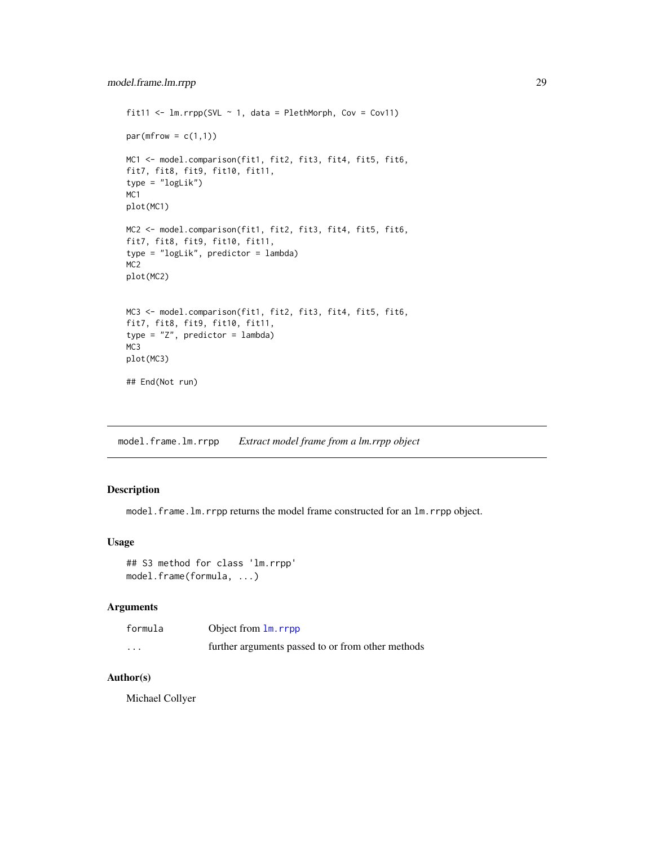```
fit11 <- lm.rrpp(SVL ~ 1, data = PlethMorph, Cov = Cov11)par(mfrow = c(1,1))MC1 <- model.comparison(fit1, fit2, fit3, fit4, fit5, fit6,
fit7, fit8, fit9, fit10, fit11,
type = "logLik")
MC1
plot(MC1)
MC2 <- model.comparison(fit1, fit2, fit3, fit4, fit5, fit6,
fit7, fit8, fit9, fit10, fit11,
type = "logLik", predictor = lambda)
MC2
plot(MC2)
MC3 <- model.comparison(fit1, fit2, fit3, fit4, fit5, fit6,
fit7, fit8, fit9, fit10, fit11,
type = "Z", predictor = lambda)
MC3
plot(MC3)
## End(Not run)
```
model.frame.lm.rrpp *Extract model frame from a lm.rrpp object*

## Description

model.frame.lm.rrpp returns the model frame constructed for an lm.rrpp object.

# Usage

```
## S3 method for class 'lm.rrpp'
model.frame(formula, ...)
```
# Arguments

| formula  | Object from 1m. rrpp                              |
|----------|---------------------------------------------------|
| $\cdots$ | further arguments passed to or from other methods |

# Author(s)

Michael Collyer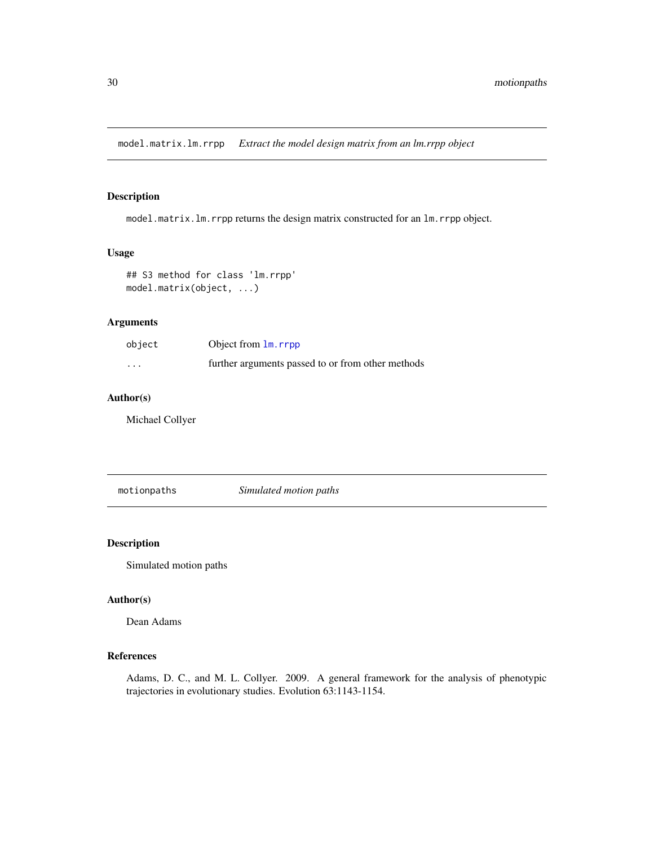<span id="page-29-0"></span>model.matrix.lm.rrpp *Extract the model design matrix from an lm.rrpp object*

# Description

model.matrix.lm.rrpp returns the design matrix constructed for an lm.rrpp object.

# Usage

```
## S3 method for class 'lm.rrpp'
model.matrix(object, ...)
```
# Arguments

| object  | Object from $\text{lm}$ , rrpp                    |
|---------|---------------------------------------------------|
| $\cdot$ | further arguments passed to or from other methods |

# Author(s)

Michael Collyer

motionpaths *Simulated motion paths*

# Description

Simulated motion paths

# Author(s)

Dean Adams

# References

Adams, D. C., and M. L. Collyer. 2009. A general framework for the analysis of phenotypic trajectories in evolutionary studies. Evolution 63:1143-1154.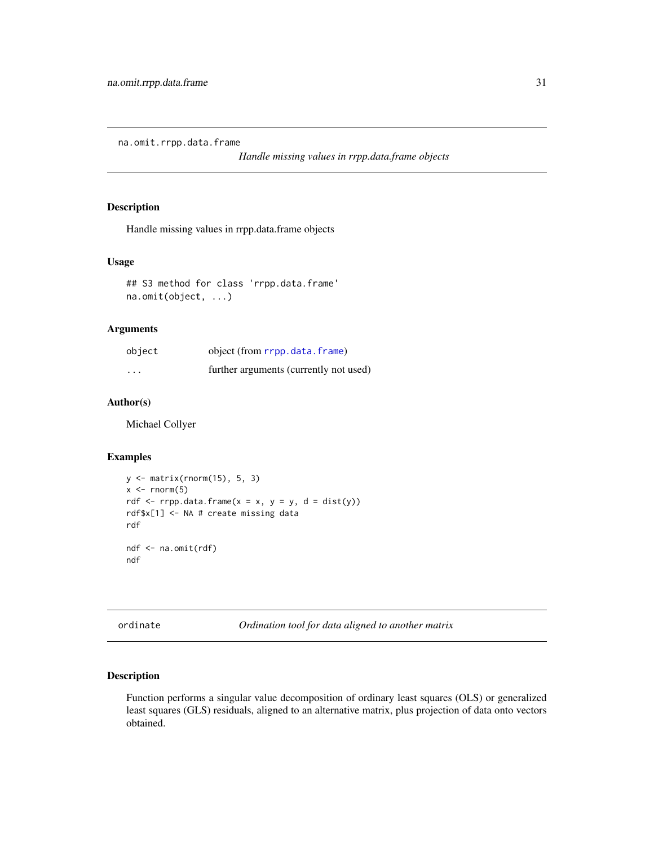<span id="page-30-0"></span>na.omit.rrpp.data.frame

*Handle missing values in rrpp.data.frame objects*

# Description

Handle missing values in rrpp.data.frame objects

# Usage

```
## S3 method for class 'rrpp.data.frame'
na.omit(object, ...)
```
# Arguments

| object   | object (from rrpp.data.frame)          |
|----------|----------------------------------------|
| $\cdots$ | further arguments (currently not used) |

# Author(s)

Michael Collyer

# Examples

```
y <- matrix(rnorm(15), 5, 3)
x \le rnorm(5)
rdf \leq rrpp.data.frame(x = x, y = y, d = dist(y))
rdf$x[1] <- NA # create missing data
rdf
ndf <- na.omit(rdf)
ndf
```
<span id="page-30-1"></span>ordinate *Ordination tool for data aligned to another matrix*

# Description

Function performs a singular value decomposition of ordinary least squares (OLS) or generalized least squares (GLS) residuals, aligned to an alternative matrix, plus projection of data onto vectors obtained.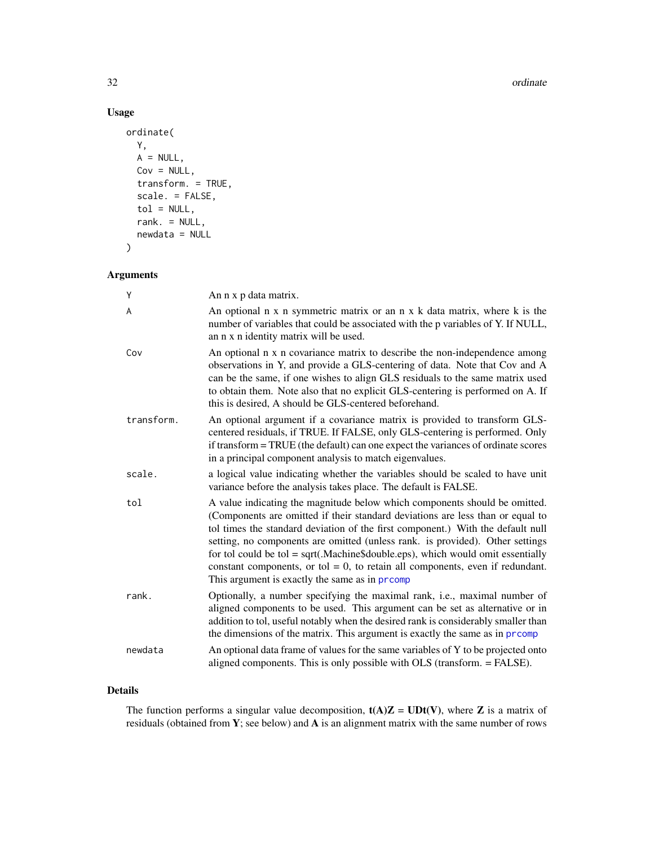#### 32 ordinate and  $\alpha$  ordinate  $\alpha$  ordinate  $\alpha$  ordinate  $\alpha$  ordinate  $\alpha$

# Usage

```
ordinate(
 Y,
 A = NULL,Cov = NULL,transform. = TRUE,
  scale. = FALSE,
  tol = NULL,rank. = NULL,
 newdata = NULL
)
```
# Arguments

| Ý          | An n x p data matrix.                                                                                                                                                                                                                                                                                                                                                                                                                                                                                                                                        |
|------------|--------------------------------------------------------------------------------------------------------------------------------------------------------------------------------------------------------------------------------------------------------------------------------------------------------------------------------------------------------------------------------------------------------------------------------------------------------------------------------------------------------------------------------------------------------------|
| A          | An optional n x n symmetric matrix or an n x k data matrix, where k is the<br>number of variables that could be associated with the p variables of Y. If NULL,<br>an n x n identity matrix will be used.                                                                                                                                                                                                                                                                                                                                                     |
| Cov        | An optional n x n covariance matrix to describe the non-independence among<br>observations in Y, and provide a GLS-centering of data. Note that Cov and A<br>can be the same, if one wishes to align GLS residuals to the same matrix used<br>to obtain them. Note also that no explicit GLS-centering is performed on A. If<br>this is desired, A should be GLS-centered beforehand.                                                                                                                                                                        |
| transform. | An optional argument if a covariance matrix is provided to transform GLS-<br>centered residuals, if TRUE. If FALSE, only GLS-centering is performed. Only<br>if transform = TRUE (the default) can one expect the variances of ordinate scores<br>in a principal component analysis to match eigenvalues.                                                                                                                                                                                                                                                    |
| scale.     | a logical value indicating whether the variables should be scaled to have unit<br>variance before the analysis takes place. The default is FALSE.                                                                                                                                                                                                                                                                                                                                                                                                            |
| tol        | A value indicating the magnitude below which components should be omitted.<br>(Components are omitted if their standard deviations are less than or equal to<br>tol times the standard deviation of the first component.) With the default null<br>setting, no components are omitted (unless rank. is provided). Other settings<br>for tol could be tol = $sqrt(Machine\$ {double.eps}), which would omit essentially<br>constant components, or tol = $0$ , to retain all components, even if redundant.<br>This argument is exactly the same as in prcomp |
| rank.      | Optionally, a number specifying the maximal rank, i.e., maximal number of<br>aligned components to be used. This argument can be set as alternative or in<br>addition to tol, useful notably when the desired rank is considerably smaller than<br>the dimensions of the matrix. This argument is exactly the same as in promp                                                                                                                                                                                                                               |
| newdata    | An optional data frame of values for the same variables of Y to be projected onto<br>aligned components. This is only possible with OLS (transform. = FALSE).                                                                                                                                                                                                                                                                                                                                                                                                |

# Details

The function performs a singular value decomposition,  $t(A)Z = UDt(V)$ , where Z is a matrix of residuals (obtained from Y; see below) and A is an alignment matrix with the same number of rows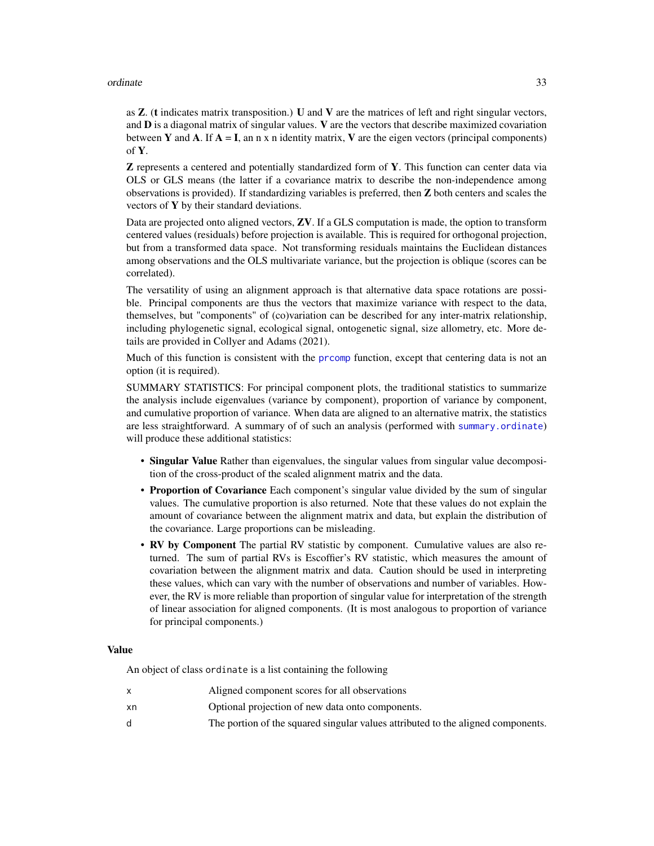#### ordinate 33

as  $Z$ . (t indicates matrix transposition.) U and V are the matrices of left and right singular vectors, and  **is a diagonal matrix of singular values.**  $**V**$  **are the vectors that describe maximized covariation** between Y and A. If  $A = I$ , an n x n identity matrix, V are the eigen vectors (principal components) of Y.

Z represents a centered and potentially standardized form of Y. This function can center data via OLS or GLS means (the latter if a covariance matrix to describe the non-independence among observations is provided). If standardizing variables is preferred, then Z both centers and scales the vectors of  $Y$  by their standard deviations.

Data are projected onto aligned vectors, **ZV**. If a GLS computation is made, the option to transform centered values (residuals) before projection is available. This is required for orthogonal projection, but from a transformed data space. Not transforming residuals maintains the Euclidean distances among observations and the OLS multivariate variance, but the projection is oblique (scores can be correlated).

The versatility of using an alignment approach is that alternative data space rotations are possible. Principal components are thus the vectors that maximize variance with respect to the data, themselves, but "components" of (co)variation can be described for any inter-matrix relationship, including phylogenetic signal, ecological signal, ontogenetic signal, size allometry, etc. More details are provided in Collyer and Adams (2021).

Much of this function is consistent with the promp function, except that centering data is not an option (it is required).

SUMMARY STATISTICS: For principal component plots, the traditional statistics to summarize the analysis include eigenvalues (variance by component), proportion of variance by component, and cumulative proportion of variance. When data are aligned to an alternative matrix, the statistics are less straightforward. A summary of of such an analysis (performed with [summary.ordinate](#page-65-1)) will produce these additional statistics:

- Singular Value Rather than eigenvalues, the singular values from singular value decomposition of the cross-product of the scaled alignment matrix and the data.
- Proportion of Covariance Each component's singular value divided by the sum of singular values. The cumulative proportion is also returned. Note that these values do not explain the amount of covariance between the alignment matrix and data, but explain the distribution of the covariance. Large proportions can be misleading.
- RV by Component The partial RV statistic by component. Cumulative values are also returned. The sum of partial RVs is Escoffier's RV statistic, which measures the amount of covariation between the alignment matrix and data. Caution should be used in interpreting these values, which can vary with the number of observations and number of variables. However, the RV is more reliable than proportion of singular value for interpretation of the strength of linear association for aligned components. (It is most analogous to proportion of variance for principal components.)

#### Value

An object of class ordinate is a list containing the following

|    | Aligned component scores for all observations                                    |
|----|----------------------------------------------------------------------------------|
| xn | Optional projection of new data onto components.                                 |
|    | The portion of the squared singular values attributed to the aligned components. |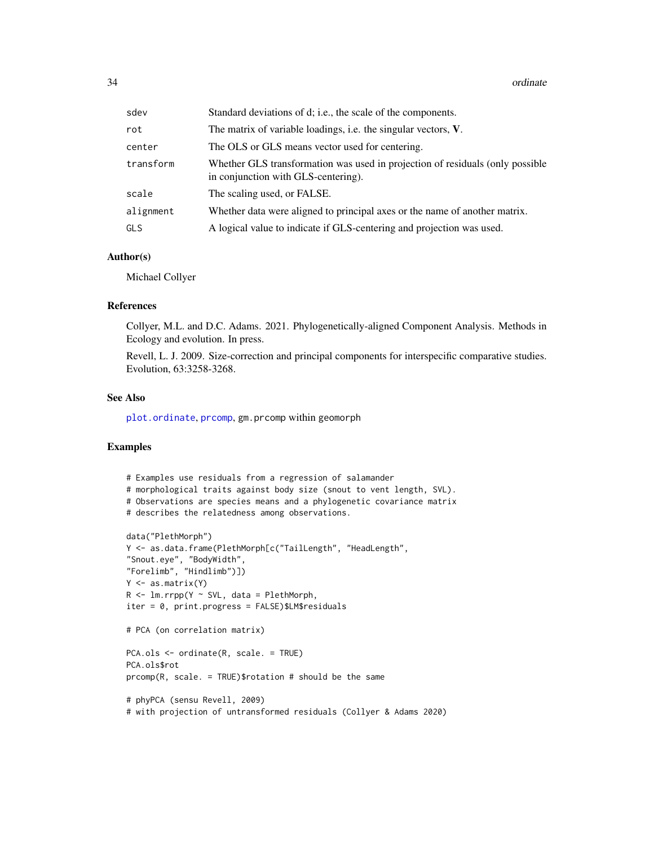34 ordinate

| sdev      | Standard deviations of d; i.e., the scale of the components.                                                         |
|-----------|----------------------------------------------------------------------------------------------------------------------|
| rot       | The matrix of variable loadings, i.e. the singular vectors, V.                                                       |
| center    | The OLS or GLS means vector used for centering.                                                                      |
| transform | Whether GLS transformation was used in projection of residuals (only possible<br>in conjunction with GLS-centering). |
| scale     | The scaling used, or FALSE.                                                                                          |
| alignment | Whether data were aligned to principal axes or the name of another matrix.                                           |
| GLS       | A logical value to indicate if GLS-centering and projection was used.                                                |

# Author(s)

Michael Collyer

# References

Collyer, M.L. and D.C. Adams. 2021. Phylogenetically-aligned Component Analysis. Methods in Ecology and evolution. In press.

Revell, L. J. 2009. Size-correction and principal components for interspecific comparative studies. Evolution, 63:3258-3268.

## See Also

[plot.ordinate](#page-42-1), [prcomp](#page-0-0), gm.prcomp within geomorph

# Examples

```
# Examples use residuals from a regression of salamander
# morphological traits against body size (snout to vent length, SVL).
# Observations are species means and a phylogenetic covariance matrix
# describes the relatedness among observations.
data("PlethMorph")
Y <- as.data.frame(PlethMorph[c("TailLength", "HeadLength",
"Snout.eye", "BodyWidth",
"Forelimb", "Hindlimb")])
Y <- as.matrix(Y)
R \leq -\text{lm.rrpp}(Y \sim SVL, data = PlethMorph,iter = 0, print.progress = FALSE)$LM$residuals
# PCA (on correlation matrix)
PCA.ols <- ordinate(R, scale. = TRUE)
PCA.ols$rot
prcomp(R, scale. = TRUE)$rotation # should be the same
# phyPCA (sensu Revell, 2009)
# with projection of untransformed residuals (Collyer & Adams 2020)
```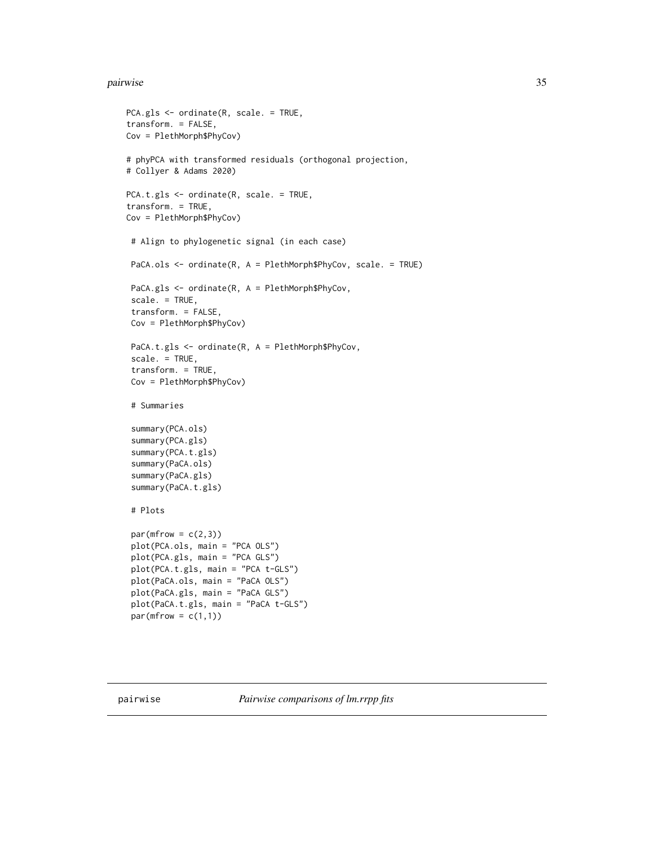#### <span id="page-34-0"></span>pairwise 35

```
PCA.gls <- ordinate(R, scale. = TRUE,
transform. = FALSE,
Cov = PlethMorph$PhyCov)
# phyPCA with transformed residuals (orthogonal projection,
# Collyer & Adams 2020)
PCA.t.gls <- ordinate(R, scale. = TRUE,
transform. = TRUE,
Cov = PlethMorph$PhyCov)
 # Align to phylogenetic signal (in each case)
 PaCA.ols <- ordinate(R, A = PlethMorph$PhyCov, scale. = TRUE)
 PaCA.gls <- ordinate(R, A = PlethMorph$PhyCov,
 scale. = TRUE,
 transform. = FALSE,
 Cov = PlethMorph$PhyCov)
 PaCA.t.gls <- ordinate(R, A = PlethMorph$PhyCov,
 scale. = TRUE,
 transform. = TRUE,
 Cov = PlethMorph$PhyCov)
 # Summaries
 summary(PCA.ols)
 summary(PCA.gls)
 summary(PCA.t.gls)
 summary(PaCA.ols)
 summary(PaCA.gls)
 summary(PaCA.t.gls)
 # Plots
 par(mfrow = c(2,3))plot(PCA.ols, main = "PCA OLS")
 plot(PCA.gls, main = "PCA GLS")
 plot(PCA.t.gls, main = "PCA t-GLS")
 plot(PaCA.ols, main = "PaCA OLS")
 plot(PaCA.gls, main = "PaCA GLS")
 plot(PaCA.t.gls, main = "PaCA t-GLS")
 par(mfrow = c(1,1))
```
<span id="page-34-1"></span>pairwise *Pairwise comparisons of lm.rrpp fits*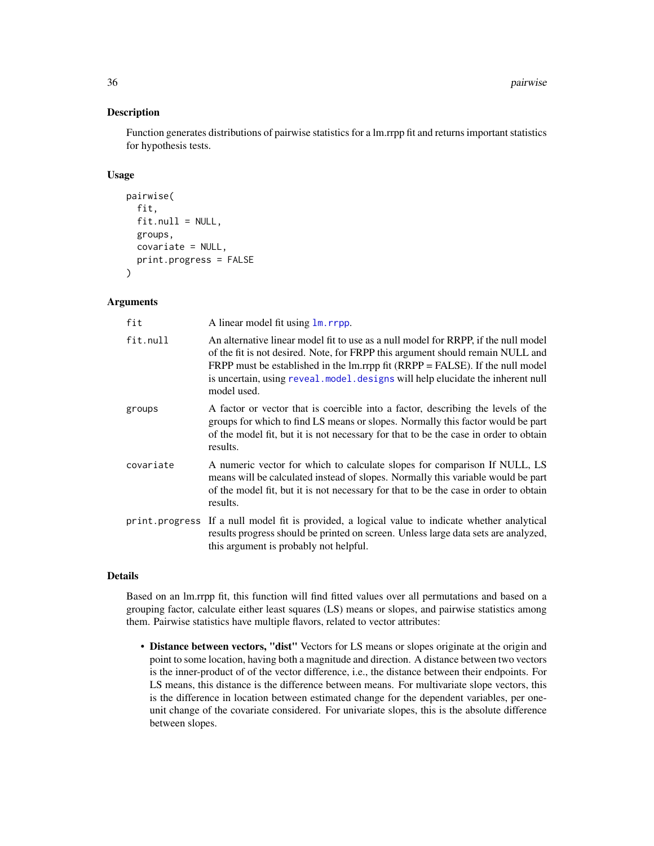# Description

Function generates distributions of pairwise statistics for a lm.rrpp fit and returns important statistics for hypothesis tests.

# Usage

```
pairwise(
  fit,
  fit.null = NULL,groups,
 covariate = NULL,
 print.progress = FALSE
)
```
# Arguments

| fit       | A linear model fit using 1m. rrpp.                                                                                                                                                                                                                                                                                                                           |
|-----------|--------------------------------------------------------------------------------------------------------------------------------------------------------------------------------------------------------------------------------------------------------------------------------------------------------------------------------------------------------------|
| fit.null  | An alternative linear model fit to use as a null model for RRPP, if the null model<br>of the fit is not desired. Note, for FRPP this argument should remain NULL and<br>FRPP must be established in the $lm$ .rrpp fit (RRPP = FALSE). If the null model<br>is uncertain, using reveal . model. designs will help elucidate the inherent null<br>model used. |
| groups    | A factor or vector that is coercible into a factor, describing the levels of the<br>groups for which to find LS means or slopes. Normally this factor would be part<br>of the model fit, but it is not necessary for that to be the case in order to obtain<br>results.                                                                                      |
| covariate | A numeric vector for which to calculate slopes for comparison If NULL, LS<br>means will be calculated instead of slopes. Normally this variable would be part<br>of the model fit, but it is not necessary for that to be the case in order to obtain<br>results.                                                                                            |
|           | print. progress If a null model fit is provided, a logical value to indicate whether analytical<br>results progress should be printed on screen. Unless large data sets are analyzed,<br>this argument is probably not helpful.                                                                                                                              |

# Details

Based on an lm.rrpp fit, this function will find fitted values over all permutations and based on a grouping factor, calculate either least squares (LS) means or slopes, and pairwise statistics among them. Pairwise statistics have multiple flavors, related to vector attributes:

• Distance between vectors, "dist" Vectors for LS means or slopes originate at the origin and point to some location, having both a magnitude and direction. A distance between two vectors is the inner-product of of the vector difference, i.e., the distance between their endpoints. For LS means, this distance is the difference between means. For multivariate slope vectors, this is the difference in location between estimated change for the dependent variables, per oneunit change of the covariate considered. For univariate slopes, this is the absolute difference between slopes.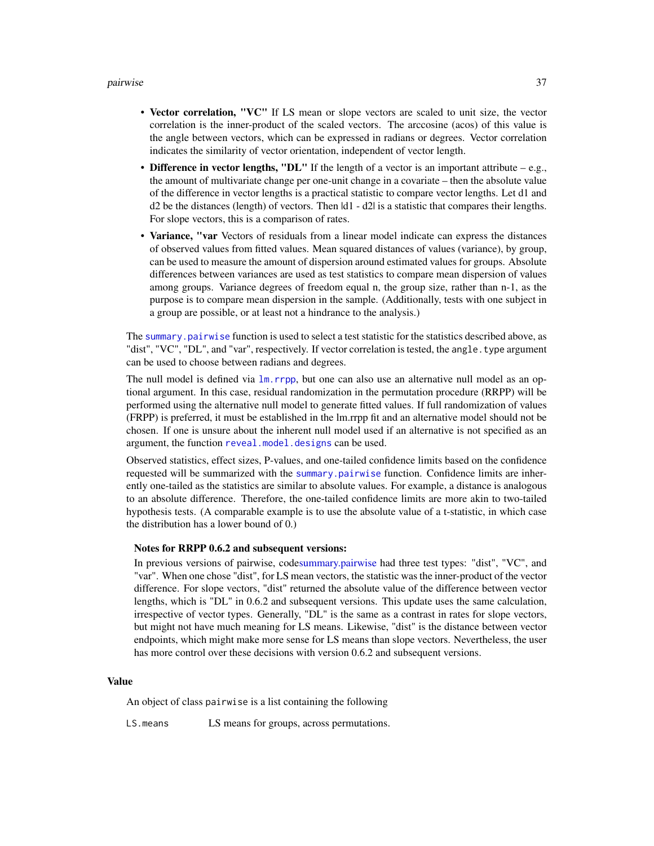#### pairwise 37

- Vector correlation, "VC" If LS mean or slope vectors are scaled to unit size, the vector correlation is the inner-product of the scaled vectors. The arccosine (acos) of this value is the angle between vectors, which can be expressed in radians or degrees. Vector correlation indicates the similarity of vector orientation, independent of vector length.
- Difference in vector lengths, "DL" If the length of a vector is an important attribute e.g., the amount of multivariate change per one-unit change in a covariate – then the absolute value of the difference in vector lengths is a practical statistic to compare vector lengths. Let d1 and d2 be the distances (length) of vectors. Then |d1 - d2| is a statistic that compares their lengths. For slope vectors, this is a comparison of rates.
- Variance, "var Vectors of residuals from a linear model indicate can express the distances of observed values from fitted values. Mean squared distances of values (variance), by group, can be used to measure the amount of dispersion around estimated values for groups. Absolute differences between variances are used as test statistics to compare mean dispersion of values among groups. Variance degrees of freedom equal n, the group size, rather than n-1, as the purpose is to compare mean dispersion in the sample. (Additionally, tests with one subject in a group are possible, or at least not a hindrance to the analysis.)

The summary, pairwise function is used to select a test statistic for the statistics described above, as "dist", "VC", "DL", and "var", respectively. If vector correlation is tested, the angle.type argument can be used to choose between radians and degrees.

The null model is defined via  $\text{lm}$ . rrpp, but one can also use an alternative null model as an optional argument. In this case, residual randomization in the permutation procedure (RRPP) will be performed using the alternative null model to generate fitted values. If full randomization of values (FRPP) is preferred, it must be established in the lm.rrpp fit and an alternative model should not be chosen. If one is unsure about the inherent null model used if an alternative is not specified as an argument, the function [reveal.model.designs](#page-57-0) can be used.

Observed statistics, effect sizes, P-values, and one-tailed confidence limits based on the confidence requested will be summarized with the [summary.pairwise](#page-65-0) function. Confidence limits are inherently one-tailed as the statistics are similar to absolute values. For example, a distance is analogous to an absolute difference. Therefore, the one-tailed confidence limits are more akin to two-tailed hypothesis tests. (A comparable example is to use the absolute value of a t-statistic, in which case the distribution has a lower bound of 0.)

#### Notes for RRPP 0.6.2 and subsequent versions:

In previous versions of pairwise, cod[esummary.pairwise](#page-65-0) had three test types: "dist", "VC", and "var". When one chose "dist", for LS mean vectors, the statistic was the inner-product of the vector difference. For slope vectors, "dist" returned the absolute value of the difference between vector lengths, which is "DL" in 0.6.2 and subsequent versions. This update uses the same calculation, irrespective of vector types. Generally, "DL" is the same as a contrast in rates for slope vectors, but might not have much meaning for LS means. Likewise, "dist" is the distance between vector endpoints, which might make more sense for LS means than slope vectors. Nevertheless, the user has more control over these decisions with version 0.6.2 and subsequent versions.

#### Value

An object of class pairwise is a list containing the following

LS.means LS means for groups, across permutations.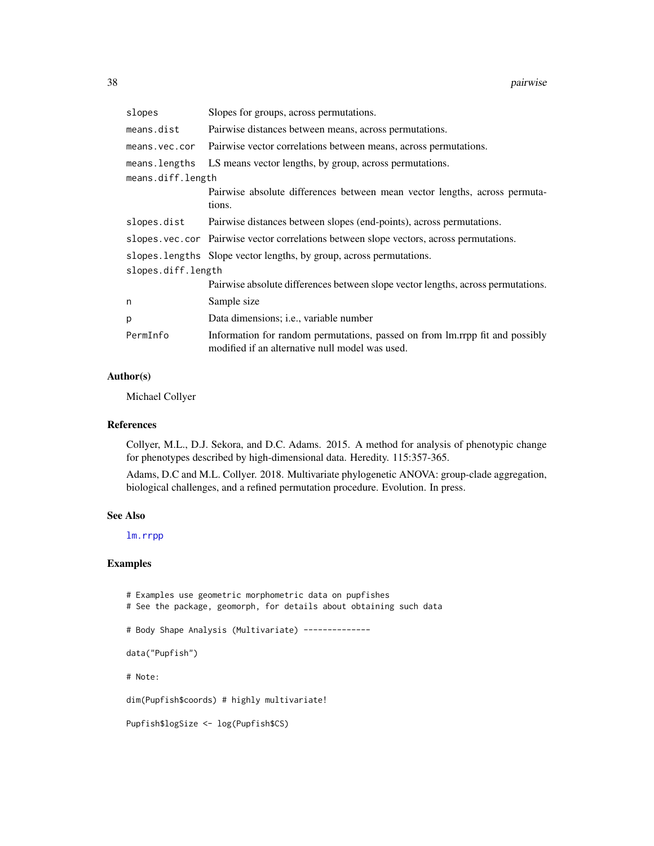| slopes             | Slopes for groups, across permutations.                                                                                         |  |
|--------------------|---------------------------------------------------------------------------------------------------------------------------------|--|
| means.dist         | Pairwise distances between means, across permutations.                                                                          |  |
| means.vec.cor      | Pairwise vector correlations between means, across permutations.                                                                |  |
| means.lengths      | LS means vector lengths, by group, across permutations.                                                                         |  |
| means.diff.length  |                                                                                                                                 |  |
|                    | Pairwise absolute differences between mean vector lengths, across permuta-<br>tions.                                            |  |
| slopes.dist        | Pairwise distances between slopes (end-points), across permutations.                                                            |  |
|                    | slopes.vec.cor Pairwise vector correlations between slope vectors, across permutations.                                         |  |
|                    | slopes. lengths Slope vector lengths, by group, across permutations.                                                            |  |
| slopes.diff.length |                                                                                                                                 |  |
|                    | Pairwise absolute differences between slope vector lengths, across permutations.                                                |  |
| n                  | Sample size                                                                                                                     |  |
| р                  | Data dimensions; i.e., variable number                                                                                          |  |
| PermInfo           | Information for random permutations, passed on from lm.rrpp fit and possibly<br>modified if an alternative null model was used. |  |

## Author(s)

Michael Collyer

#### References

Collyer, M.L., D.J. Sekora, and D.C. Adams. 2015. A method for analysis of phenotypic change for phenotypes described by high-dimensional data. Heredity. 115:357-365.

Adams, D.C and M.L. Collyer. 2018. Multivariate phylogenetic ANOVA: group-clade aggregation, biological challenges, and a refined permutation procedure. Evolution. In press.

#### See Also

[lm.rrpp](#page-11-0)

# Examples

# Examples use geometric morphometric data on pupfishes # See the package, geomorph, for details about obtaining such data # Body Shape Analysis (Multivariate) ------------- data("Pupfish") # Note: dim(Pupfish\$coords) # highly multivariate! Pupfish\$logSize <- log(Pupfish\$CS)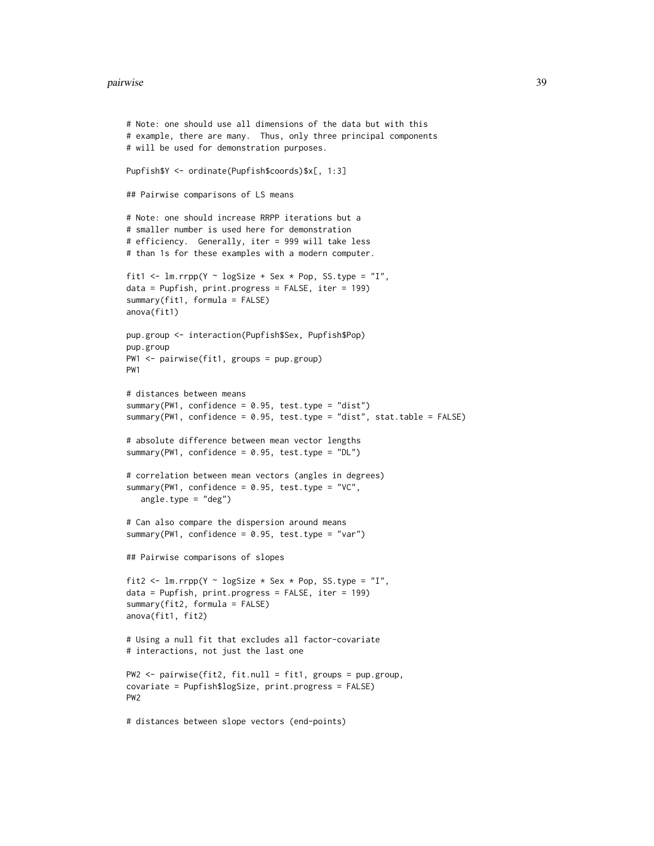#### pairwise 39

```
# example, there are many. Thus, only three principal components
# will be used for demonstration purposes.
Pupfish$Y <- ordinate(Pupfish$coords)$x[, 1:3]
## Pairwise comparisons of LS means
# Note: one should increase RRPP iterations but a
# smaller number is used here for demonstration
# efficiency. Generally, iter = 999 will take less
# than 1s for these examples with a modern computer.
fit1 <- lm.rrpp(Y \sim logSize + Sex * Pop, SS-type = "I",data = Pupfish, print.progress = FALSE, iter = 199)
summary(fit1, formula = FALSE)
anova(fit1)
pup.group <- interaction(Pupfish$Sex, Pupfish$Pop)
pup.group
PW1 <- pairwise(fit1, groups = pup.group)
PW1
# distances between means
summary(PW1, confidence = 0.95, test.type = "dist")
summary(PW1, confidence = 0.95, test.type = "dist", stat.table = FALSE)
# absolute difference between mean vector lengths
summary(PW1, confidence = 0.95, test.type = "DL")
# correlation between mean vectors (angles in degrees)
summary(PW1, confidence = 0.95, test.type = "VC",
   angle.type = "deg")
# Can also compare the dispersion around means
summary(PW1, confidence = 0.95, test.type = "var")
## Pairwise comparisons of slopes
fit2 <- lm.rrpp(Y \sim logSize * Sex * Pop, SS.type = "I",data = Pupfish, print.progress = FALSE, iter = 199)
summary(fit2, formula = FALSE)
anova(fit1, fit2)
# Using a null fit that excludes all factor-covariate
# interactions, not just the last one
PW2 <- pairwise(fit2, fit.null = fit1, groups = pup.group,
covariate = Pupfish$logSize, print.progress = FALSE)
PW2
# distances between slope vectors (end-points)
```
# Note: one should use all dimensions of the data but with this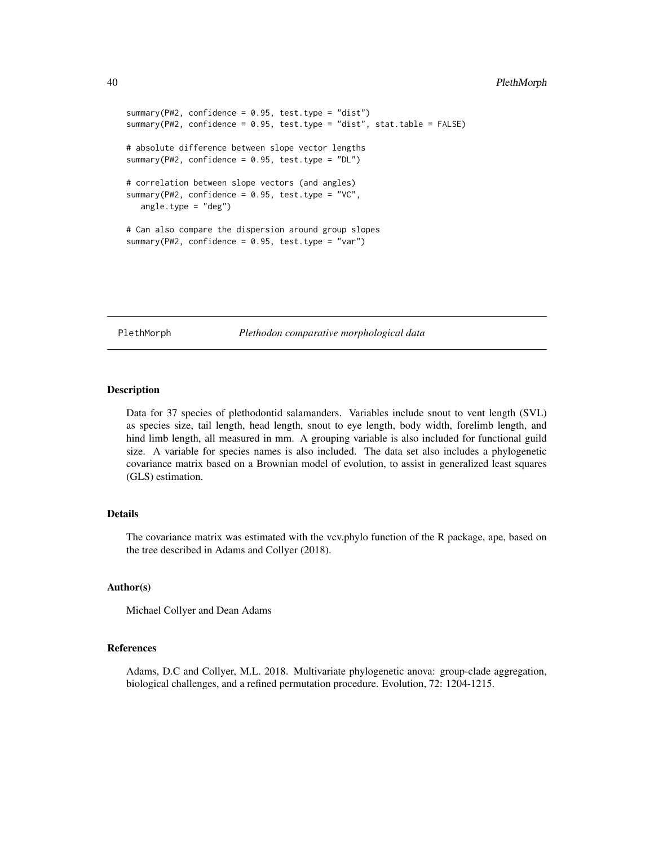### 40 PlethMorph

```
summary(PW2, confidence = 0.95, test.type = "dist")
summary(PW2, confidence = 0.95, test.type = "dist", stat.table = FALSE)
# absolute difference between slope vector lengths
summary(PW2, confidence = 0.95, test.type = "DL")
# correlation between slope vectors (and angles)
summary(PW2, confidence = 0.95, test.type = "VC",
  angle.type = "deg")
# Can also compare the dispersion around group slopes
summary(PW2, confidence = 0.95, test.type = "var")
```
PlethMorph *Plethodon comparative morphological data*

# Description

Data for 37 species of plethodontid salamanders. Variables include snout to vent length (SVL) as species size, tail length, head length, snout to eye length, body width, forelimb length, and hind limb length, all measured in mm. A grouping variable is also included for functional guild size. A variable for species names is also included. The data set also includes a phylogenetic covariance matrix based on a Brownian model of evolution, to assist in generalized least squares (GLS) estimation.

# **Details**

The covariance matrix was estimated with the vcv.phylo function of the R package, ape, based on the tree described in Adams and Collyer (2018).

#### Author(s)

Michael Collyer and Dean Adams

#### References

Adams, D.C and Collyer, M.L. 2018. Multivariate phylogenetic anova: group-clade aggregation, biological challenges, and a refined permutation procedure. Evolution, 72: 1204-1215.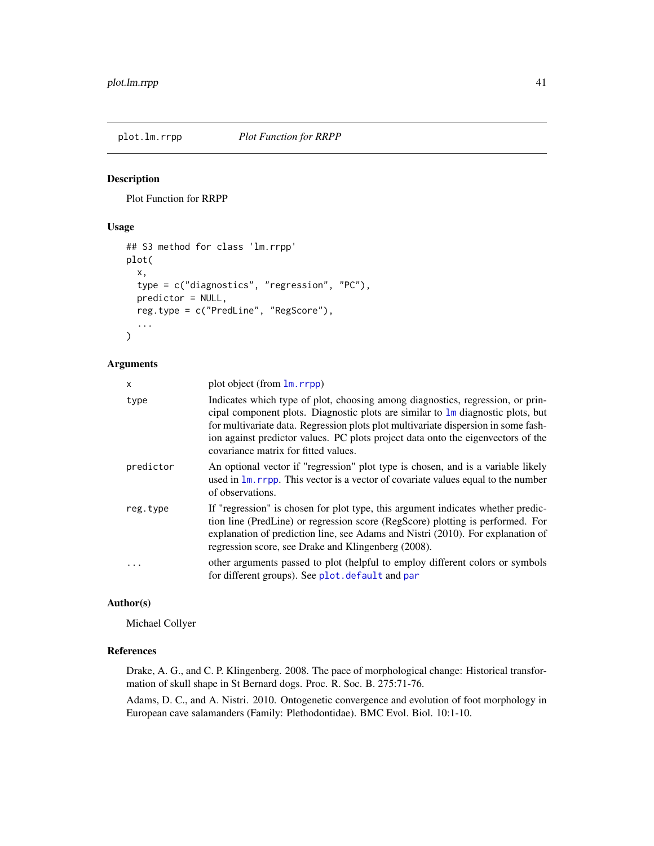### Description

Plot Function for RRPP

#### Usage

```
## S3 method for class 'lm.rrpp'
plot(
  x,
  type = c("diagnostics", "regression", "PC"),
 predictor = NULL,
  reg.type = c("PredLine", "RegScore"),
  ...
\mathcal{L}
```
# Arguments

| x         | plot object (from $\text{lm}$ , rrpp)                                                                                                                                                                                                                                                                                                                                                        |
|-----------|----------------------------------------------------------------------------------------------------------------------------------------------------------------------------------------------------------------------------------------------------------------------------------------------------------------------------------------------------------------------------------------------|
| type      | Indicates which type of plot, choosing among diagnostics, regression, or prin-<br>cipal component plots. Diagnostic plots are similar to $\text{Im}$ diagnostic plots, but<br>for multivariate data. Regression plots plot multivariate dispersion in some fash-<br>ion against predictor values. PC plots project data onto the eigenvectors of the<br>covariance matrix for fitted values. |
| predictor | An optional vector if "regression" plot type is chosen, and is a variable likely<br>used in 1m, rrpp. This vector is a vector of covariate values equal to the number<br>of observations.                                                                                                                                                                                                    |
| reg.type  | If "regression" is chosen for plot type, this argument indicates whether predic-<br>tion line (PredLine) or regression score (RegScore) plotting is performed. For<br>explanation of prediction line, see Adams and Nistri (2010). For explanation of<br>regression score, see Drake and Klingenberg (2008).                                                                                 |
| .         | other arguments passed to plot (helpful to employ different colors or symbols<br>for different groups). See plot. default and par                                                                                                                                                                                                                                                            |

### Author(s)

Michael Collyer

#### References

Drake, A. G., and C. P. Klingenberg. 2008. The pace of morphological change: Historical transformation of skull shape in St Bernard dogs. Proc. R. Soc. B. 275:71-76.

Adams, D. C., and A. Nistri. 2010. Ontogenetic convergence and evolution of foot morphology in European cave salamanders (Family: Plethodontidae). BMC Evol. Biol. 10:1-10.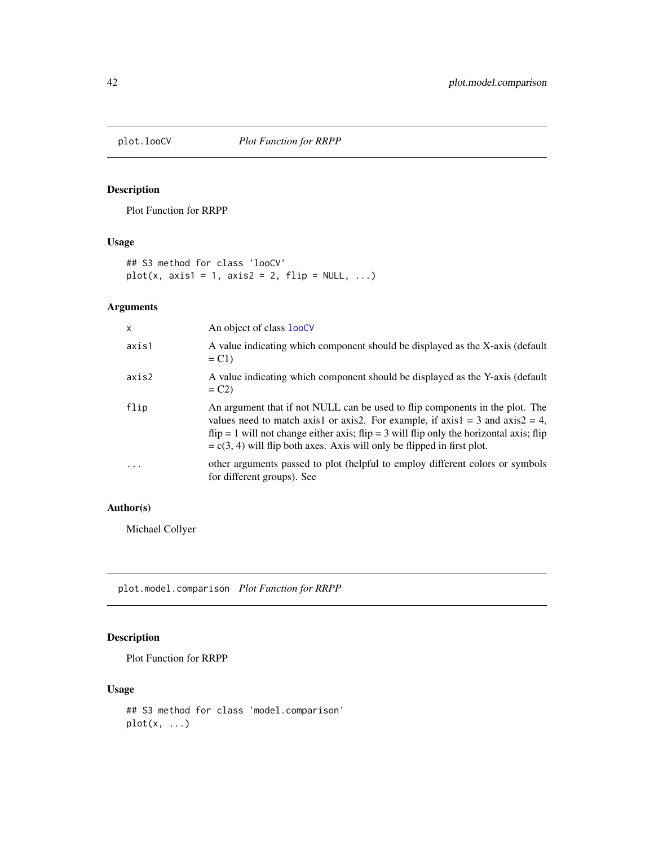# Description

Plot Function for RRPP

## Usage

## S3 method for class 'looCV'  $plot(x, axis1 = 1, axis2 = 2, flip = NULL, ...)$ 

# Arguments

| X        | An object of class looCV                                                                                                                                                                                                                                                                                                                       |
|----------|------------------------------------------------------------------------------------------------------------------------------------------------------------------------------------------------------------------------------------------------------------------------------------------------------------------------------------------------|
| axis1    | A value indicating which component should be displayed as the X-axis (default<br>$= C1$                                                                                                                                                                                                                                                        |
| axis2    | A value indicating which component should be displayed as the Y-axis (default<br>$= C2$                                                                                                                                                                                                                                                        |
| flip     | An argument that if not NULL can be used to flip components in the plot. The<br>values need to match axis1 or axis2. For example, if $axis1 = 3$ and $axis2 = 4$ ,<br>$flip = 1$ will not change either axis; $flip = 3$ will flip only the horizontal axis; flip<br>$= c(3, 4)$ will flip both axes. Axis will only be flipped in first plot. |
| $\cdots$ | other arguments passed to plot (helpful to employ different colors or symbols<br>for different groups). See                                                                                                                                                                                                                                    |

## Author(s)

Michael Collyer

plot.model.comparison *Plot Function for RRPP*

# Description

Plot Function for RRPP

### Usage

```
## S3 method for class 'model.comparison'
plot(x, \ldots)
```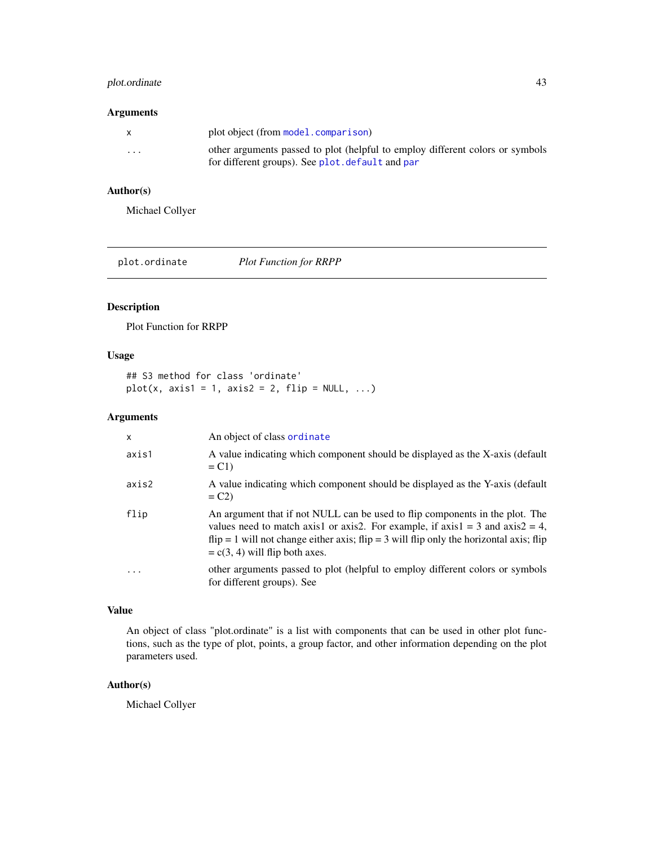# plot.ordinate 43

#### Arguments

| $\mathsf{X}$ | plot object (from model.comparison)                                                                                               |
|--------------|-----------------------------------------------------------------------------------------------------------------------------------|
| $\cdots$     | other arguments passed to plot (helpful to employ different colors or symbols<br>for different groups). See plot. default and par |

### Author(s)

Michael Collyer

plot.ordinate *Plot Function for RRPP*

# Description

Plot Function for RRPP

#### Usage

## S3 method for class 'ordinate'  $plot(x, axis1 = 1, axis2 = 2, flip = NULL, ...)$ 

# Arguments

| $\mathsf{x}$ | An object of class ordinate                                                                                                                                                                                                                                                                      |
|--------------|--------------------------------------------------------------------------------------------------------------------------------------------------------------------------------------------------------------------------------------------------------------------------------------------------|
| axis1        | A value indicating which component should be displayed as the X-axis (default<br>$= C1$                                                                                                                                                                                                          |
| axis2        | A value indicating which component should be displayed as the Y-axis (default<br>$= C2$                                                                                                                                                                                                          |
| flip         | An argument that if not NULL can be used to flip components in the plot. The<br>values need to match axis1 or axis2. For example, if axis1 = 3 and axis2 = 4,<br>$flip = 1$ will not change either axis; $flip = 3$ will flip only the horizontal axis; flip<br>$= c(3, 4)$ will flip both axes. |
| $\ddotsc$    | other arguments passed to plot (helpful to employ different colors or symbols<br>for different groups). See                                                                                                                                                                                      |

# Value

An object of class "plot.ordinate" is a list with components that can be used in other plot functions, such as the type of plot, points, a group factor, and other information depending on the plot parameters used.

#### Author(s)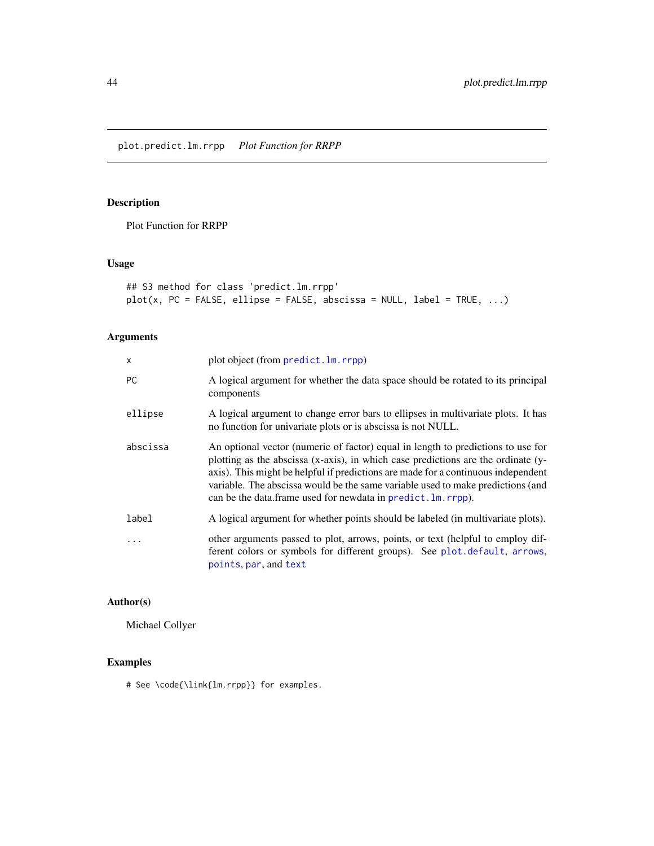# <span id="page-43-0"></span>Description

Plot Function for RRPP

# Usage

```
## S3 method for class 'predict.lm.rrpp'
plot(x, PC = FALSE, ellipse = FALSE, abscissa = NULL, label = TRUE, ...)
```
# Arguments

| $\mathsf{x}$ | plot object (from predict. lm. rrpp)                                                                                                                                                                                                                                                                                                                                                                           |
|--------------|----------------------------------------------------------------------------------------------------------------------------------------------------------------------------------------------------------------------------------------------------------------------------------------------------------------------------------------------------------------------------------------------------------------|
| <b>PC</b>    | A logical argument for whether the data space should be rotated to its principal<br>components                                                                                                                                                                                                                                                                                                                 |
| ellipse      | A logical argument to change error bars to ellipses in multivariate plots. It has<br>no function for univariate plots or is abscissa is not NULL.                                                                                                                                                                                                                                                              |
| abscissa     | An optional vector (numeric of factor) equal in length to predictions to use for<br>plotting as the abscissa (x-axis), in which case predictions are the ordinate (y-<br>axis). This might be helpful if predictions are made for a continuous independent<br>variable. The abscissa would be the same variable used to make predictions (and<br>can be the data.frame used for newdata in predict. Im. rrpp). |
| label        | A logical argument for whether points should be labeled (in multivariate plots).                                                                                                                                                                                                                                                                                                                               |
|              | other arguments passed to plot, arrows, points, or text (helpful to employ dif-<br>ferent colors or symbols for different groups). See plot.default, arrows,<br>points, par, and text                                                                                                                                                                                                                          |

# Author(s)

Michael Collyer

# Examples

# See \code{\link{lm.rrpp}} for examples.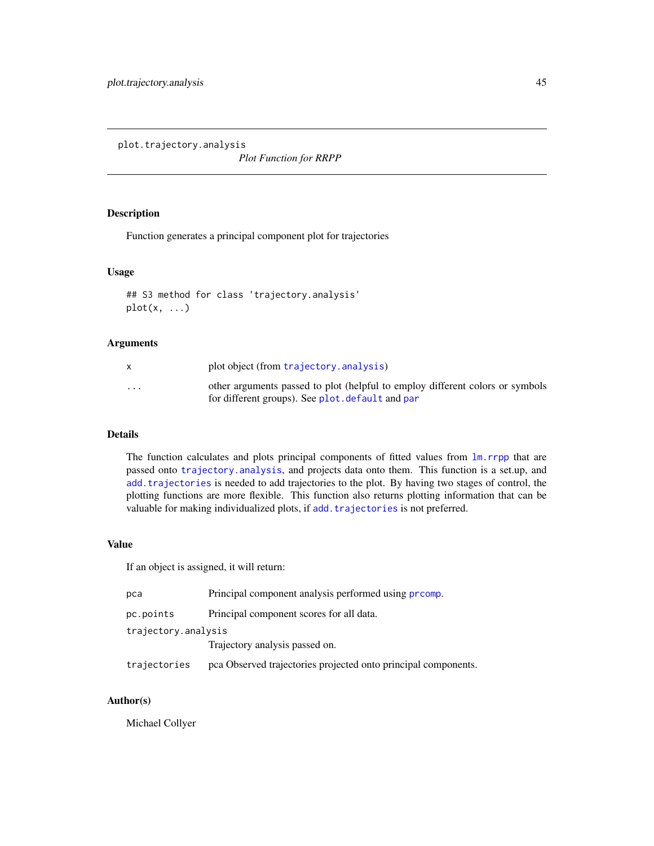<span id="page-44-0"></span>plot.trajectory.analysis

*Plot Function for RRPP*

### Description

Function generates a principal component plot for trajectories

#### Usage

```
## S3 method for class 'trajectory.analysis'
plot(x, \ldots)
```
#### Arguments

|                         | plot object (from trajectory. analysis)                                                                                           |
|-------------------------|-----------------------------------------------------------------------------------------------------------------------------------|
| $\cdot$ $\cdot$ $\cdot$ | other arguments passed to plot (helpful to employ different colors or symbols<br>for different groups). See plot, default and par |

# Details

The function calculates and plots principal components of fitted values from  $\text{lm.rrpp}$  $\text{lm.rrpp}$  $\text{lm.rrpp}$  that are passed onto [trajectory.analysis](#page-69-0), and projects data onto them. This function is a set.up, and [add.trajectories](#page-3-0) is needed to add trajectories to the plot. By having two stages of control, the plotting functions are more flexible. This function also returns plotting information that can be valuable for making individualized plots, if add. trajectories is not preferred.

#### Value

If an object is assigned, it will return:

| pca                 | Principal component analysis performed using promp.            |  |
|---------------------|----------------------------------------------------------------|--|
| pc.points           | Principal component scores for all data.                       |  |
| trajectory.analysis |                                                                |  |
|                     | Trajectory analysis passed on.                                 |  |
| trajectories        | pca Observed trajectories projected onto principal components. |  |

### Author(s)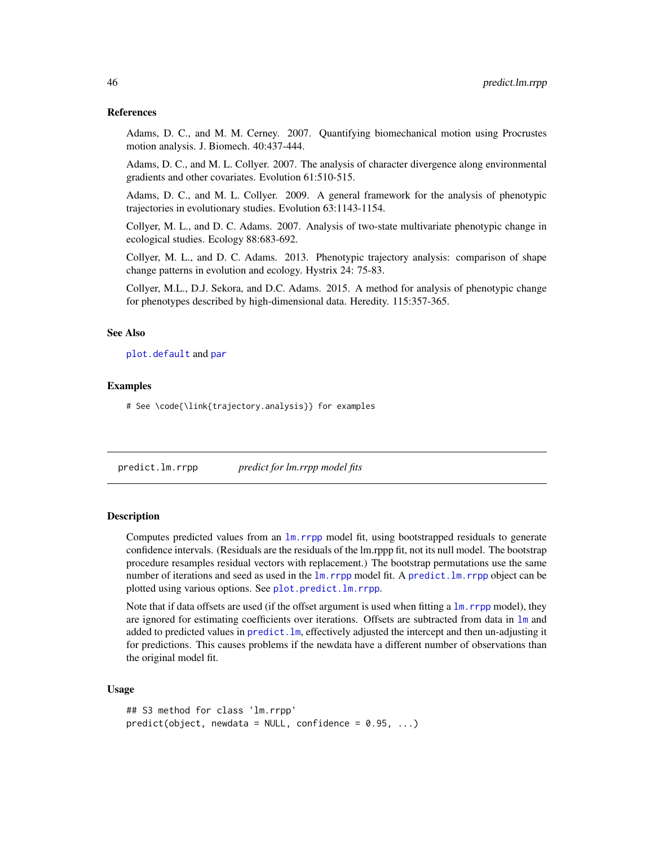#### References

Adams, D. C., and M. M. Cerney. 2007. Quantifying biomechanical motion using Procrustes motion analysis. J. Biomech. 40:437-444.

Adams, D. C., and M. L. Collyer. 2007. The analysis of character divergence along environmental gradients and other covariates. Evolution 61:510-515.

Adams, D. C., and M. L. Collyer. 2009. A general framework for the analysis of phenotypic trajectories in evolutionary studies. Evolution 63:1143-1154.

Collyer, M. L., and D. C. Adams. 2007. Analysis of two-state multivariate phenotypic change in ecological studies. Ecology 88:683-692.

Collyer, M. L., and D. C. Adams. 2013. Phenotypic trajectory analysis: comparison of shape change patterns in evolution and ecology. Hystrix 24: 75-83.

Collyer, M.L., D.J. Sekora, and D.C. Adams. 2015. A method for analysis of phenotypic change for phenotypes described by high-dimensional data. Heredity. 115:357-365.

#### See Also

[plot.default](#page-0-0) and [par](#page-0-0)

#### Examples

# See \code{\link{trajectory.analysis}} for examples

<span id="page-45-0"></span>predict.lm.rrpp *predict for lm.rrpp model fits*

#### Description

Computes predicted values from an [lm.rrpp](#page-11-0) model fit, using bootstrapped residuals to generate confidence intervals. (Residuals are the residuals of the lm.rppp fit, not its null model. The bootstrap procedure resamples residual vectors with replacement.) The bootstrap permutations use the same number of iterations and seed as used in the  $\text{lm}$ . rrpp model fit. A predict. Im. rrpp object can be plotted using various options. See [plot.predict.lm.rrpp](#page-43-0).

Note that if data offsets are used (if the offset argument is used when fitting a  $\text{lm}$ , rrpp model), they are ignored for estimating coefficients over iterations. Offsets are subtracted from data in 1m and added to predicted values in [predict.lm](#page-0-0), effectively adjusted the intercept and then un-adjusting it for predictions. This causes problems if the newdata have a different number of observations than the original model fit.

#### Usage

```
## S3 method for class 'lm.rrpp'
predict(object, newdata = NULL, confidence = 0.95, ...)
```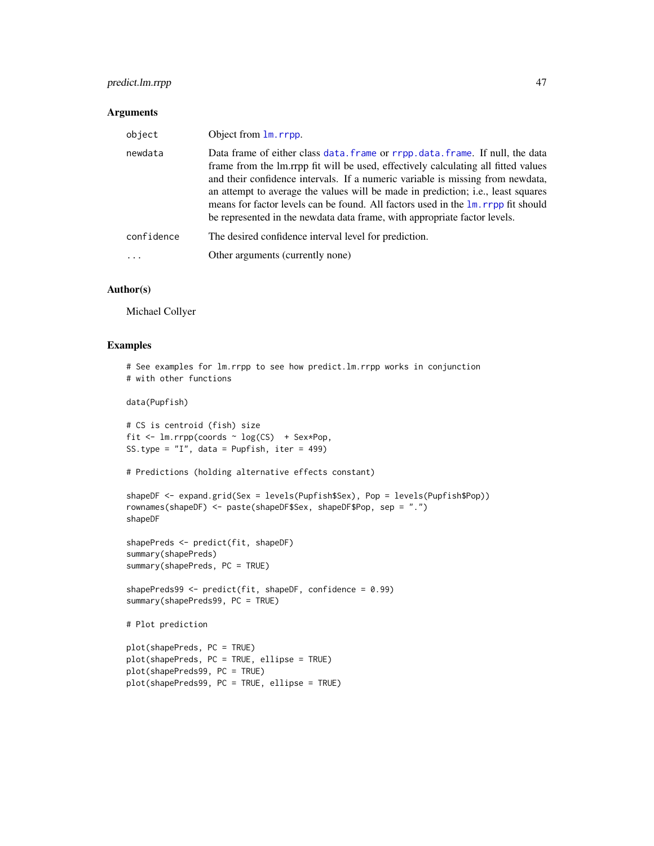# predict.lm.rrpp 47

#### Arguments

| object     | Object from 1m. rrpp.                                                                                                                                                                                                                                                                                                                                                                                                                                                                                        |
|------------|--------------------------------------------------------------------------------------------------------------------------------------------------------------------------------------------------------------------------------------------------------------------------------------------------------------------------------------------------------------------------------------------------------------------------------------------------------------------------------------------------------------|
| newdata    | Data frame of either class data. frame or rrpp. data. frame. If null, the data<br>frame from the lm.rrpp fit will be used, effectively calculating all fitted values<br>and their confidence intervals. If a numeric variable is missing from newdata,<br>an attempt to average the values will be made in prediction; i.e., least squares<br>means for factor levels can be found. All factors used in the lm. rrpp fit should<br>be represented in the newdata data frame, with appropriate factor levels. |
| confidence | The desired confidence interval level for prediction.                                                                                                                                                                                                                                                                                                                                                                                                                                                        |
|            | Other arguments (currently none)                                                                                                                                                                                                                                                                                                                                                                                                                                                                             |

#### Author(s)

Michael Collyer

#### Examples

```
# See examples for lm.rrpp to see how predict.lm.rrpp works in conjunction
# with other functions
data(Pupfish)
# CS is centroid (fish) size
fit \leq lm.rrpp(coords \sim log(CS) + Sex*Pop,
SS.type = "I", data = Pupfish, iter = 499)
# Predictions (holding alternative effects constant)
shapeDF <- expand.grid(Sex = levels(Pupfish$Sex), Pop = levels(Pupfish$Pop))
rownames(shapeDF) <- paste(shapeDF$Sex, shapeDF$Pop, sep = ".")
shapeDF
shapePreds <- predict(fit, shapeDF)
summary(shapePreds)
summary(shapePreds, PC = TRUE)
shapePreds99 \leq- predict(fit, shapeDF, confidence = 0.99)
summary(shapePreds99, PC = TRUE)
# Plot prediction
plot(shapePreds, PC = TRUE)
plot(shapePreds, PC = TRUE, ellipse = TRUE)
plot(shapePreds99, PC = TRUE)
plot(shapePreds99, PC = TRUE, ellipse = TRUE)
```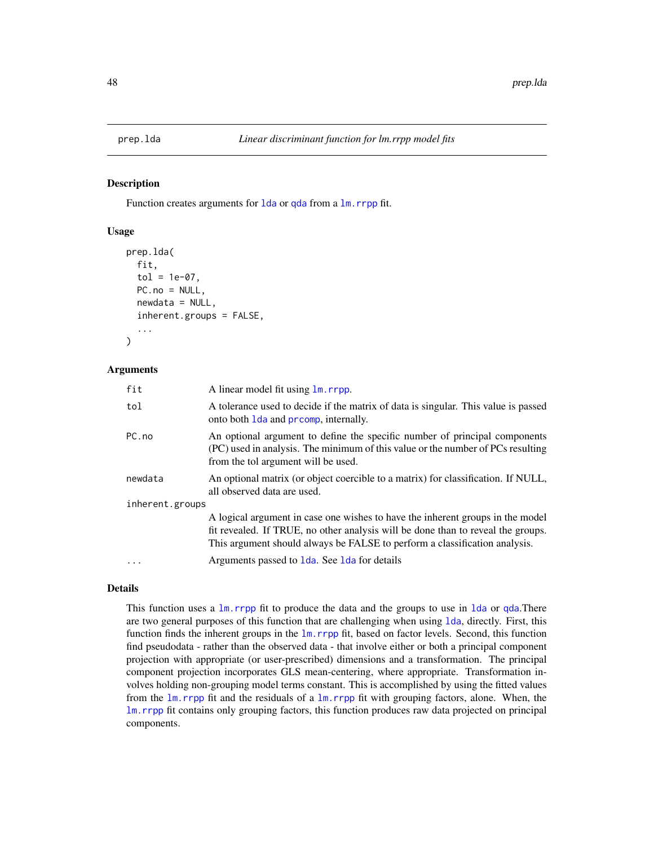#### Description

Function creates arguments for 1da or [qda](#page-0-0) from a  $\text{lm}$ . rrpp fit.

#### Usage

```
prep.lda(
  fit,
  tol = 1e-07,PC.no = NULL,
  newdata = NULL,inherent.groups = FALSE,
  ...
)
```
#### Arguments

| fit             | A linear model fit using $\text{lm}$ . rrpp.                                                                                                                                                                                                     |  |
|-----------------|--------------------------------------------------------------------------------------------------------------------------------------------------------------------------------------------------------------------------------------------------|--|
| tol             | A tolerance used to decide if the matrix of data is singular. This value is passed<br>onto both 1 da and promp, internally.                                                                                                                      |  |
| PC.no           | An optional argument to define the specific number of principal components<br>(PC) used in analysis. The minimum of this value or the number of PCs resulting<br>from the tol argument will be used.                                             |  |
| newdata         | An optional matrix (or object coercible to a matrix) for classification. If NULL,<br>all observed data are used.                                                                                                                                 |  |
| inherent.groups |                                                                                                                                                                                                                                                  |  |
|                 | A logical argument in case one wishes to have the inherent groups in the model<br>fit revealed. If TRUE, no other analysis will be done than to reveal the groups.<br>This argument should always be FALSE to perform a classification analysis. |  |
| .               | Arguments passed to 1da. See 1da for details                                                                                                                                                                                                     |  |

# Details

This function uses a  $\text{lm}$ . rrpp fit to produce the data and the groups to use in 1da or [qda](#page-0-0). There are two general purposes of this function that are challenging when using [lda](#page-0-0), directly. First, this function finds the inherent groups in the  $\text{lm}$ . rrpp fit, based on factor levels. Second, this function find pseudodata - rather than the observed data - that involve either or both a principal component projection with appropriate (or user-prescribed) dimensions and a transformation. The principal component projection incorporates GLS mean-centering, where appropriate. Transformation involves holding non-grouping model terms constant. This is accomplished by using the fitted values from the  $\text{lm.rrpp}$  $\text{lm.rrpp}$  $\text{lm.rrpp}$  fit and the residuals of a  $\text{lm.rrpp}$  fit with grouping factors, alone. When, the [lm.rrpp](#page-11-0) fit contains only grouping factors, this function produces raw data projected on principal components.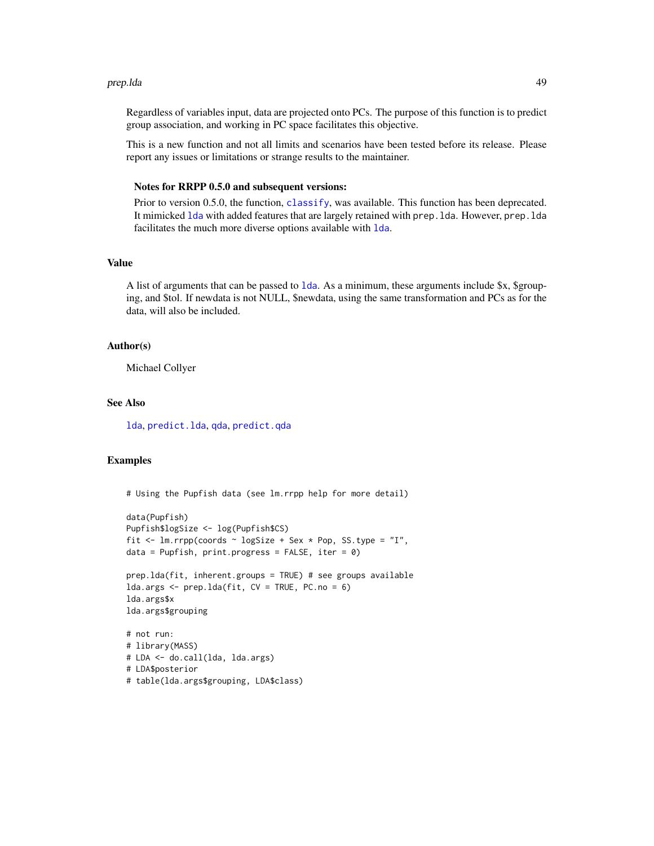#### prep.lda 49

Regardless of variables input, data are projected onto PCs. The purpose of this function is to predict group association, and working in PC space facilitates this objective.

This is a new function and not all limits and scenarios have been tested before its release. Please report any issues or limitations or strange results to the maintainer.

#### Notes for RRPP 0.5.0 and subsequent versions:

Prior to version 0.5.0, the function, [classify](#page-7-0), was available. This function has been deprecated. It mimicked [lda](#page-0-0) with added features that are largely retained with prep.lda. However, prep.lda facilitates the much more diverse options available with [lda](#page-0-0).

#### Value

A list of arguments that can be passed to [lda](#page-0-0). As a minimum, these arguments include \$x, \$grouping, and \$tol. If newdata is not NULL, \$newdata, using the same transformation and PCs as for the data, will also be included.

#### Author(s)

Michael Collyer

#### See Also

[lda](#page-0-0), [predict.lda](#page-0-0), [qda](#page-0-0), [predict.qda](#page-0-0)

#### Examples

```
# Using the Pupfish data (see lm.rrpp help for more detail)
```

```
data(Pupfish)
Pupfish$logSize <- log(Pupfish$CS)
fit \le 1m.rrpp(coords \sim logSize + Sex \star Pop, SS.type = "I",
data = Pupfish, print.progress = FALSE, iter = \theta)
```

```
prep.lda(fit, inherent.groups = TRUE) # see groups available
lda.args <- prep.lda(fit, CV = TRUE, PC.no = 6)
lda.args$x
lda.args$grouping
```

```
# not run:
# library(MASS)
# LDA <- do.call(lda, lda.args)
# LDA$posterior
# table(lda.args$grouping, LDA$class)
```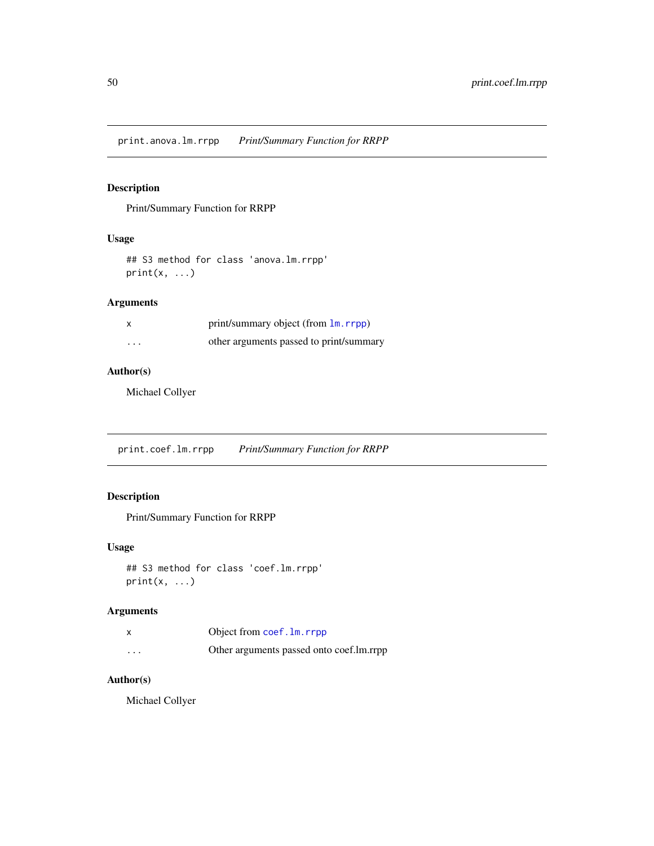print.anova.lm.rrpp *Print/Summary Function for RRPP*

# Description

Print/Summary Function for RRPP

### Usage

## S3 method for class 'anova.lm.rrpp'  $print(x, \ldots)$ 

# Arguments

|          | print/summary object (from lm. rrpp)    |
|----------|-----------------------------------------|
| $\cdots$ | other arguments passed to print/summary |

# Author(s)

Michael Collyer

print.coef.lm.rrpp *Print/Summary Function for RRPP*

# Description

Print/Summary Function for RRPP

## Usage

```
## S3 method for class 'coef.lm.rrpp'
print(x, \ldots)
```
# Arguments

|          | Object from coef. 1m. rrpp               |
|----------|------------------------------------------|
| $\cdots$ | Other arguments passed onto coef.lm.rrpp |

# Author(s)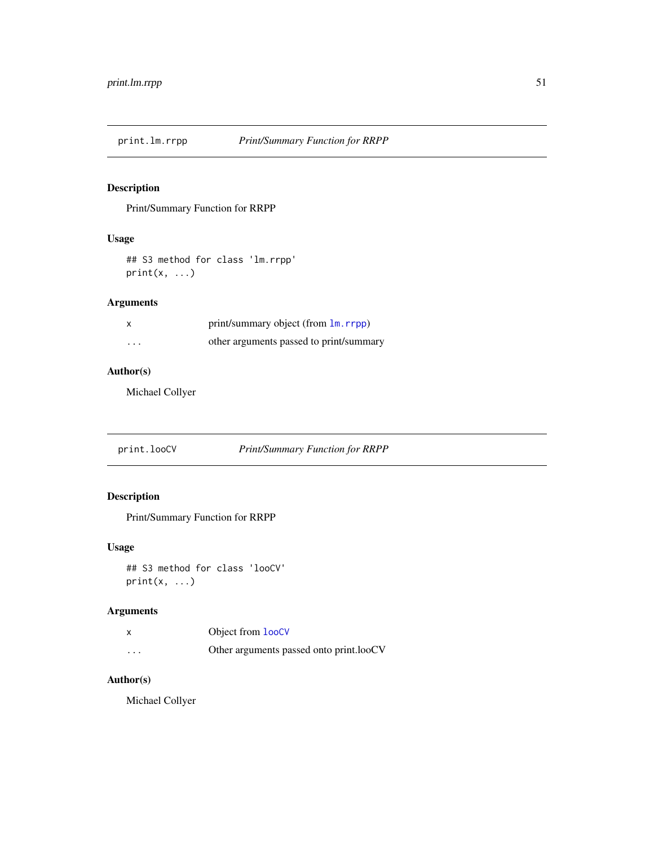# Description

Print/Summary Function for RRPP

### Usage

## S3 method for class 'lm.rrpp'  $print(x, \ldots)$ 

# Arguments

|          | print/summary object (from lm. rrpp)    |
|----------|-----------------------------------------|
| $\cdots$ | other arguments passed to print/summary |

# Author(s)

Michael Collyer

print.looCV *Print/Summary Function for RRPP*

# Description

Print/Summary Function for RRPP

### Usage

```
## S3 method for class 'looCV'
print(x, \ldots)
```
# Arguments

|         | Object from <b>looCV</b>                |
|---------|-----------------------------------------|
| $\cdot$ | Other arguments passed onto print.looCV |

# Author(s)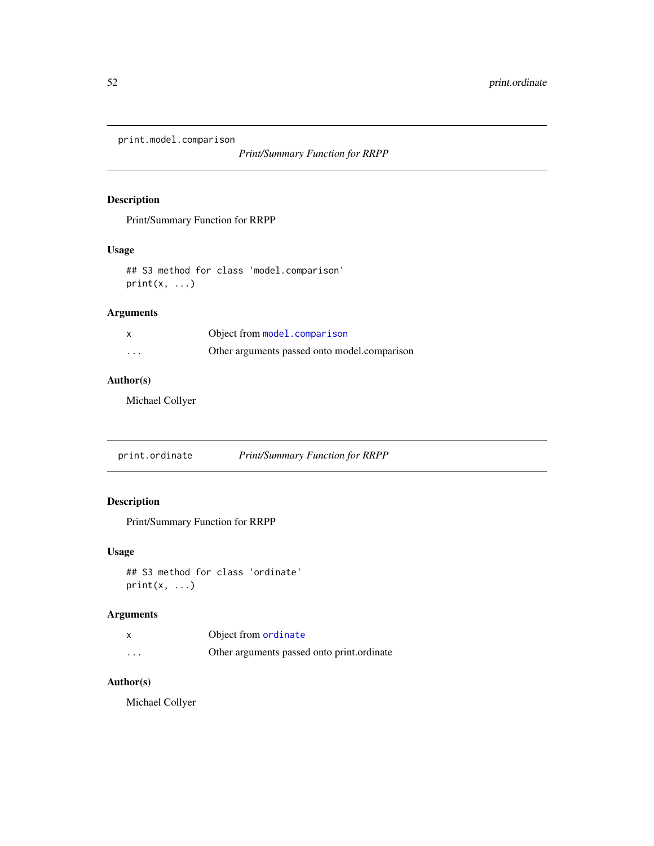print.model.comparison

*Print/Summary Function for RRPP*

# Description

Print/Summary Function for RRPP

## Usage

## S3 method for class 'model.comparison'  $print(x, \ldots)$ 

# Arguments

|          | Object from model.comparison                 |
|----------|----------------------------------------------|
| $\cdots$ | Other arguments passed onto model.comparison |

### Author(s)

Michael Collyer

print.ordinate *Print/Summary Function for RRPP*

# Description

Print/Summary Function for RRPP

### Usage

## S3 method for class 'ordinate'  $print(x, \ldots)$ 

# Arguments

|                         | Object from ordinate                       |
|-------------------------|--------------------------------------------|
| $\cdot$ $\cdot$ $\cdot$ | Other arguments passed onto print.ordinate |

# Author(s)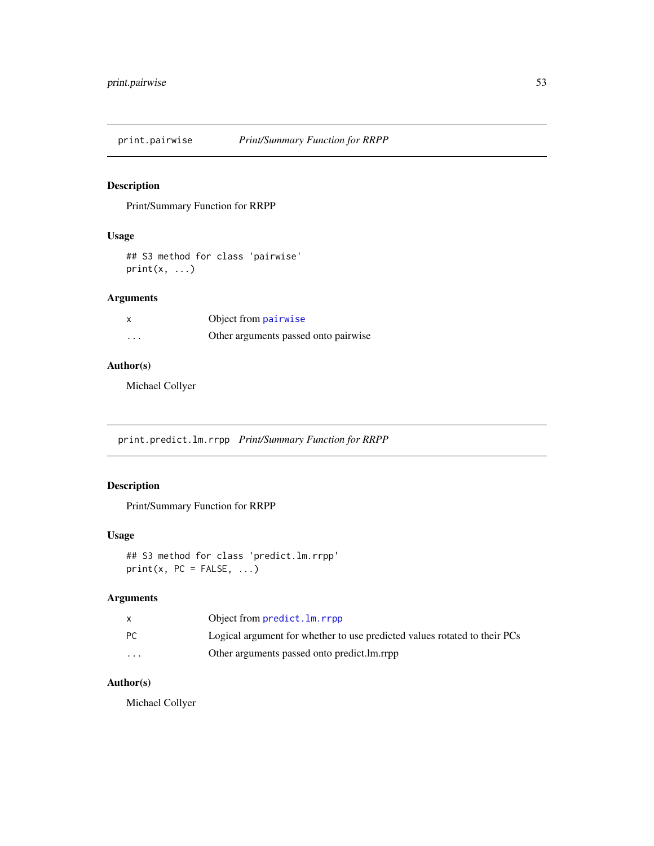print.pairwise *Print/Summary Function for RRPP*

# Description

Print/Summary Function for RRPP

# Usage

## S3 method for class 'pairwise'  $print(x, \ldots)$ 

# Arguments

| $\boldsymbol{\mathsf{x}}$ | Object from pairwise                 |
|---------------------------|--------------------------------------|
| $\cdots$                  | Other arguments passed onto pairwise |

# Author(s)

Michael Collyer

print.predict.lm.rrpp *Print/Summary Function for RRPP*

# Description

Print/Summary Function for RRPP

# Usage

## S3 method for class 'predict.lm.rrpp'  $print(x, PC = FALSE, ...)$ 

# Arguments

|          | Object from predict. Im. rrpp                                             |
|----------|---------------------------------------------------------------------------|
| PC.      | Logical argument for whether to use predicted values rotated to their PCs |
| $\cdots$ | Other arguments passed onto predict. Im. rrpp                             |

# Author(s)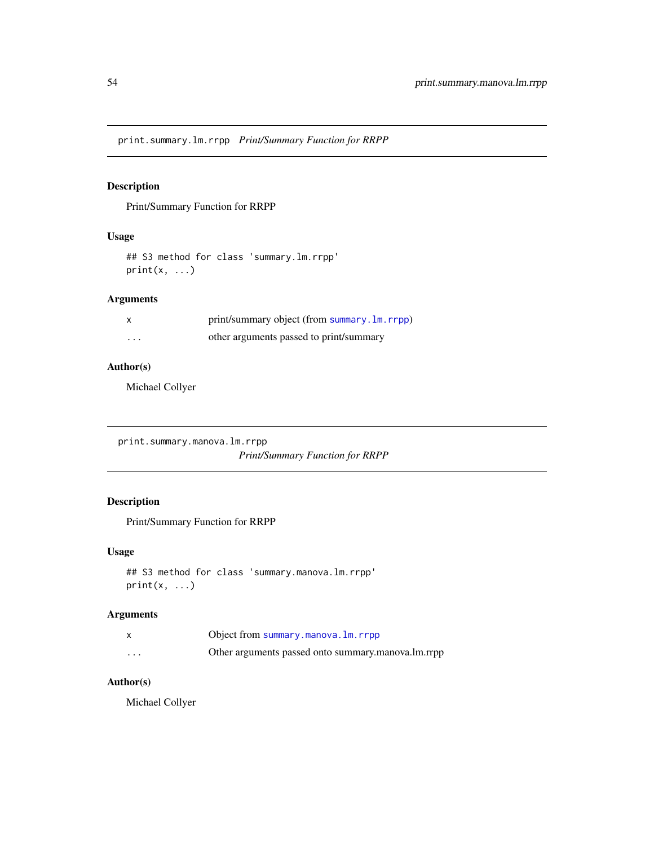print.summary.lm.rrpp *Print/Summary Function for RRPP*

# Description

Print/Summary Function for RRPP

# Usage

## S3 method for class 'summary.lm.rrpp'  $print(x, \ldots)$ 

# Arguments

|   | print/summary object (from summary. 1m. rrpp) |
|---|-----------------------------------------------|
| . | other arguments passed to print/summary       |

### Author(s)

Michael Collyer

print.summary.manova.lm.rrpp

*Print/Summary Function for RRPP*

# Description

Print/Summary Function for RRPP

### Usage

```
## S3 method for class 'summary.manova.lm.rrpp'
print(x, \ldots)
```
#### Arguments

|          | Object from summary.manova.lm.rrpp                 |
|----------|----------------------------------------------------|
| $\cdots$ | Other arguments passed onto summary.manova.lm.rrpp |

# Author(s)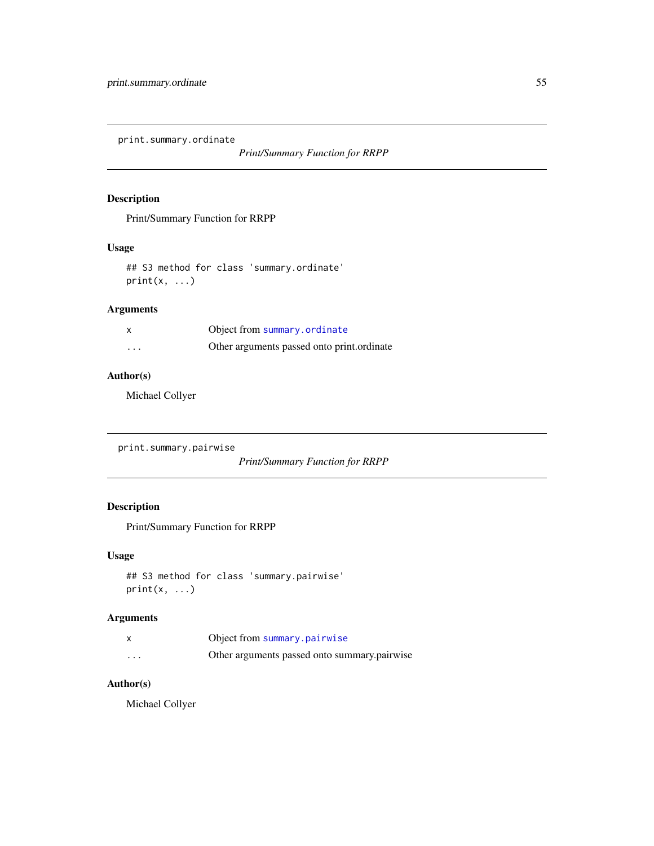print.summary.ordinate

*Print/Summary Function for RRPP*

# Description

Print/Summary Function for RRPP

### Usage

```
## S3 method for class 'summary.ordinate'
print(x, \ldots)
```
# Arguments

| x        | Object from summary.ordinate               |
|----------|--------------------------------------------|
| $\cdots$ | Other arguments passed onto print.ordinate |

# Author(s)

Michael Collyer

print.summary.pairwise

*Print/Summary Function for RRPP*

# Description

Print/Summary Function for RRPP

### Usage

```
## S3 method for class 'summary.pairwise'
print(x, \ldots)
```
# Arguments

|          | Object from summary.pairwise                 |
|----------|----------------------------------------------|
| $\cdots$ | Other arguments passed onto summary.pairwise |

# Author(s)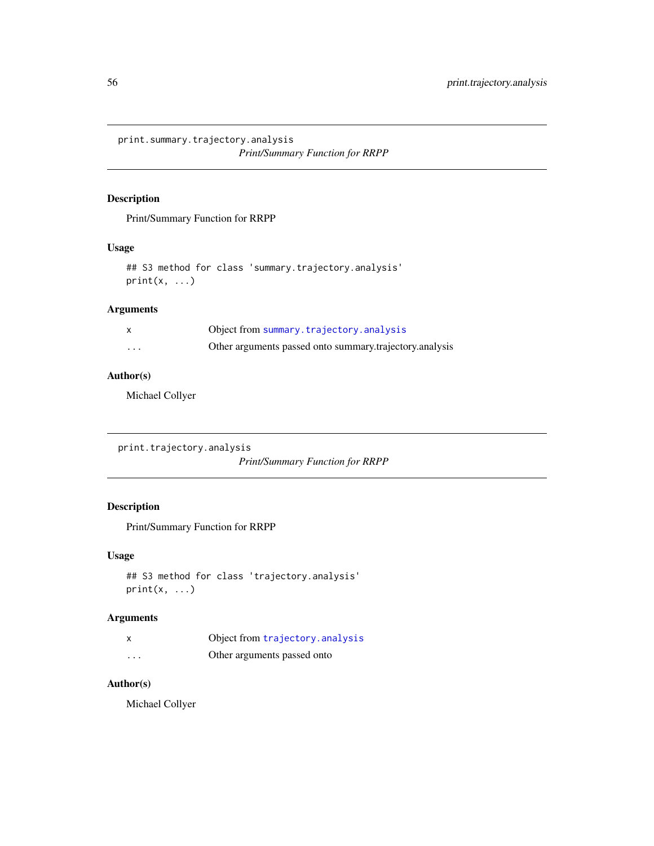print.summary.trajectory.analysis *Print/Summary Function for RRPP*

# Description

Print/Summary Function for RRPP

### Usage

## S3 method for class 'summary.trajectory.analysis'  $print(x, \ldots)$ 

# Arguments

|          | Object from summary.trajectory.analysis                 |
|----------|---------------------------------------------------------|
| $\cdots$ | Other arguments passed onto summary trajectory analysis |

# Author(s)

Michael Collyer

print.trajectory.analysis *Print/Summary Function for RRPP*

# Description

Print/Summary Function for RRPP

#### Usage

```
## S3 method for class 'trajectory.analysis'
print(x, \ldots)
```
# Arguments

|          | Object from trajectory. analysis |
|----------|----------------------------------|
| $\cdots$ | Other arguments passed onto      |

# Author(s)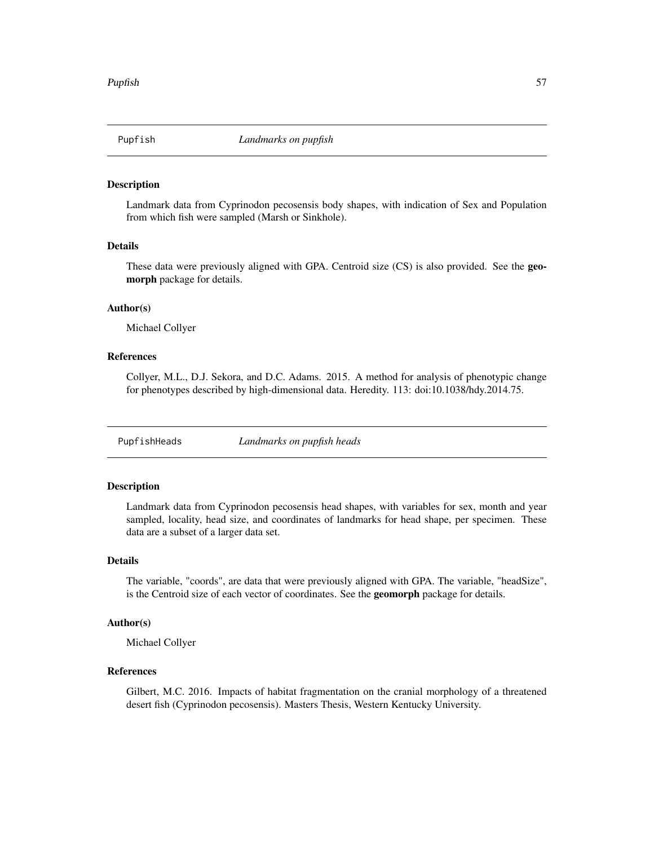#### **Description**

Landmark data from Cyprinodon pecosensis body shapes, with indication of Sex and Population from which fish were sampled (Marsh or Sinkhole).

#### Details

These data were previously aligned with GPA. Centroid size (CS) is also provided. See the geomorph package for details.

#### Author(s)

Michael Collyer

#### References

Collyer, M.L., D.J. Sekora, and D.C. Adams. 2015. A method for analysis of phenotypic change for phenotypes described by high-dimensional data. Heredity. 113: doi:10.1038/hdy.2014.75.

PupfishHeads *Landmarks on pupfish heads*

#### Description

Landmark data from Cyprinodon pecosensis head shapes, with variables for sex, month and year sampled, locality, head size, and coordinates of landmarks for head shape, per specimen. These data are a subset of a larger data set.

#### Details

The variable, "coords", are data that were previously aligned with GPA. The variable, "headSize", is the Centroid size of each vector of coordinates. See the geomorph package for details.

#### Author(s)

Michael Collyer

### References

Gilbert, M.C. 2016. Impacts of habitat fragmentation on the cranial morphology of a threatened desert fish (Cyprinodon pecosensis). Masters Thesis, Western Kentucky University.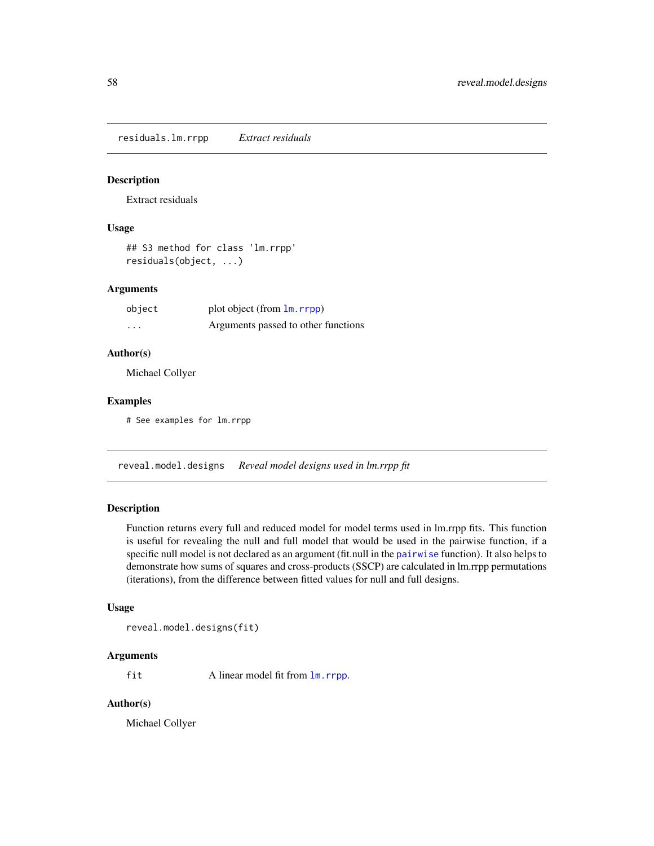residuals.lm.rrpp *Extract residuals*

#### Description

Extract residuals

#### Usage

```
## S3 method for class 'lm.rrpp'
residuals(object, ...)
```
### Arguments

| object | plot object (from $\text{lm}$ , rrpp) |
|--------|---------------------------------------|
| .      | Arguments passed to other functions   |

### Author(s)

Michael Collyer

### Examples

# See examples for lm.rrpp

<span id="page-57-0"></span>reveal.model.designs *Reveal model designs used in lm.rrpp fit*

# Description

Function returns every full and reduced model for model terms used in lm.rrpp fits. This function is useful for revealing the null and full model that would be used in the pairwise function, if a specific null model is not declared as an argument (fit.null in the [pairwise](#page-34-0) function). It also helps to demonstrate how sums of squares and cross-products (SSCP) are calculated in lm.rrpp permutations (iterations), from the difference between fitted values for null and full designs.

#### Usage

reveal.model.designs(fit)

### Arguments

fit A linear model fit from  $\text{Im}.\text{rrpp}$ .

#### Author(s)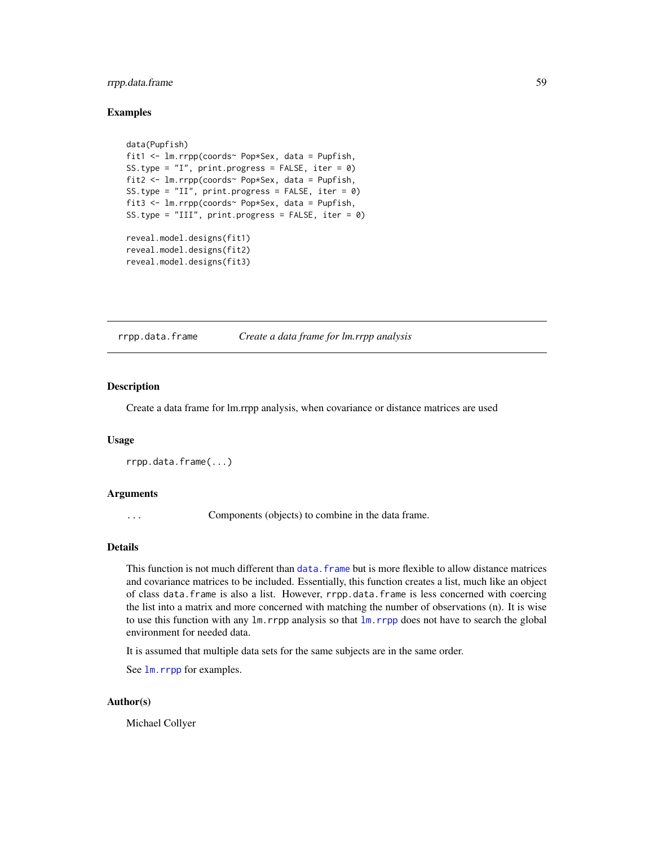# rrpp.data.frame 59

#### Examples

```
data(Pupfish)
fit1 <- lm.rrpp(coords~ Pop*Sex, data = Pupfish,
SS.type = "I", print.progress = FALSE, iter = 0)
fit2 <- lm.rrpp(coords~ Pop*Sex, data = Pupfish,
SS.type = "II", print.progress = FALSE, iter = 0)
fit3 <- lm.rrpp(coords~ Pop*Sex, data = Pupfish,
SS.type = "III", print.progress = FALSE, iter = 0)
reveal.model.designs(fit1)
reveal.model.designs(fit2)
reveal.model.designs(fit3)
```
<span id="page-58-0"></span>rrpp.data.frame *Create a data frame for lm.rrpp analysis*

### Description

Create a data frame for lm.rrpp analysis, when covariance or distance matrices are used

## Usage

```
rrpp.data.frame(...)
```
#### Arguments

... Components (objects) to combine in the data frame.

#### Details

This function is not much different than data. frame but is more flexible to allow distance matrices and covariance matrices to be included. Essentially, this function creates a list, much like an object of class data.frame is also a list. However, rrpp.data.frame is less concerned with coercing the list into a matrix and more concerned with matching the number of observations (n). It is wise to use this function with any lm.rrpp analysis so that [lm.rrpp](#page-11-0) does not have to search the global environment for needed data.

It is assumed that multiple data sets for the same subjects are in the same order.

See  $\text{lm}$ . rrpp for examples.

#### Author(s)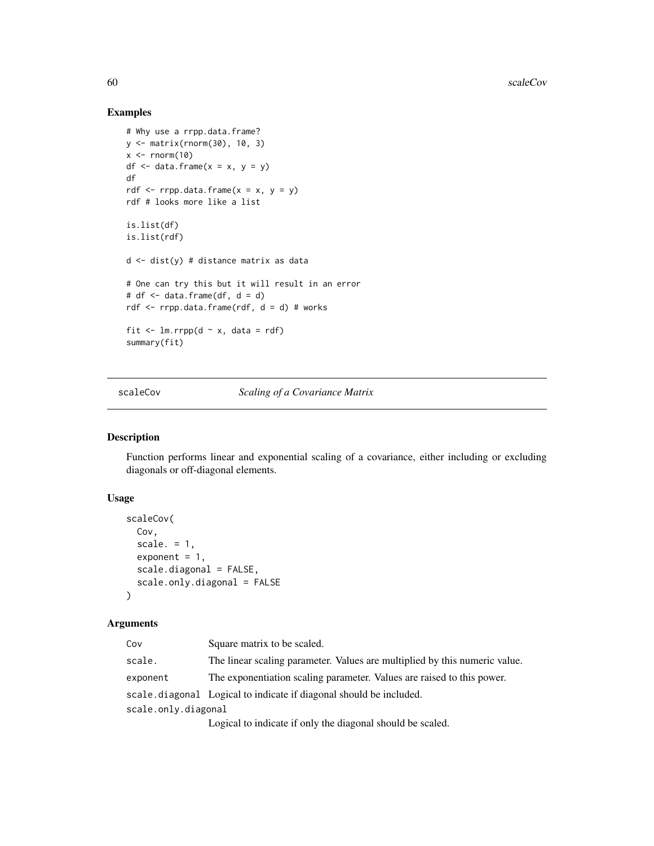# Examples

```
# Why use a rrpp.data.frame?
y <- matrix(rnorm(30), 10, 3)
x \le- rnorm(10)
df \le data.frame(x = x, y = y)
df
rdf \leq rrpp.data.frame(x = x, y = y)
rdf # looks more like a list
is.list(df)
is.list(rdf)
d \leftarrow dist(y) # distance matrix as data
# One can try this but it will result in an error
# df \leq data.frame(df, d = d)
rdf <- rrpp.data.frame(rdf, d = d) # works
fit \leq 1m.rrpp(d \sim x, data = rdf)
summary(fit)
```
scaleCov *Scaling of a Covariance Matrix*

### Description

Function performs linear and exponential scaling of a covariance, either including or excluding diagonals or off-diagonal elements.

#### Usage

```
scaleCov(
 Cov,
  scale. = 1,
  exponent = 1,
  scale.diagonal = FALSE,
  scale.only.diagonal = FALSE
\lambda
```
#### Arguments

| Cov                 | Square matrix to be scaled.                                                |
|---------------------|----------------------------------------------------------------------------|
| scale.              | The linear scaling parameter. Values are multiplied by this numeric value. |
| exponent            | The exponentiation scaling parameter. Values are raised to this power.     |
|                     | scale, diagonal Logical to indicate if diagonal should be included.        |
| scale.only.diagonal |                                                                            |
|                     | Logical to indicate if only the diagonal should be scaled.                 |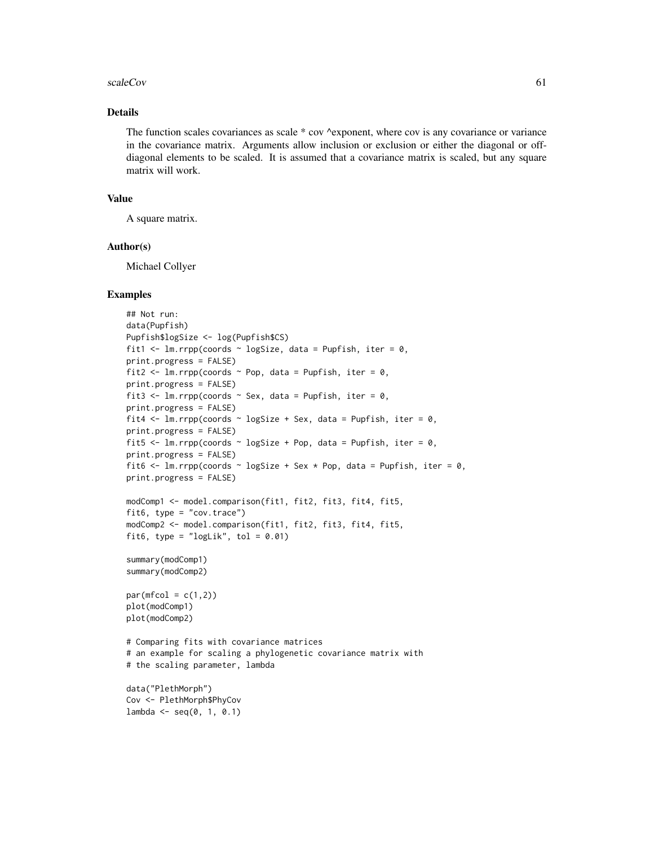#### scaleCov 61

### Details

The function scales covariances as scale \* cov ^exponent, where cov is any covariance or variance in the covariance matrix. Arguments allow inclusion or exclusion or either the diagonal or offdiagonal elements to be scaled. It is assumed that a covariance matrix is scaled, but any square matrix will work.

#### Value

A square matrix.

#### Author(s)

Michael Collyer

#### Examples

```
## Not run:
data(Pupfish)
Pupfish$logSize <- log(Pupfish$CS)
fit1 <- lm.rrpp(coords \sim logSize, data = Pupfish, iter = 0,
print.progress = FALSE)
fit2 <- lm.rrpp(coords \sim Pop, data = Pupfish, iter = 0,
print.progress = FALSE)
fit3 <- lm.rrpp(coords \sim Sex, data = Pupfish, iter = 0,
print.progress = FALSE)
fit4 <- lm.rrpp(coords \sim logSize + Sex, data = Pupfish, iter = 0,
print.progress = FALSE)
fit5 <- lm.rrpp(coords ~ logSize + Pop, data = Pupfish, iter = 0,
print.progress = FALSE)
fit6 <- lm.rrpp(coords \sim logSize + Sex * Pop, data = Pupfish, iter = 0,
print.progress = FALSE)
modComp1 <- model.comparison(fit1, fit2, fit3, fit4, fit5,
fit6, type = "cov.trace")modComp2 <- model.comparison(fit1, fit2, fit3, fit4, fit5,
fit6, type = "logLik", tol = 0.01)
summary(modComp1)
summary(modComp2)
par(mfcol = c(1,2))plot(modComp1)
plot(modComp2)
# Comparing fits with covariance matrices
# an example for scaling a phylogenetic covariance matrix with
# the scaling parameter, lambda
data("PlethMorph")
Cov <- PlethMorph$PhyCov
lambda \leq seq(0, 1, 0.1)
```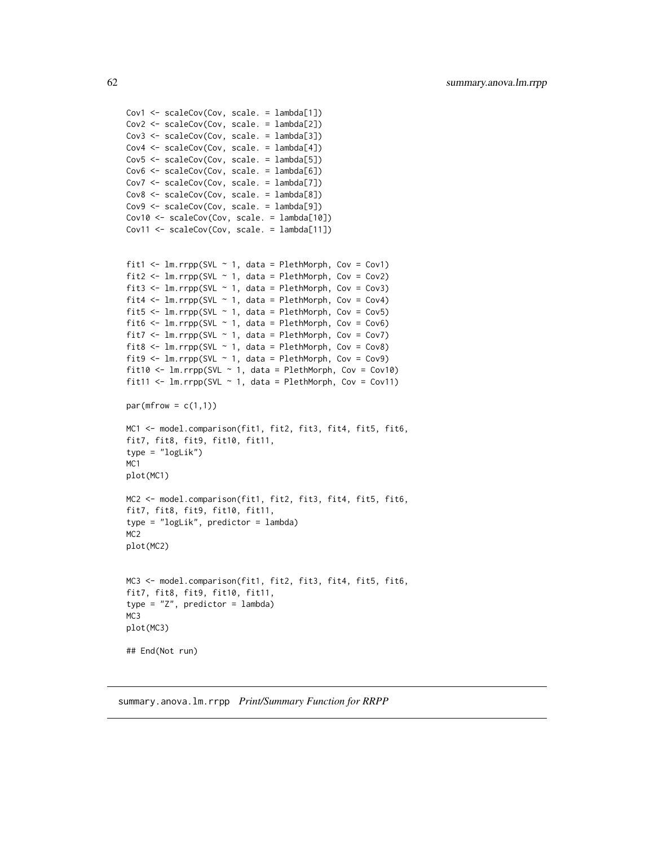```
Cov1 <- scaleCov(Cov, scale. = lambda[1])
Cov2 <- scaleCov(Cov, scale. = lambda[2])
Cov3 <- scaleCov(Cov, scale. = lambda[3])
Cov4 <- scaleCov(Cov, scale. = lambda[4])
Cov5 <- scaleCov(Cov, scale. = lambda[5])
Cov6 <- scaleCov(Cov, scale. = lambda[6])
Cov7 <- scaleCov(Cov, scale. = lambda[7])
Cov8 <- scaleCov(Cov, scale. = lambda[8])
Cov9 <- scaleCov(Cov, scale. = lambda[9])
Cov10 <- scaleCov(Cov, scale. = lambda[10])
Cov11 <- scaleCov(Cov, scale. = lambda[11])
fit1 <- lm.rrpp(SVL \sim 1, data = PlethMorph, Cov = Cov1)fit2 <- lm.rrpp(SVL \sim 1, data = PlethMorph, Cov = Cov2)fit3 <- lm.rrpp(SVL \sim 1, data = PlethMorph, Cov = Cov3)fit4 <- lm.rrpp(SVL \sim 1, data = PlethMorph, Cov = Cov4)fit5 <- lm.rrpp(SVL \sim 1, data = PlethMorph, Cov = Cov5)fit6 \leq lm.rrpp(SVL \sim 1, data = PlethMorph, Cov = Cov6)
fit7 <- lm.rrpp(SVL \sim 1, data = PlethMorph, Cov = Cov7)fit8 \leftarrow lm.rrpp(SVL \sim 1, data = PlethMorph, Cov = Cov8)
fit9 <- lm.rrpp(SVL \sim 1, data = PlethMorph, Cov = Cov9)fit10 <- lm.rrpp(SVL \sim 1, data = PlethMorph, Cov = Cov10)fit11 <- lm.rrpp(SVL \sim 1, data = PlethMorph, Cov = Cov11)par(mfrow = c(1,1))MC1 <- model.comparison(fit1, fit2, fit3, fit4, fit5, fit6,
fit7, fit8, fit9, fit10, fit11,
type = "logLik")
MC1
plot(MC1)
MC2 <- model.comparison(fit1, fit2, fit3, fit4, fit5, fit6,
fit7, fit8, fit9, fit10, fit11,
type = "logLik", predictor = lambda)
M<sub>C2</sub>
plot(MC2)
MC3 <- model.comparison(fit1, fit2, fit3, fit4, fit5, fit6,
fit7, fit8, fit9, fit10, fit11,
type = "Z", predictor = lambda)
M<sub>C</sub>3
plot(MC3)
## End(Not run)
```
summary.anova.lm.rrpp *Print/Summary Function for RRPP*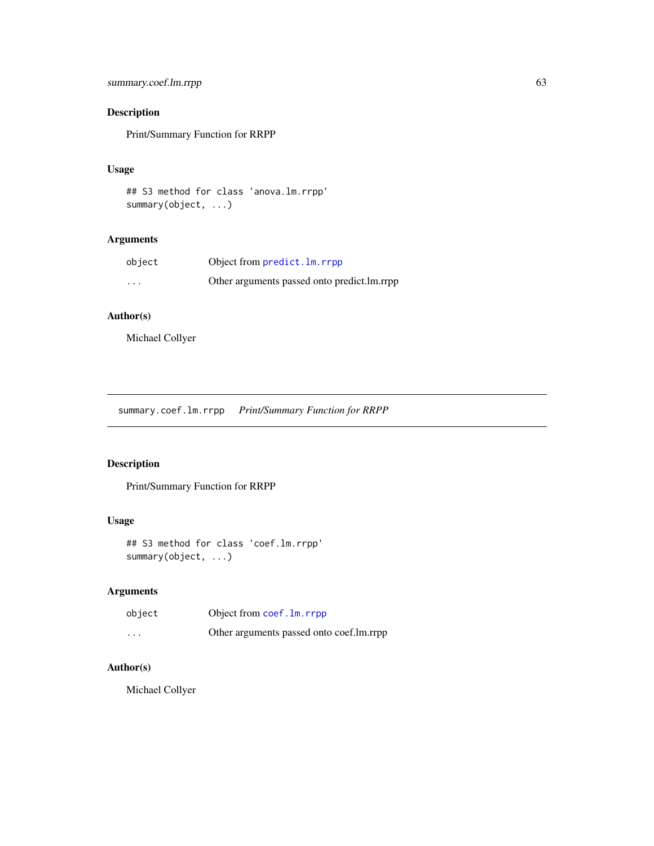# summary.coef.lm.rrpp 63

# Description

Print/Summary Function for RRPP

# Usage

```
## S3 method for class 'anova.lm.rrpp'
summary(object, ...)
```
# Arguments

| object   | Object from predict. Im. rrpp                 |
|----------|-----------------------------------------------|
| $\cdots$ | Other arguments passed onto predict. Im. rrpp |

# Author(s)

Michael Collyer

summary.coef.lm.rrpp *Print/Summary Function for RRPP*

# Description

Print/Summary Function for RRPP

# Usage

```
## S3 method for class 'coef.lm.rrpp'
summary(object, ...)
```
# Arguments

| object   | Object from coef. Im. rrpp               |
|----------|------------------------------------------|
| $\cdots$ | Other arguments passed onto coef.lm.rrpp |

### Author(s)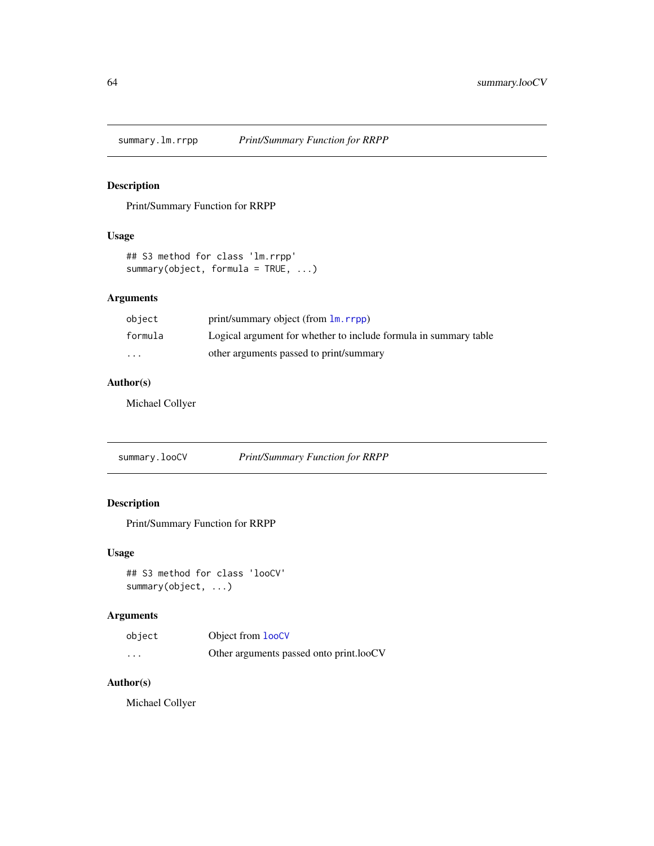<span id="page-63-0"></span>

# Description

Print/Summary Function for RRPP

# Usage

```
## S3 method for class 'lm.rrpp'
summary(object, formula = TRUE, ...)
```
# Arguments

| object   | print/summary object (from 1m, rrpp)                             |
|----------|------------------------------------------------------------------|
| formula  | Logical argument for whether to include formula in summary table |
| $\cdots$ | other arguments passed to print/summary                          |

## Author(s)

Michael Collyer

summary.looCV *Print/Summary Function for RRPP*

# Description

Print/Summary Function for RRPP

# Usage

```
## S3 method for class 'looCV'
summary(object, ...)
```
# Arguments

| object   | Object from <b>looCV</b>                |
|----------|-----------------------------------------|
| $\cdots$ | Other arguments passed onto print.looCV |

# Author(s)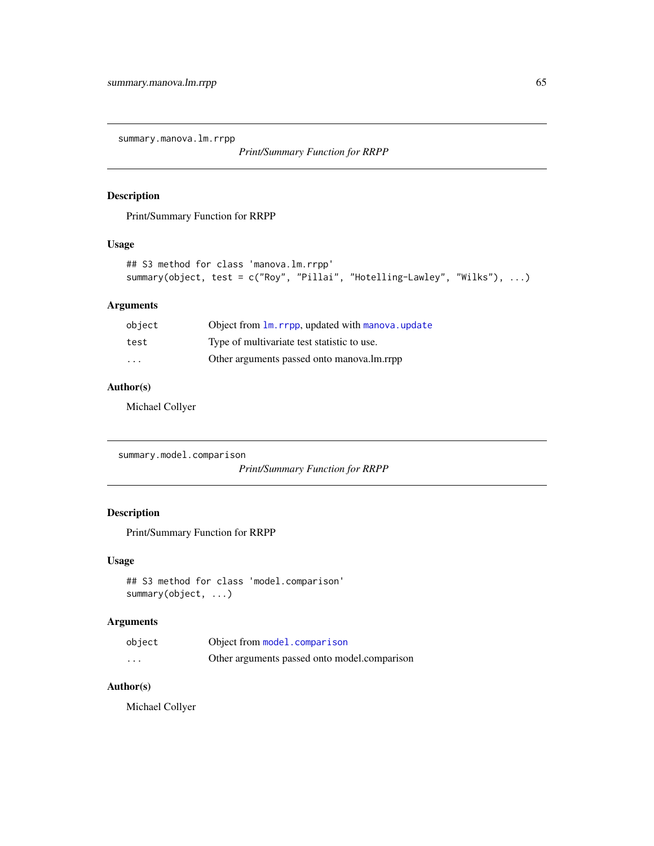<span id="page-64-0"></span>summary.manova.lm.rrpp

*Print/Summary Function for RRPP*

### Description

Print/Summary Function for RRPP

### Usage

```
## S3 method for class 'manova.lm.rrpp'
summary(object, test = c("Roy", "Pillai", "Hotelling-Lawley", "Wilks"), ...)
```
# Arguments

| object                  | Object from 1m. rrpp, updated with manova. update |
|-------------------------|---------------------------------------------------|
| test                    | Type of multivariate test statistic to use.       |
| $\cdot$ $\cdot$ $\cdot$ | Other arguments passed onto manova.lm.rrpp        |

### Author(s)

Michael Collyer

summary.model.comparison

*Print/Summary Function for RRPP*

### Description

Print/Summary Function for RRPP

#### Usage

```
## S3 method for class 'model.comparison'
summary(object, ...)
```
# Arguments

| object   | Object from model.comparison                 |
|----------|----------------------------------------------|
| $\cdots$ | Other arguments passed onto model.comparison |

# Author(s)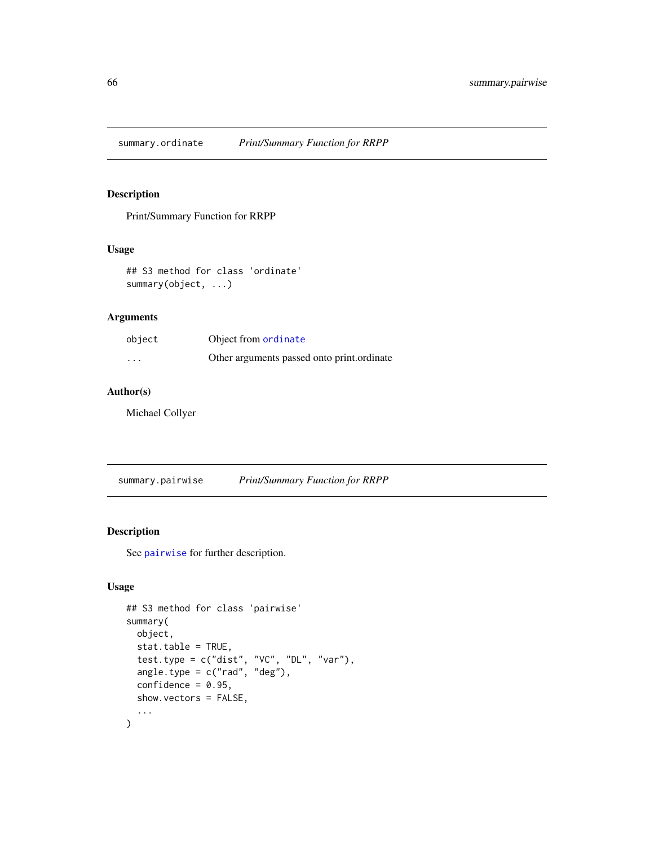<span id="page-65-1"></span>summary.ordinate *Print/Summary Function for RRPP*

#### Description

Print/Summary Function for RRPP

### Usage

```
## S3 method for class 'ordinate'
summary(object, ...)
```
# Arguments

| object   | Object from ordinate                       |
|----------|--------------------------------------------|
| $\cdots$ | Other arguments passed onto print.ordinate |

#### Author(s)

Michael Collyer

<span id="page-65-0"></span>summary.pairwise *Print/Summary Function for RRPP*

#### Description

See [pairwise](#page-34-0) for further description.

# Usage

```
## S3 method for class 'pairwise'
summary(
 object,
  stat.table = TRUE,
  test.type = c("dist", "VC", "DL", "var"),
  angle-type = c("rad", "deg"),confidence = 0.95,
  show.vectors = FALSE,
  ...
)
```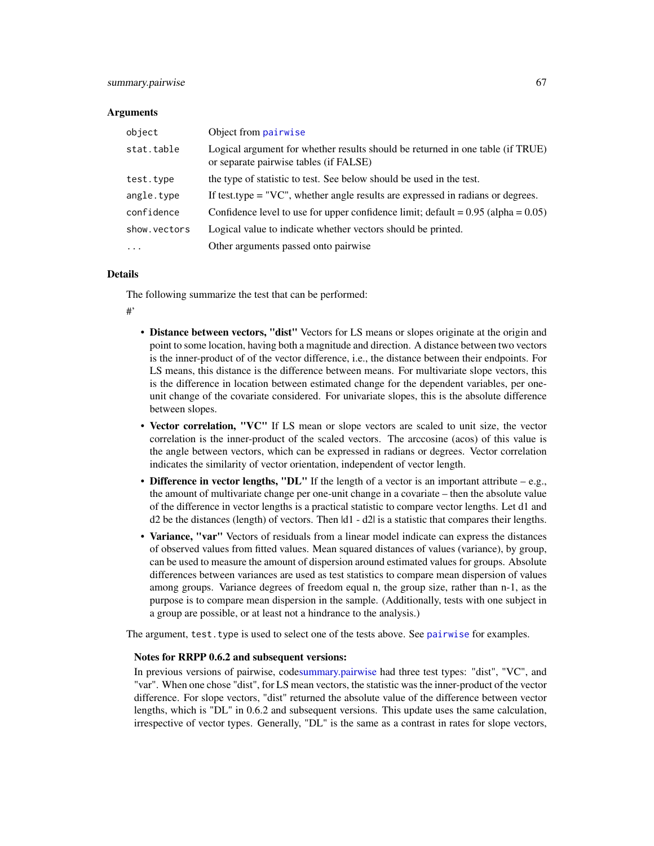#### **Arguments**

| object       | Object from pairwise                                                                                                     |
|--------------|--------------------------------------------------------------------------------------------------------------------------|
| stat.table   | Logical argument for whether results should be returned in one table (if TRUE)<br>or separate pairwise tables (if FALSE) |
| test.type    | the type of statistic to test. See below should be used in the test.                                                     |
| angle.type   | If test type $= "VC"$ , whether angle results are expressed in radians or degrees.                                       |
| confidence   | Confidence level to use for upper confidence limit; $\text{default} = 0.95 \text{ (alpha} = 0.05)$                       |
| show.vectors | Logical value to indicate whether vectors should be printed.                                                             |
| $\cdot$      | Other arguments passed onto pairwise                                                                                     |

#### Details

The following summarize the test that can be performed:

#'

- Distance between vectors, "dist" Vectors for LS means or slopes originate at the origin and point to some location, having both a magnitude and direction. A distance between two vectors is the inner-product of of the vector difference, i.e., the distance between their endpoints. For LS means, this distance is the difference between means. For multivariate slope vectors, this is the difference in location between estimated change for the dependent variables, per oneunit change of the covariate considered. For univariate slopes, this is the absolute difference between slopes.
- Vector correlation, "VC" If LS mean or slope vectors are scaled to unit size, the vector correlation is the inner-product of the scaled vectors. The arccosine (acos) of this value is the angle between vectors, which can be expressed in radians or degrees. Vector correlation indicates the similarity of vector orientation, independent of vector length.
- Difference in vector lengths, "DL" If the length of a vector is an important attribute  $-e.g.,$ the amount of multivariate change per one-unit change in a covariate – then the absolute value of the difference in vector lengths is a practical statistic to compare vector lengths. Let d1 and d2 be the distances (length) of vectors. Then |d1 - d2| is a statistic that compares their lengths.
- Variance, "var" Vectors of residuals from a linear model indicate can express the distances of observed values from fitted values. Mean squared distances of values (variance), by group, can be used to measure the amount of dispersion around estimated values for groups. Absolute differences between variances are used as test statistics to compare mean dispersion of values among groups. Variance degrees of freedom equal n, the group size, rather than n-1, as the purpose is to compare mean dispersion in the sample. (Additionally, tests with one subject in a group are possible, or at least not a hindrance to the analysis.)

The argument, test. type is used to select one of the tests above. See [pairwise](#page-34-0) for examples.

#### Notes for RRPP 0.6.2 and subsequent versions:

In previous versions of pairwise, cod[esummary.pairwise](#page-65-0) had three test types: "dist", "VC", and "var". When one chose "dist", for LS mean vectors, the statistic was the inner-product of the vector difference. For slope vectors, "dist" returned the absolute value of the difference between vector lengths, which is "DL" in 0.6.2 and subsequent versions. This update uses the same calculation, irrespective of vector types. Generally, "DL" is the same as a contrast in rates for slope vectors,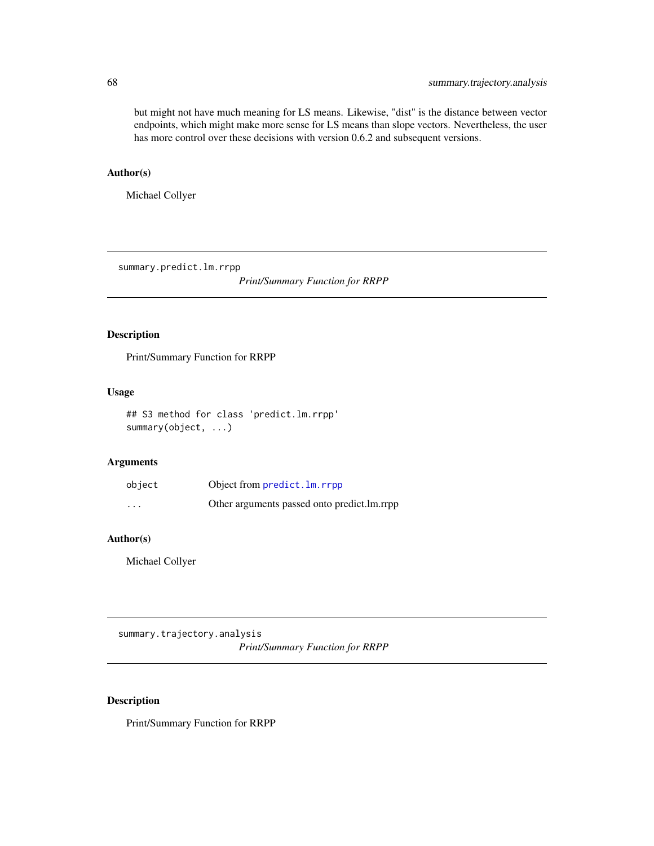but might not have much meaning for LS means. Likewise, "dist" is the distance between vector endpoints, which might make more sense for LS means than slope vectors. Nevertheless, the user has more control over these decisions with version 0.6.2 and subsequent versions.

#### Author(s)

Michael Collyer

summary.predict.lm.rrpp

*Print/Summary Function for RRPP*

# Description

Print/Summary Function for RRPP

#### Usage

```
## S3 method for class 'predict.lm.rrpp'
summary(object, ...)
```
#### Arguments

| object   | Object from predict. Im. rrpp                 |
|----------|-----------------------------------------------|
| $\cdots$ | Other arguments passed onto predict. Im. rrpp |

#### Author(s)

Michael Collyer

<span id="page-67-0"></span>summary.trajectory.analysis *Print/Summary Function for RRPP*

### Description

Print/Summary Function for RRPP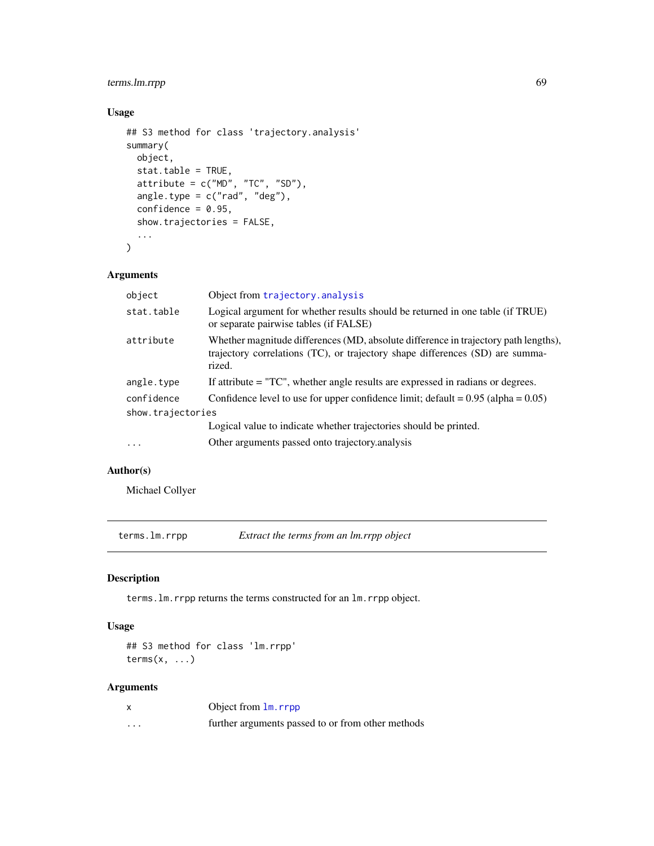# terms.lm.rrpp 69

# Usage

```
## S3 method for class 'trajectory.analysis'
summary(
 object,
 stat.table = TRUE,
 attribute = c("MD", "TC", "SD"),
 angle.type = c("rad", "deg"),
  confidence = 0.95,show.trajectories = FALSE,
  ...
\mathcal{L}
```
# Arguments

| object            | Object from trajectory. analysis                                                                                                                                               |
|-------------------|--------------------------------------------------------------------------------------------------------------------------------------------------------------------------------|
| stat.table        | Logical argument for whether results should be returned in one table (if TRUE)<br>or separate pairwise tables (if FALSE)                                                       |
| attribute         | Whether magnitude differences (MD, absolute difference in trajectory path lengths),<br>trajectory correlations (TC), or trajectory shape differences (SD) are summa-<br>rized. |
| angle.type        | If attribute = "TC", whether angle results are expressed in radians or degrees.                                                                                                |
| confidence        | Confidence level to use for upper confidence limit; $\text{default} = 0.95 \text{ (alpha} = 0.05)$                                                                             |
| show.trajectories |                                                                                                                                                                                |
|                   | Logical value to indicate whether trajectories should be printed.                                                                                                              |
| $\cdots$          | Other arguments passed onto trajectory analysis                                                                                                                                |

# Author(s)

Michael Collyer

terms.lm.rrpp *Extract the terms from an lm.rrpp object*

# Description

terms.lm.rrpp returns the terms constructed for an lm.rrpp object.

#### Usage

## S3 method for class 'lm.rrpp' terms $(x, \ldots)$ 

# Arguments

|   | Object from lm. rrpp                              |
|---|---------------------------------------------------|
| . | further arguments passed to or from other methods |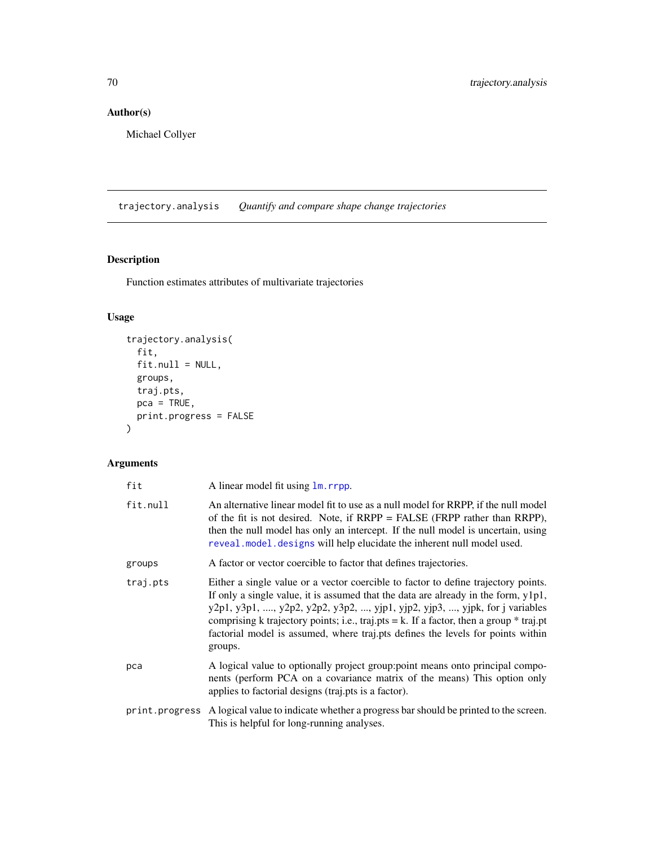# Author(s)

Michael Collyer

<span id="page-69-0"></span>trajectory.analysis *Quantify and compare shape change trajectories*

# Description

Function estimates attributes of multivariate trajectories

# Usage

```
trajectory.analysis(
 fit,
 fit.null = NULL,groups,
 traj.pts,
 pca = TRUE,print.progress = FALSE
)
```
# Arguments

| fit      | A linear model fit using $\text{lm}$ . rrpp.                                                                                                                                                                                                                                                                                                                                                                                                       |
|----------|----------------------------------------------------------------------------------------------------------------------------------------------------------------------------------------------------------------------------------------------------------------------------------------------------------------------------------------------------------------------------------------------------------------------------------------------------|
| fit.null | An alternative linear model fit to use as a null model for RRPP, if the null model<br>of the fit is not desired. Note, if $RRPP = FALSE$ ( $FRPP$ rather than $RRPP$ ),<br>then the null model has only an intercept. If the null model is uncertain, using<br>reveal model designs will help elucidate the inherent null model used.                                                                                                              |
| groups   | A factor or vector coercible to factor that defines trajectories.                                                                                                                                                                                                                                                                                                                                                                                  |
| traj.pts | Either a single value or a vector coercible to factor to define trajectory points.<br>If only a single value, it is assumed that the data are already in the form, y1p1,<br>y2p1, y3p1, , y2p2, y2p2, y3p2, , yjp1, yjp2, yjp3, , yjpk, for j variables<br>comprising k trajectory points; i.e., traj.pts = k. If a factor, then a group $*$ traj.pt<br>factorial model is assumed, where traj.pts defines the levels for points within<br>groups. |
| рса      | A logical value to optionally project group: point means onto principal compo-<br>nents (perform PCA on a covariance matrix of the means) This option only<br>applies to factorial designs (traj.pts is a factor).                                                                                                                                                                                                                                 |
|          | print. progress A logical value to indicate whether a progress bar should be printed to the screen.<br>This is helpful for long-running analyses.                                                                                                                                                                                                                                                                                                  |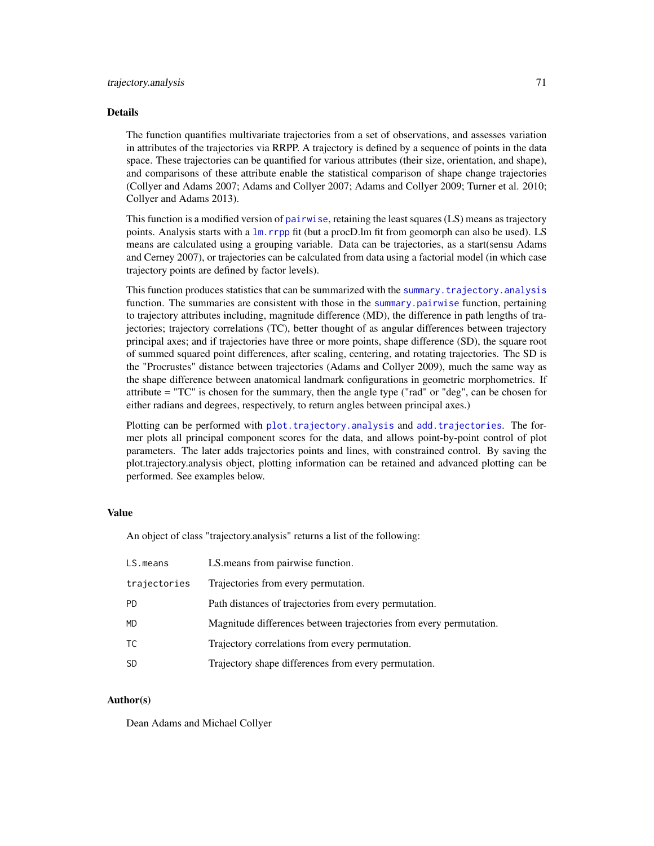#### Details

The function quantifies multivariate trajectories from a set of observations, and assesses variation in attributes of the trajectories via RRPP. A trajectory is defined by a sequence of points in the data space. These trajectories can be quantified for various attributes (their size, orientation, and shape), and comparisons of these attribute enable the statistical comparison of shape change trajectories (Collyer and Adams 2007; Adams and Collyer 2007; Adams and Collyer 2009; Turner et al. 2010; Collyer and Adams 2013).

This function is a modified version of [pairwise](#page-34-0), retaining the least squares (LS) means as trajectory points. Analysis starts with a [lm.rrpp](#page-11-0) fit (but a procD.lm fit from geomorph can also be used). LS means are calculated using a grouping variable. Data can be trajectories, as a start(sensu Adams and Cerney 2007), or trajectories can be calculated from data using a factorial model (in which case trajectory points are defined by factor levels).

This function produces statistics that can be summarized with the [summary.trajectory.analysis](#page-67-0) function. The summaries are consistent with those in the [summary.pairwise](#page-65-0) function, pertaining to trajectory attributes including, magnitude difference (MD), the difference in path lengths of trajectories; trajectory correlations (TC), better thought of as angular differences between trajectory principal axes; and if trajectories have three or more points, shape difference (SD), the square root of summed squared point differences, after scaling, centering, and rotating trajectories. The SD is the "Procrustes" distance between trajectories (Adams and Collyer 2009), much the same way as the shape difference between anatomical landmark configurations in geometric morphometrics. If attribute = "TC" is chosen for the summary, then the angle type ("rad" or "deg", can be chosen for either radians and degrees, respectively, to return angles between principal axes.)

Plotting can be performed with [plot.trajectory.analysis](#page-44-0) and [add.trajectories](#page-3-0). The former plots all principal component scores for the data, and allows point-by-point control of plot parameters. The later adds trajectories points and lines, with constrained control. By saving the plot.trajectory.analysis object, plotting information can be retained and advanced plotting can be performed. See examples below.

#### Value

An object of class "trajectory.analysis" returns a list of the following:

| LS.means     | LS means from pairwise function.                                   |
|--------------|--------------------------------------------------------------------|
| trajectories | Trajectories from every permutation.                               |
| <b>PD</b>    | Path distances of trajectories from every permutation.             |
| <b>MD</b>    | Magnitude differences between trajectories from every permutation. |
| ТC           | Trajectory correlations from every permutation.                    |
| <b>SD</b>    | Trajectory shape differences from every permutation.               |

#### Author(s)

Dean Adams and Michael Collyer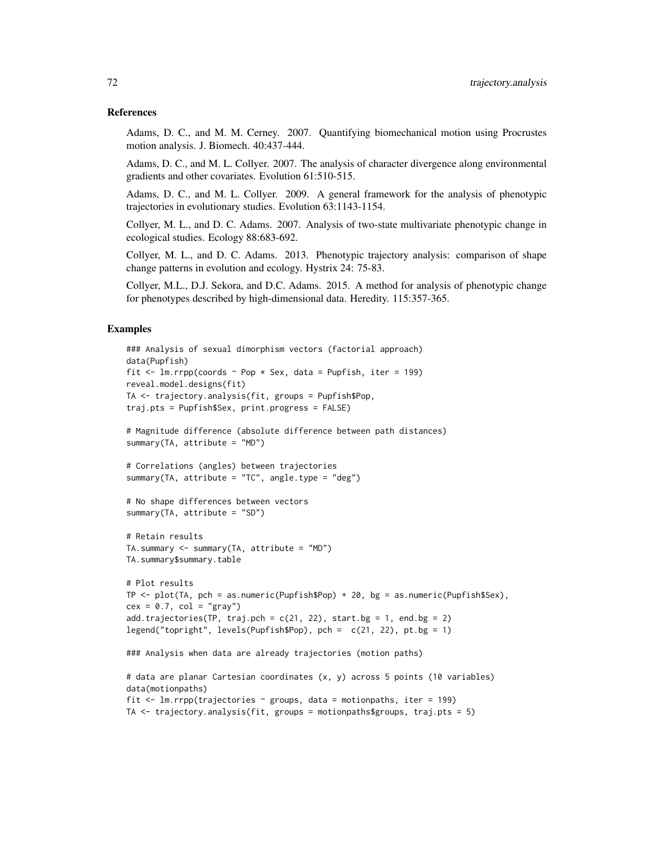#### References

Adams, D. C., and M. M. Cerney. 2007. Quantifying biomechanical motion using Procrustes motion analysis. J. Biomech. 40:437-444.

Adams, D. C., and M. L. Collyer. 2007. The analysis of character divergence along environmental gradients and other covariates. Evolution 61:510-515.

Adams, D. C., and M. L. Collyer. 2009. A general framework for the analysis of phenotypic trajectories in evolutionary studies. Evolution 63:1143-1154.

Collyer, M. L., and D. C. Adams. 2007. Analysis of two-state multivariate phenotypic change in ecological studies. Ecology 88:683-692.

Collyer, M. L., and D. C. Adams. 2013. Phenotypic trajectory analysis: comparison of shape change patterns in evolution and ecology. Hystrix 24: 75-83.

Collyer, M.L., D.J. Sekora, and D.C. Adams. 2015. A method for analysis of phenotypic change for phenotypes described by high-dimensional data. Heredity. 115:357-365.

#### Examples

```
### Analysis of sexual dimorphism vectors (factorial approach)
data(Pupfish)
fit \le 1m.rrpp(coords \sim Pop * Sex, data = Pupfish, iter = 199)
reveal.model.designs(fit)
TA <- trajectory.analysis(fit, groups = Pupfish$Pop,
traj.pts = Pupfish$Sex, print.progress = FALSE)
# Magnitude difference (absolute difference between path distances)
summary(TA, attribute = "MD")
# Correlations (angles) between trajectories
summary(TA, attribute = "TC", angle.type = "deg")
# No shape differences between vectors
summary(TA, attribute = "SD")
# Retain results
TA.summary <- summary(TA, attribute = "MD")
TA.summary$summary.table
# Plot results
TP \le plot(TA, pch = as.numeric(Pupfish$Pop) + 20, bg = as.numeric(Pupfish$Sex),
cex = 0.7, col = "gray")add.trajectories(TP, traj.pch = c(21, 22), start.bg = 1, end.bg = 2)
legend("topright", levels(Pupfish$Pop), pch = c(21, 22), pt.bg = 1)
### Analysis when data are already trajectories (motion paths)
# data are planar Cartesian coordinates (x, y) across 5 points (10 variables)
data(motionpaths)
fit \leq lm.rrpp(trajectories \sim groups, data = motionpaths, iter = 199)
TA \le trajectory.analysis(fit, groups = motionpaths$groups, traj.pts = 5)
```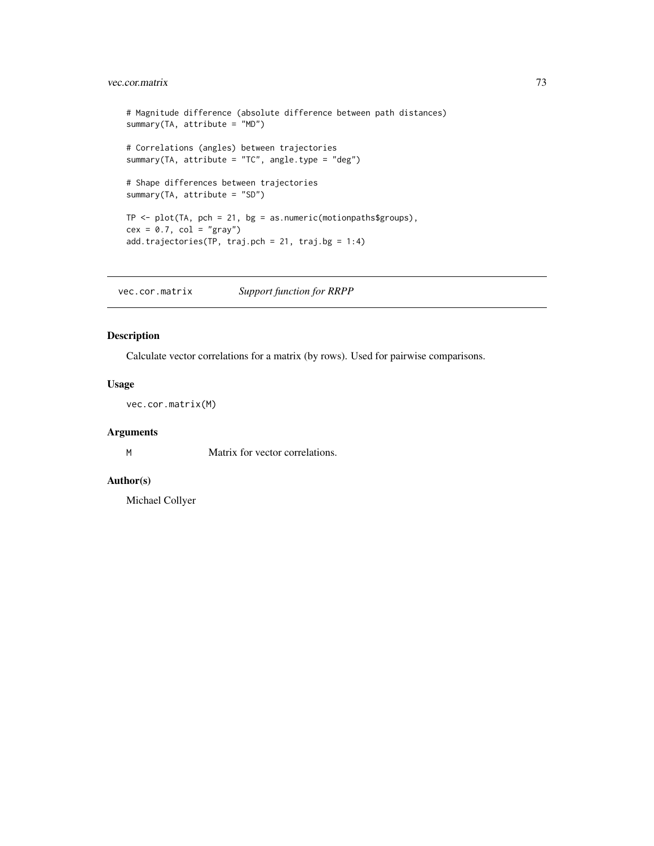### <span id="page-72-0"></span>vec.cor.matrix 73

```
# Magnitude difference (absolute difference between path distances)
summary(TA, attribute = "MD")
# Correlations (angles) between trajectories
summary(TA, attribute = "TC", angle.type = "deg")
# Shape differences between trajectories
summary(TA, attribute = "SD")
TP \leftarrow plot(TA, pch = 21, bg = as.numeric(motionpaths$groups),cex = 0.7, col = "gray")add.trajectories(TP, traj.pch = 21, traj.bg = 1:4)
```
vec.cor.matrix *Support function for RRPP*

#### Description

Calculate vector correlations for a matrix (by rows). Used for pairwise comparisons.

#### Usage

vec.cor.matrix(M)

### Arguments

M Matrix for vector correlations.

### Author(s)

Michael Collyer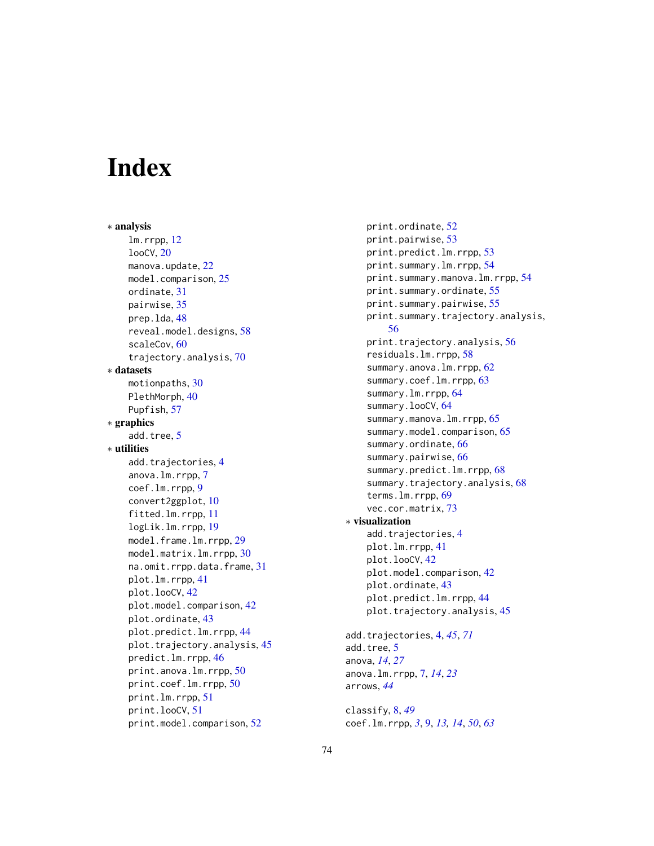# **Index**

∗ analysis lm.rrpp, [12](#page-11-0) looCV, [20](#page-19-0) manova.update, [22](#page-21-0) model.comparison, [25](#page-24-0) ordinate, [31](#page-30-0) pairwise, [35](#page-34-0) prep.lda, [48](#page-47-0) reveal.model.designs, [58](#page-57-0) scaleCov, [60](#page-59-0) trajectory.analysis, [70](#page-69-0) ∗ datasets motionpaths, [30](#page-29-0) PlethMorph, [40](#page-39-0) Pupfish, [57](#page-56-0) ∗ graphics add.tree, [5](#page-4-0) ∗ utilities add.trajectories, [4](#page-3-0) anova.lm.rrpp, [7](#page-6-0) coef.lm.rrpp, [9](#page-8-0) convert2ggplot, [10](#page-9-0) fitted.lm.rrpp, [11](#page-10-0) logLik.lm.rrpp, [19](#page-18-0) model.frame.lm.rrpp, [29](#page-28-0) model.matrix.lm.rrpp, [30](#page-29-0) na.omit.rrpp.data.frame, [31](#page-30-0) plot.lm.rrpp, [41](#page-40-0) plot.looCV, [42](#page-41-0) plot.model.comparison, [42](#page-41-0) plot.ordinate, [43](#page-42-0) plot.predict.lm.rrpp, [44](#page-43-0) plot.trajectory.analysis, [45](#page-44-0) predict.lm.rrpp, [46](#page-45-0) print.anova.lm.rrpp, [50](#page-49-0) print.coef.lm.rrpp, [50](#page-49-0) print.lm.rrpp, [51](#page-50-0) print.looCV, [51](#page-50-0) print.model.comparison, [52](#page-51-0)

print.ordinate, [52](#page-51-0) print.pairwise, [53](#page-52-0) print.predict.lm.rrpp, [53](#page-52-0) print.summary.lm.rrpp, [54](#page-53-0) print.summary.manova.lm.rrpp, [54](#page-53-0) print.summary.ordinate, [55](#page-54-0) print.summary.pairwise, [55](#page-54-0) print.summary.trajectory.analysis, [56](#page-55-0) print.trajectory.analysis, [56](#page-55-0) residuals.lm.rrpp, [58](#page-57-0) summary.anova.lm.rrpp, [62](#page-61-0) summary.coef.lm.rrpp, [63](#page-62-0) summary.lm.rrpp, [64](#page-63-0) summary.looCV, [64](#page-63-0) summary.manova.lm.rrpp, [65](#page-64-0) summary.model.comparison, [65](#page-64-0) summary.ordinate, [66](#page-65-0) summary.pairwise, [66](#page-65-0) summary.predict.lm.rrpp, [68](#page-67-0) summary.trajectory.analysis, [68](#page-67-0) terms.lm.rrpp, [69](#page-68-0) vec.cor.matrix, [73](#page-72-0) ∗ visualization add.trajectories, [4](#page-3-0) plot.lm.rrpp, [41](#page-40-0) plot.looCV, [42](#page-41-0) plot.model.comparison, [42](#page-41-0) plot.ordinate, [43](#page-42-0) plot.predict.lm.rrpp, [44](#page-43-0) plot.trajectory.analysis, [45](#page-44-0) add.trajectories, [4,](#page-3-0) *[45](#page-44-0)*, *[71](#page-70-0)* add.tree, [5](#page-4-0) anova, *[14](#page-13-0)*, *[27](#page-26-0)* anova.lm.rrpp, [7,](#page-6-0) *[14](#page-13-0)*, *[23](#page-22-0)* arrows, *[44](#page-43-0)*

classify, [8,](#page-7-0) *[49](#page-48-0)* coef.lm.rrpp, *[3](#page-2-0)*, [9,](#page-8-0) *[13,](#page-12-0) [14](#page-13-0)*, *[50](#page-49-0)*, *[63](#page-62-0)*